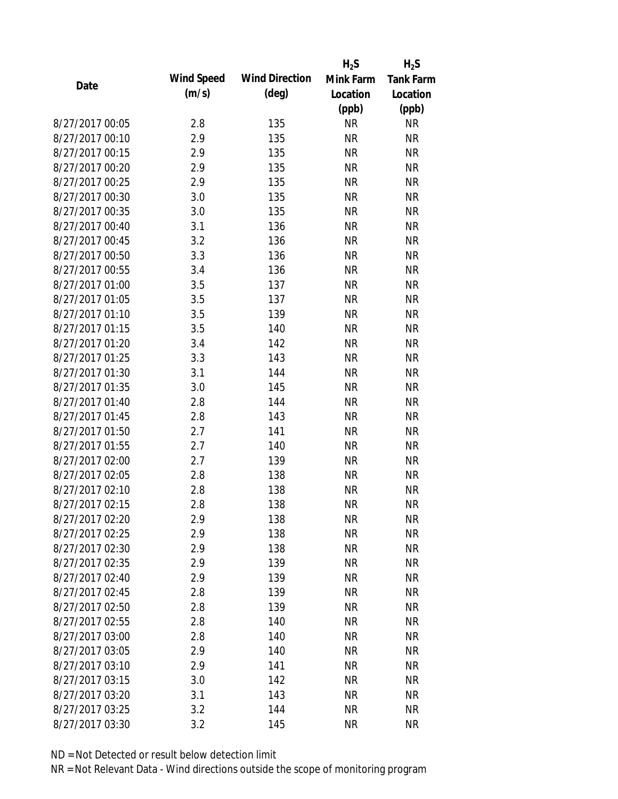|                 |                   |                       | $H_2S$    | $H_2S$           |
|-----------------|-------------------|-----------------------|-----------|------------------|
| Date            | <b>Wind Speed</b> | <b>Wind Direction</b> | Mink Farm | <b>Tank Farm</b> |
|                 | (m/s)             | $(\text{deg})$        | Location  | Location         |
|                 |                   |                       | (ppb)     | (ppb)            |
| 8/27/2017 00:05 | 2.8               | 135                   | <b>NR</b> | <b>NR</b>        |
| 8/27/2017 00:10 | 2.9               | 135                   | <b>NR</b> | <b>NR</b>        |
| 8/27/2017 00:15 | 2.9               | 135                   | <b>NR</b> | <b>NR</b>        |
| 8/27/2017 00:20 | 2.9               | 135                   | <b>NR</b> | <b>NR</b>        |
| 8/27/2017 00:25 | 2.9               | 135                   | <b>NR</b> | <b>NR</b>        |
| 8/27/2017 00:30 | 3.0               | 135                   | <b>NR</b> | <b>NR</b>        |
| 8/27/2017 00:35 | 3.0               | 135                   | <b>NR</b> | <b>NR</b>        |
| 8/27/2017 00:40 | 3.1               | 136                   | <b>NR</b> | <b>NR</b>        |
| 8/27/2017 00:45 | 3.2               | 136                   | <b>NR</b> | <b>NR</b>        |
| 8/27/2017 00:50 | 3.3               | 136                   | <b>NR</b> | <b>NR</b>        |
| 8/27/2017 00:55 | 3.4               | 136                   | <b>NR</b> | <b>NR</b>        |
| 8/27/2017 01:00 | 3.5               | 137                   | <b>NR</b> | <b>NR</b>        |
| 8/27/2017 01:05 | 3.5               | 137                   | <b>NR</b> | <b>NR</b>        |
| 8/27/2017 01:10 | 3.5               | 139                   | <b>NR</b> | <b>NR</b>        |
| 8/27/2017 01:15 | 3.5               | 140                   | <b>NR</b> | <b>NR</b>        |
| 8/27/2017 01:20 | 3.4               | 142                   | <b>NR</b> | <b>NR</b>        |
| 8/27/2017 01:25 | 3.3               | 143                   | <b>NR</b> | <b>NR</b>        |
| 8/27/2017 01:30 | 3.1               | 144                   | <b>NR</b> | <b>NR</b>        |
| 8/27/2017 01:35 | 3.0               | 145                   | <b>NR</b> | <b>NR</b>        |
| 8/27/2017 01:40 | 2.8               | 144                   | <b>NR</b> | <b>NR</b>        |
| 8/27/2017 01:45 | 2.8               | 143                   | <b>NR</b> | <b>NR</b>        |
| 8/27/2017 01:50 | 2.7               | 141                   | <b>NR</b> | <b>NR</b>        |
| 8/27/2017 01:55 | 2.7               | 140                   | <b>NR</b> | <b>NR</b>        |
| 8/27/2017 02:00 | 2.7               | 139                   | <b>NR</b> | <b>NR</b>        |
| 8/27/2017 02:05 | 2.8               | 138                   | <b>NR</b> | <b>NR</b>        |
| 8/27/2017 02:10 | 2.8               | 138                   | <b>NR</b> | <b>NR</b>        |
| 8/27/2017 02:15 | 2.8               | 138                   | <b>NR</b> | <b>NR</b>        |
| 8/27/2017 02:20 | 2.9               | 138                   | <b>NR</b> | <b>NR</b>        |
| 8/27/2017 02:25 | 2.9               | 138                   | <b>NR</b> | <b>NR</b>        |
| 8/27/2017 02:30 | 2.9               | 138                   | <b>NR</b> | <b>NR</b>        |
| 8/27/2017 02:35 | 2.9               | 139                   | <b>NR</b> | <b>NR</b>        |
| 8/27/2017 02:40 | 2.9               | 139                   | <b>NR</b> | <b>NR</b>        |
| 8/27/2017 02:45 | 2.8               | 139                   | <b>NR</b> | <b>NR</b>        |
| 8/27/2017 02:50 | 2.8               | 139                   | <b>NR</b> | <b>NR</b>        |
| 8/27/2017 02:55 | 2.8               | 140                   | <b>NR</b> | <b>NR</b>        |
| 8/27/2017 03:00 | 2.8               | 140                   | <b>NR</b> | <b>NR</b>        |
| 8/27/2017 03:05 | 2.9               | 140                   | <b>NR</b> | <b>NR</b>        |
| 8/27/2017 03:10 | 2.9               | 141                   | <b>NR</b> | <b>NR</b>        |
| 8/27/2017 03:15 | 3.0               | 142                   | <b>NR</b> | <b>NR</b>        |
| 8/27/2017 03:20 | 3.1               | 143                   | <b>NR</b> | <b>NR</b>        |
| 8/27/2017 03:25 | 3.2               | 144                   | <b>NR</b> | <b>NR</b>        |
| 8/27/2017 03:30 | 3.2               | 145                   | <b>NR</b> | <b>NR</b>        |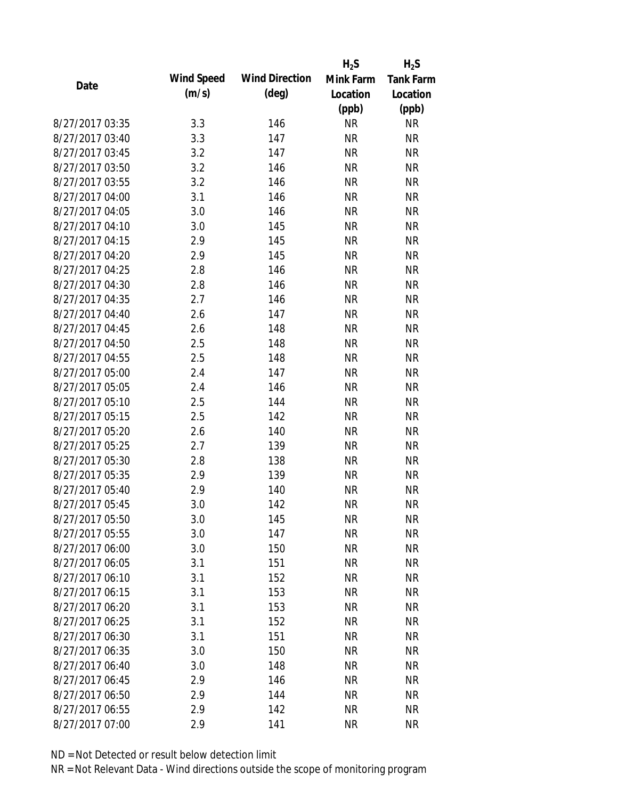|                 |                   |                       | $H_2S$    | $H_2S$           |
|-----------------|-------------------|-----------------------|-----------|------------------|
| Date            | <b>Wind Speed</b> | <b>Wind Direction</b> | Mink Farm | <b>Tank Farm</b> |
|                 | (m/s)             | $(\text{deg})$        | Location  | Location         |
|                 |                   |                       | (ppb)     | (ppb)            |
| 8/27/2017 03:35 | 3.3               | 146                   | <b>NR</b> | <b>NR</b>        |
| 8/27/2017 03:40 | 3.3               | 147                   | <b>NR</b> | <b>NR</b>        |
| 8/27/2017 03:45 | 3.2               | 147                   | <b>NR</b> | <b>NR</b>        |
| 8/27/2017 03:50 | 3.2               | 146                   | <b>NR</b> | <b>NR</b>        |
| 8/27/2017 03:55 | 3.2               | 146                   | <b>NR</b> | <b>NR</b>        |
| 8/27/2017 04:00 | 3.1               | 146                   | <b>NR</b> | <b>NR</b>        |
| 8/27/2017 04:05 | 3.0               | 146                   | <b>NR</b> | <b>NR</b>        |
| 8/27/2017 04:10 | 3.0               | 145                   | <b>NR</b> | <b>NR</b>        |
| 8/27/2017 04:15 | 2.9               | 145                   | <b>NR</b> | <b>NR</b>        |
| 8/27/2017 04:20 | 2.9               | 145                   | <b>NR</b> | <b>NR</b>        |
| 8/27/2017 04:25 | 2.8               | 146                   | <b>NR</b> | <b>NR</b>        |
| 8/27/2017 04:30 | 2.8               | 146                   | <b>NR</b> | <b>NR</b>        |
| 8/27/2017 04:35 | 2.7               | 146                   | <b>NR</b> | <b>NR</b>        |
| 8/27/2017 04:40 | 2.6               | 147                   | <b>NR</b> | <b>NR</b>        |
| 8/27/2017 04:45 | 2.6               | 148                   | <b>NR</b> | <b>NR</b>        |
| 8/27/2017 04:50 | 2.5               | 148                   | <b>NR</b> | <b>NR</b>        |
| 8/27/2017 04:55 | 2.5               | 148                   | <b>NR</b> | <b>NR</b>        |
| 8/27/2017 05:00 | 2.4               | 147                   | <b>NR</b> | <b>NR</b>        |
| 8/27/2017 05:05 | 2.4               | 146                   | <b>NR</b> | <b>NR</b>        |
| 8/27/2017 05:10 | 2.5               | 144                   | <b>NR</b> | <b>NR</b>        |
| 8/27/2017 05:15 | 2.5               | 142                   | <b>NR</b> | <b>NR</b>        |
| 8/27/2017 05:20 | 2.6               | 140                   | <b>NR</b> | <b>NR</b>        |
| 8/27/2017 05:25 | 2.7               | 139                   | <b>NR</b> | <b>NR</b>        |
| 8/27/2017 05:30 | 2.8               | 138                   | <b>NR</b> | <b>NR</b>        |
| 8/27/2017 05:35 | 2.9               | 139                   | <b>NR</b> | <b>NR</b>        |
| 8/27/2017 05:40 | 2.9               | 140                   | <b>NR</b> | <b>NR</b>        |
| 8/27/2017 05:45 | 3.0               | 142                   | <b>NR</b> | <b>NR</b>        |
| 8/27/2017 05:50 | 3.0               | 145                   | <b>NR</b> | <b>NR</b>        |
| 8/27/2017 05:55 | 3.0               | 147                   | <b>NR</b> | <b>NR</b>        |
| 8/27/2017 06:00 | 3.0               | 150                   | <b>NR</b> | <b>NR</b>        |
| 8/27/2017 06:05 | 3.1               | 151                   | <b>NR</b> | <b>NR</b>        |
| 8/27/2017 06:10 | 3.1               | 152                   | <b>NR</b> | <b>NR</b>        |
| 8/27/2017 06:15 | 3.1               | 153                   | <b>NR</b> | <b>NR</b>        |
| 8/27/2017 06:20 | 3.1               | 153                   | <b>NR</b> | <b>NR</b>        |
| 8/27/2017 06:25 | 3.1               | 152                   | <b>NR</b> | <b>NR</b>        |
| 8/27/2017 06:30 | 3.1               | 151                   | <b>NR</b> | <b>NR</b>        |
| 8/27/2017 06:35 | 3.0               | 150                   | <b>NR</b> | <b>NR</b>        |
| 8/27/2017 06:40 | 3.0               | 148                   | <b>NR</b> | <b>NR</b>        |
| 8/27/2017 06:45 | 2.9               | 146                   | <b>NR</b> | <b>NR</b>        |
| 8/27/2017 06:50 | 2.9               | 144                   | <b>NR</b> | <b>NR</b>        |
| 8/27/2017 06:55 | 2.9               | 142                   | <b>NR</b> | <b>NR</b>        |
| 8/27/2017 07:00 | 2.9               | 141                   | <b>NR</b> | <b>NR</b>        |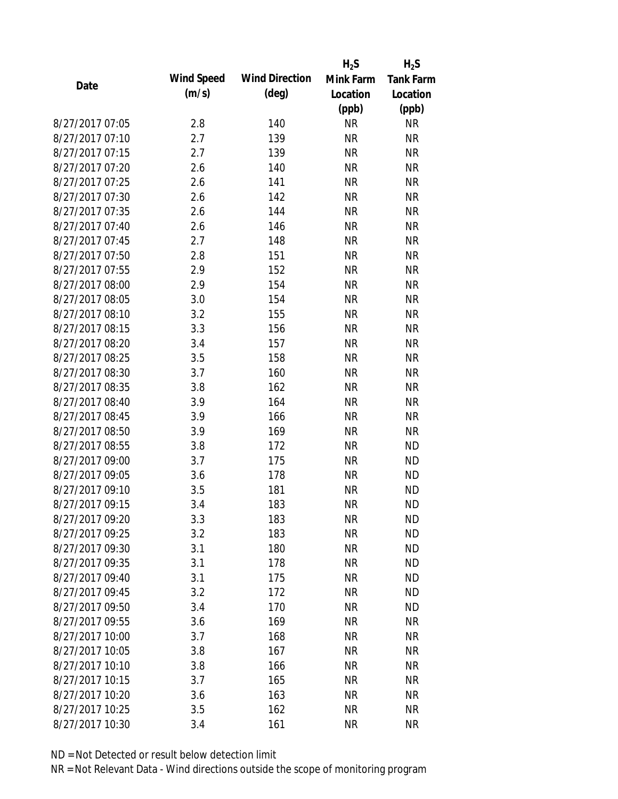|                 |                   |                       | $H_2S$    | $H_2S$           |
|-----------------|-------------------|-----------------------|-----------|------------------|
| Date            | <b>Wind Speed</b> | <b>Wind Direction</b> | Mink Farm | <b>Tank Farm</b> |
|                 | (m/s)             | $(\text{deg})$        | Location  | Location         |
|                 |                   |                       | (ppb)     | (ppb)            |
| 8/27/2017 07:05 | 2.8               | 140                   | <b>NR</b> | <b>NR</b>        |
| 8/27/2017 07:10 | 2.7               | 139                   | <b>NR</b> | <b>NR</b>        |
| 8/27/2017 07:15 | 2.7               | 139                   | <b>NR</b> | <b>NR</b>        |
| 8/27/2017 07:20 | 2.6               | 140                   | <b>NR</b> | <b>NR</b>        |
| 8/27/2017 07:25 | 2.6               | 141                   | <b>NR</b> | <b>NR</b>        |
| 8/27/2017 07:30 | 2.6               | 142                   | <b>NR</b> | <b>NR</b>        |
| 8/27/2017 07:35 | 2.6               | 144                   | <b>NR</b> | <b>NR</b>        |
| 8/27/2017 07:40 | 2.6               | 146                   | <b>NR</b> | <b>NR</b>        |
| 8/27/2017 07:45 | 2.7               | 148                   | <b>NR</b> | <b>NR</b>        |
| 8/27/2017 07:50 | 2.8               | 151                   | <b>NR</b> | <b>NR</b>        |
| 8/27/2017 07:55 | 2.9               | 152                   | <b>NR</b> | <b>NR</b>        |
| 8/27/2017 08:00 | 2.9               | 154                   | <b>NR</b> | <b>NR</b>        |
| 8/27/2017 08:05 | 3.0               | 154                   | <b>NR</b> | <b>NR</b>        |
| 8/27/2017 08:10 | 3.2               | 155                   | <b>NR</b> | <b>NR</b>        |
| 8/27/2017 08:15 | 3.3               | 156                   | <b>NR</b> | <b>NR</b>        |
| 8/27/2017 08:20 | 3.4               | 157                   | <b>NR</b> | <b>NR</b>        |
| 8/27/2017 08:25 | 3.5               | 158                   | <b>NR</b> | <b>NR</b>        |
| 8/27/2017 08:30 | 3.7               | 160                   | <b>NR</b> | <b>NR</b>        |
| 8/27/2017 08:35 | 3.8               | 162                   | <b>NR</b> | <b>NR</b>        |
| 8/27/2017 08:40 | 3.9               | 164                   | <b>NR</b> | <b>NR</b>        |
| 8/27/2017 08:45 | 3.9               | 166                   | <b>NR</b> | <b>NR</b>        |
| 8/27/2017 08:50 | 3.9               | 169                   | <b>NR</b> | <b>NR</b>        |
| 8/27/2017 08:55 | 3.8               | 172                   | <b>NR</b> | <b>ND</b>        |
| 8/27/2017 09:00 | 3.7               | 175                   | <b>NR</b> | <b>ND</b>        |
| 8/27/2017 09:05 | 3.6               | 178                   | <b>NR</b> | <b>ND</b>        |
| 8/27/2017 09:10 | 3.5               | 181                   | <b>NR</b> | <b>ND</b>        |
| 8/27/2017 09:15 | 3.4               | 183                   | <b>NR</b> | <b>ND</b>        |
| 8/27/2017 09:20 | 3.3               | 183                   | <b>NR</b> | <b>ND</b>        |
| 8/27/2017 09:25 | 3.2               | 183                   | <b>NR</b> | <b>ND</b>        |
| 8/27/2017 09:30 | 3.1               | 180                   | <b>NR</b> | <b>ND</b>        |
| 8/27/2017 09:35 | 3.1               | 178                   | <b>NR</b> | <b>ND</b>        |
| 8/27/2017 09:40 | 3.1               | 175                   | <b>NR</b> | <b>ND</b>        |
| 8/27/2017 09:45 | 3.2               | 172                   | <b>NR</b> | <b>ND</b>        |
| 8/27/2017 09:50 | 3.4               | 170                   | <b>NR</b> | <b>ND</b>        |
| 8/27/2017 09:55 | 3.6               | 169                   | <b>NR</b> | <b>NR</b>        |
| 8/27/2017 10:00 | 3.7               | 168                   | <b>NR</b> | <b>NR</b>        |
| 8/27/2017 10:05 | 3.8               | 167                   | <b>NR</b> | <b>NR</b>        |
| 8/27/2017 10:10 | 3.8               | 166                   | <b>NR</b> | <b>NR</b>        |
| 8/27/2017 10:15 | 3.7               | 165                   | <b>NR</b> | <b>NR</b>        |
| 8/27/2017 10:20 | 3.6               | 163                   | <b>NR</b> | <b>NR</b>        |
| 8/27/2017 10:25 | 3.5               | 162                   | <b>NR</b> | <b>NR</b>        |
| 8/27/2017 10:30 | 3.4               | 161                   | <b>NR</b> | <b>NR</b>        |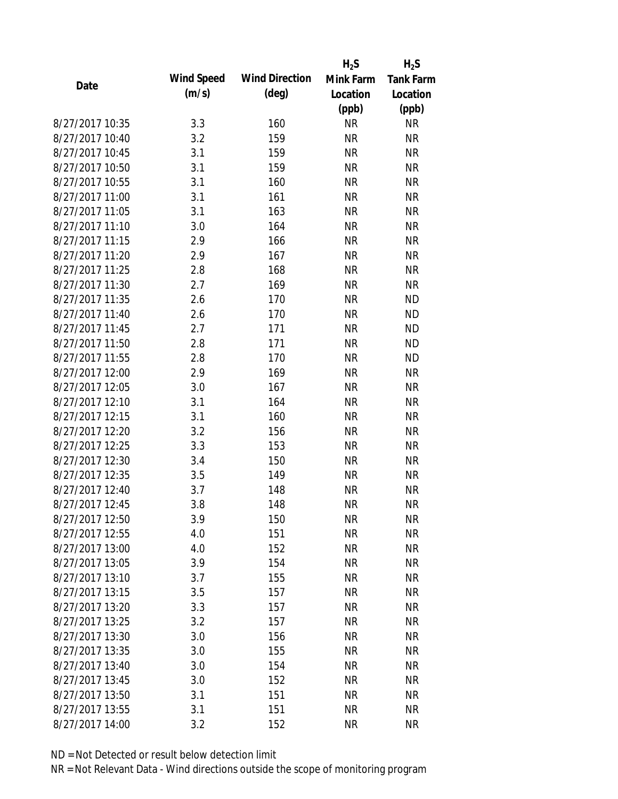|                 |                   |                       | $H_2S$    | $H_2S$           |
|-----------------|-------------------|-----------------------|-----------|------------------|
| Date            | <b>Wind Speed</b> | <b>Wind Direction</b> | Mink Farm | <b>Tank Farm</b> |
|                 | (m/s)             | $(\text{deg})$        | Location  | Location         |
|                 |                   |                       | (ppb)     | (ppb)            |
| 8/27/2017 10:35 | 3.3               | 160                   | <b>NR</b> | <b>NR</b>        |
| 8/27/2017 10:40 | 3.2               | 159                   | <b>NR</b> | <b>NR</b>        |
| 8/27/2017 10:45 | 3.1               | 159                   | <b>NR</b> | <b>NR</b>        |
| 8/27/2017 10:50 | 3.1               | 159                   | <b>NR</b> | <b>NR</b>        |
| 8/27/2017 10:55 | 3.1               | 160                   | <b>NR</b> | <b>NR</b>        |
| 8/27/2017 11:00 | 3.1               | 161                   | <b>NR</b> | <b>NR</b>        |
| 8/27/2017 11:05 | 3.1               | 163                   | <b>NR</b> | <b>NR</b>        |
| 8/27/2017 11:10 | 3.0               | 164                   | <b>NR</b> | <b>NR</b>        |
| 8/27/2017 11:15 | 2.9               | 166                   | <b>NR</b> | <b>NR</b>        |
| 8/27/2017 11:20 | 2.9               | 167                   | <b>NR</b> | <b>NR</b>        |
| 8/27/2017 11:25 | 2.8               | 168                   | <b>NR</b> | <b>NR</b>        |
| 8/27/2017 11:30 | 2.7               | 169                   | <b>NR</b> | <b>NR</b>        |
| 8/27/2017 11:35 | 2.6               | 170                   | <b>NR</b> | <b>ND</b>        |
| 8/27/2017 11:40 | 2.6               | 170                   | <b>NR</b> | <b>ND</b>        |
| 8/27/2017 11:45 | 2.7               | 171                   | <b>NR</b> | <b>ND</b>        |
| 8/27/2017 11:50 | 2.8               | 171                   | <b>NR</b> | <b>ND</b>        |
| 8/27/2017 11:55 | 2.8               | 170                   | <b>NR</b> | <b>ND</b>        |
| 8/27/2017 12:00 | 2.9               | 169                   | <b>NR</b> | <b>NR</b>        |
| 8/27/2017 12:05 | 3.0               | 167                   | <b>NR</b> | <b>NR</b>        |
| 8/27/2017 12:10 | 3.1               | 164                   | <b>NR</b> | <b>NR</b>        |
| 8/27/2017 12:15 | 3.1               | 160                   | <b>NR</b> | <b>NR</b>        |
| 8/27/2017 12:20 | 3.2               | 156                   | <b>NR</b> | <b>NR</b>        |
| 8/27/2017 12:25 | 3.3               | 153                   | <b>NR</b> | <b>NR</b>        |
| 8/27/2017 12:30 | 3.4               | 150                   | <b>NR</b> | <b>NR</b>        |
| 8/27/2017 12:35 | 3.5               | 149                   | <b>NR</b> | <b>NR</b>        |
| 8/27/2017 12:40 | 3.7               | 148                   | <b>NR</b> | <b>NR</b>        |
| 8/27/2017 12:45 | 3.8               | 148                   | <b>NR</b> | <b>NR</b>        |
| 8/27/2017 12:50 | 3.9               | 150                   | <b>NR</b> | <b>NR</b>        |
| 8/27/2017 12:55 | 4.0               | 151                   | <b>NR</b> | <b>NR</b>        |
| 8/27/2017 13:00 | 4.0               | 152                   | <b>NR</b> | <b>NR</b>        |
| 8/27/2017 13:05 | 3.9               | 154                   | <b>NR</b> | <b>NR</b>        |
| 8/27/2017 13:10 | 3.7               | 155                   | <b>NR</b> | <b>NR</b>        |
| 8/27/2017 13:15 | 3.5               | 157                   | <b>NR</b> | <b>NR</b>        |
| 8/27/2017 13:20 | 3.3               | 157                   | <b>NR</b> | <b>NR</b>        |
| 8/27/2017 13:25 | 3.2               | 157                   | <b>NR</b> | <b>NR</b>        |
| 8/27/2017 13:30 | 3.0               | 156                   | <b>NR</b> | <b>NR</b>        |
| 8/27/2017 13:35 | 3.0               | 155                   | <b>NR</b> | <b>NR</b>        |
| 8/27/2017 13:40 | 3.0               | 154                   | <b>NR</b> | <b>NR</b>        |
| 8/27/2017 13:45 | 3.0               | 152                   | <b>NR</b> | <b>NR</b>        |
| 8/27/2017 13:50 | 3.1               | 151                   | <b>NR</b> | <b>NR</b>        |
| 8/27/2017 13:55 | 3.1               | 151                   | <b>NR</b> | <b>NR</b>        |
| 8/27/2017 14:00 | 3.2               | 152                   | <b>NR</b> | <b>NR</b>        |
|                 |                   |                       |           |                  |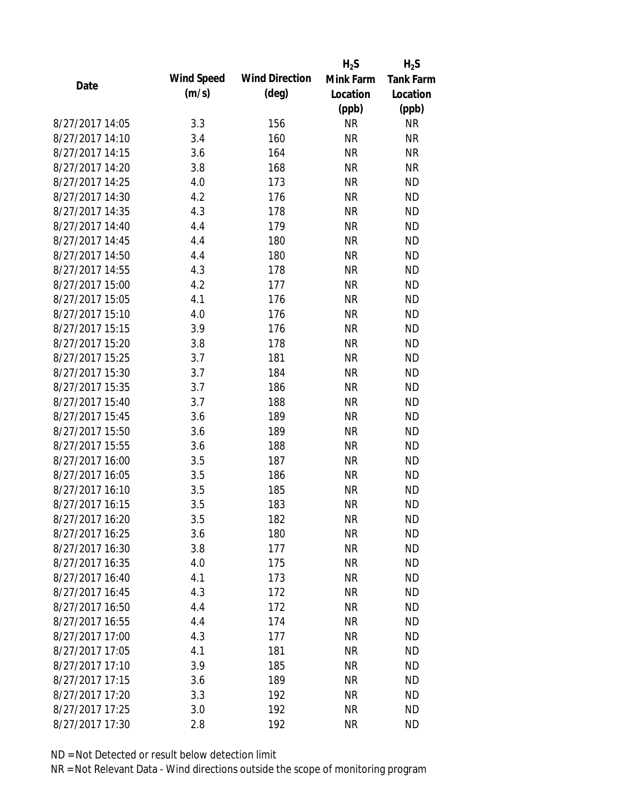|                                    |                   |                       | $H_2S$    | $H_2S$           |
|------------------------------------|-------------------|-----------------------|-----------|------------------|
| Date                               | <b>Wind Speed</b> | <b>Wind Direction</b> | Mink Farm | <b>Tank Farm</b> |
|                                    | (m/s)             | $(\text{deg})$        | Location  | Location         |
|                                    |                   |                       | (ppb)     | (ppb)            |
| 8/27/2017 14:05                    | 3.3               | 156                   | <b>NR</b> | <b>NR</b>        |
| 8/27/2017 14:10                    | 3.4               | 160                   | <b>NR</b> | <b>NR</b>        |
| 8/27/2017 14:15                    | 3.6               | 164                   | <b>NR</b> | <b>NR</b>        |
| 8/27/2017 14:20                    | 3.8               | 168                   | <b>NR</b> | <b>NR</b>        |
| 8/27/2017 14:25                    | 4.0               | 173                   | <b>NR</b> | <b>ND</b>        |
| 8/27/2017 14:30                    | 4.2               | 176                   | <b>NR</b> | <b>ND</b>        |
| 8/27/2017 14:35                    | 4.3               | 178                   | <b>NR</b> | <b>ND</b>        |
| 8/27/2017 14:40                    | 4.4               | 179                   | <b>NR</b> | <b>ND</b>        |
| 8/27/2017 14:45                    | 4.4               | 180                   | <b>NR</b> | <b>ND</b>        |
| 8/27/2017 14:50                    | 4.4               | 180                   | <b>NR</b> | <b>ND</b>        |
| 8/27/2017 14:55                    | 4.3               | 178                   | <b>NR</b> | <b>ND</b>        |
| 8/27/2017 15:00                    | 4.2               | 177                   | <b>NR</b> | <b>ND</b>        |
| 8/27/2017 15:05                    | 4.1               | 176                   | <b>NR</b> | <b>ND</b>        |
| 8/27/2017 15:10                    | 4.0               | 176                   | <b>NR</b> | <b>ND</b>        |
| 8/27/2017 15:15                    | 3.9               | 176                   | <b>NR</b> | <b>ND</b>        |
| 8/27/2017 15:20                    | 3.8               | 178                   | <b>NR</b> | <b>ND</b>        |
| 8/27/2017 15:25                    | 3.7               | 181                   | <b>NR</b> | <b>ND</b>        |
| 8/27/2017 15:30                    | 3.7               | 184                   | <b>NR</b> | <b>ND</b>        |
| 8/27/2017 15:35                    | 3.7               | 186                   | <b>NR</b> | <b>ND</b>        |
| 8/27/2017 15:40                    | 3.7               | 188                   | <b>NR</b> | <b>ND</b>        |
| 8/27/2017 15:45                    | 3.6               | 189                   | <b>NR</b> | <b>ND</b>        |
| 8/27/2017 15:50                    | 3.6               | 189                   | <b>NR</b> | <b>ND</b>        |
| 8/27/2017 15:55                    | 3.6               | 188                   | <b>NR</b> | <b>ND</b>        |
| 8/27/2017 16:00                    | 3.5               | 187                   | <b>NR</b> | <b>ND</b>        |
| 8/27/2017 16:05                    | 3.5               | 186                   | <b>NR</b> | <b>ND</b>        |
| 8/27/2017 16:10                    | 3.5               | 185                   | <b>NR</b> | <b>ND</b>        |
| 8/27/2017 16:15                    | 3.5               | 183                   | <b>NR</b> | <b>ND</b>        |
| 8/27/2017 16:20                    | 3.5               | 182                   | <b>NR</b> | <b>ND</b>        |
| 8/27/2017 16:25                    | 3.6               | 180                   | <b>NR</b> | <b>ND</b>        |
| 8/27/2017 16:30                    | 3.8               | 177                   | <b>NR</b> | <b>ND</b>        |
| 8/27/2017 16:35                    | 4.0               | 175                   | <b>NR</b> | <b>ND</b>        |
| 8/27/2017 16:40                    | 4.1               | 173                   | <b>NR</b> | <b>ND</b>        |
| 8/27/2017 16:45                    | 4.3               | 172                   | <b>NR</b> | <b>ND</b>        |
| 8/27/2017 16:50                    | 4.4               | 172                   | <b>NR</b> | <b>ND</b>        |
| 8/27/2017 16:55                    | 4.4               | 174                   | <b>NR</b> | <b>ND</b>        |
| 8/27/2017 17:00                    | 4.3               | 177                   | <b>NR</b> | <b>ND</b>        |
| 8/27/2017 17:05                    | 4.1               | 181                   | <b>NR</b> | <b>ND</b>        |
| 8/27/2017 17:10                    | 3.9               | 185                   | <b>NR</b> | <b>ND</b>        |
|                                    |                   |                       |           |                  |
| 8/27/2017 17:15<br>8/27/2017 17:20 | 3.6               | 189                   | <b>NR</b> | <b>ND</b>        |
|                                    | 3.3               | 192                   | <b>NR</b> | <b>ND</b>        |
| 8/27/2017 17:25                    | 3.0               | 192                   | <b>NR</b> | <b>ND</b>        |
| 8/27/2017 17:30                    | 2.8               | 192                   | <b>NR</b> | <b>ND</b>        |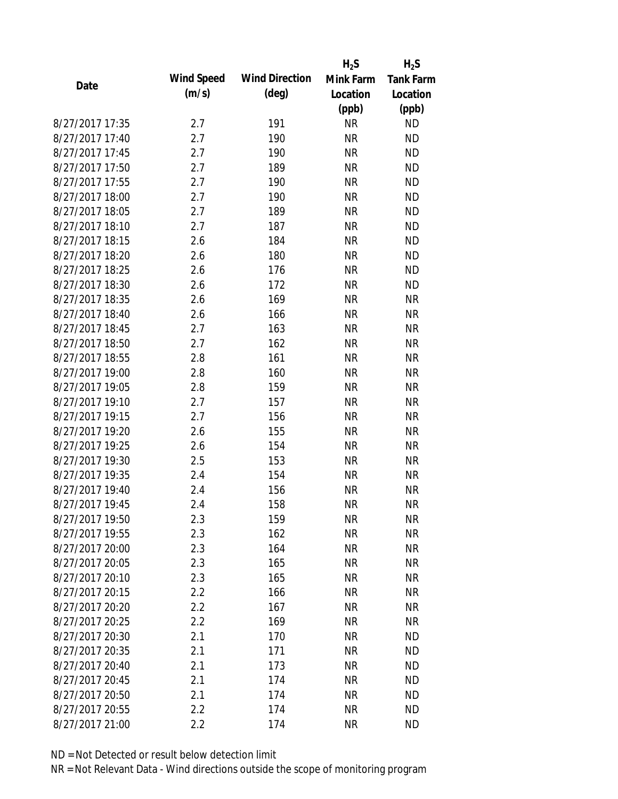|                 |            |                       | $H_2S$    | $H_2S$           |
|-----------------|------------|-----------------------|-----------|------------------|
| Date            | Wind Speed | <b>Wind Direction</b> | Mink Farm | <b>Tank Farm</b> |
|                 | (m/s)      | $(\text{deg})$        | Location  | Location         |
|                 |            |                       | (ppb)     | (ppb)            |
| 8/27/2017 17:35 | 2.7        | 191                   | <b>NR</b> | <b>ND</b>        |
| 8/27/2017 17:40 | 2.7        | 190                   | <b>NR</b> | <b>ND</b>        |
| 8/27/2017 17:45 | 2.7        | 190                   | <b>NR</b> | <b>ND</b>        |
| 8/27/2017 17:50 | 2.7        | 189                   | <b>NR</b> | <b>ND</b>        |
| 8/27/2017 17:55 | 2.7        | 190                   | <b>NR</b> | <b>ND</b>        |
| 8/27/2017 18:00 | 2.7        | 190                   | <b>NR</b> | <b>ND</b>        |
| 8/27/2017 18:05 | 2.7        | 189                   | <b>NR</b> | <b>ND</b>        |
| 8/27/2017 18:10 | 2.7        | 187                   | <b>NR</b> | <b>ND</b>        |
| 8/27/2017 18:15 | 2.6        | 184                   | <b>NR</b> | <b>ND</b>        |
| 8/27/2017 18:20 | 2.6        | 180                   | <b>NR</b> | <b>ND</b>        |
| 8/27/2017 18:25 | 2.6        | 176                   | <b>NR</b> | <b>ND</b>        |
| 8/27/2017 18:30 | 2.6        | 172                   | <b>NR</b> | <b>ND</b>        |
| 8/27/2017 18:35 | 2.6        | 169                   | <b>NR</b> | <b>NR</b>        |
| 8/27/2017 18:40 | 2.6        | 166                   | <b>NR</b> | <b>NR</b>        |
| 8/27/2017 18:45 | 2.7        | 163                   | <b>NR</b> | <b>NR</b>        |
| 8/27/2017 18:50 | 2.7        | 162                   | <b>NR</b> | <b>NR</b>        |
| 8/27/2017 18:55 | 2.8        | 161                   | <b>NR</b> | <b>NR</b>        |
| 8/27/2017 19:00 | 2.8        | 160                   | <b>NR</b> | <b>NR</b>        |
| 8/27/2017 19:05 | 2.8        | 159                   | <b>NR</b> | <b>NR</b>        |
| 8/27/2017 19:10 | 2.7        | 157                   | <b>NR</b> | <b>NR</b>        |
| 8/27/2017 19:15 | 2.7        | 156                   | <b>NR</b> | <b>NR</b>        |
| 8/27/2017 19:20 | 2.6        | 155                   | <b>NR</b> | <b>NR</b>        |
| 8/27/2017 19:25 | 2.6        | 154                   | <b>NR</b> | <b>NR</b>        |
| 8/27/2017 19:30 | 2.5        | 153                   | <b>NR</b> | <b>NR</b>        |
| 8/27/2017 19:35 | 2.4        | 154                   | <b>NR</b> | <b>NR</b>        |
| 8/27/2017 19:40 | 2.4        | 156                   | <b>NR</b> | <b>NR</b>        |
| 8/27/2017 19:45 | 2.4        | 158                   | <b>NR</b> | <b>NR</b>        |
| 8/27/2017 19:50 | 2.3        | 159                   | ΝR        | <b>NR</b>        |
| 8/27/2017 19:55 | 2.3        | 162                   | <b>NR</b> | <b>NR</b>        |
| 8/27/2017 20:00 | 2.3        | 164                   | <b>NR</b> | <b>NR</b>        |
| 8/27/2017 20:05 | 2.3        | 165                   | <b>NR</b> | <b>NR</b>        |
| 8/27/2017 20:10 | 2.3        | 165                   | <b>NR</b> | <b>NR</b>        |
| 8/27/2017 20:15 | 2.2        | 166                   | <b>NR</b> | <b>NR</b>        |
| 8/27/2017 20:20 | 2.2        | 167                   | <b>NR</b> | <b>NR</b>        |
| 8/27/2017 20:25 | 2.2        | 169                   | <b>NR</b> | <b>NR</b>        |
| 8/27/2017 20:30 | 2.1        | 170                   | <b>NR</b> | <b>ND</b>        |
| 8/27/2017 20:35 | 2.1        | 171                   | <b>NR</b> | <b>ND</b>        |
| 8/27/2017 20:40 | 2.1        | 173                   | <b>NR</b> | <b>ND</b>        |
| 8/27/2017 20:45 | 2.1        | 174                   | <b>NR</b> | <b>ND</b>        |
| 8/27/2017 20:50 | 2.1        | 174                   | ΝR        | <b>ND</b>        |
| 8/27/2017 20:55 | 2.2        | 174                   | <b>NR</b> | <b>ND</b>        |
| 8/27/2017 21:00 | 2.2        | 174                   | <b>NR</b> | <b>ND</b>        |
|                 |            |                       |           |                  |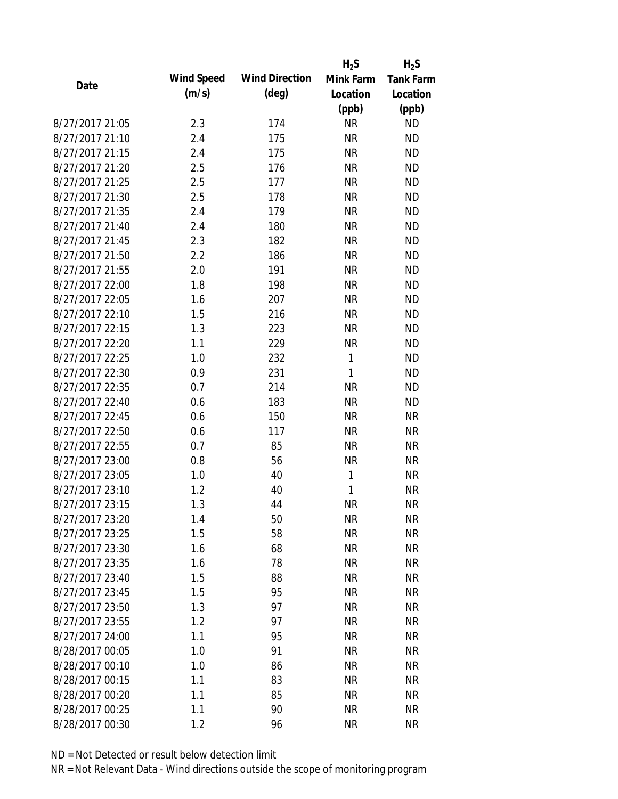|                 |            |                       | $H_2S$       | $H_2S$           |
|-----------------|------------|-----------------------|--------------|------------------|
| Date            | Wind Speed | <b>Wind Direction</b> | Mink Farm    | <b>Tank Farm</b> |
|                 | (m/s)      | $(\text{deg})$        | Location     | Location         |
|                 |            |                       | (ppb)        | (ppb)            |
| 8/27/2017 21:05 | 2.3        | 174                   | <b>NR</b>    | <b>ND</b>        |
| 8/27/2017 21:10 | 2.4        | 175                   | <b>NR</b>    | <b>ND</b>        |
| 8/27/2017 21:15 | 2.4        | 175                   | <b>NR</b>    | <b>ND</b>        |
| 8/27/2017 21:20 | 2.5        | 176                   | <b>NR</b>    | <b>ND</b>        |
| 8/27/2017 21:25 | 2.5        | 177                   | <b>NR</b>    | <b>ND</b>        |
| 8/27/2017 21:30 | 2.5        | 178                   | <b>NR</b>    | <b>ND</b>        |
| 8/27/2017 21:35 | 2.4        | 179                   | <b>NR</b>    | <b>ND</b>        |
| 8/27/2017 21:40 | 2.4        | 180                   | <b>NR</b>    | <b>ND</b>        |
| 8/27/2017 21:45 | 2.3        | 182                   | <b>NR</b>    | <b>ND</b>        |
| 8/27/2017 21:50 | 2.2        | 186                   | <b>NR</b>    | <b>ND</b>        |
| 8/27/2017 21:55 | 2.0        | 191                   | <b>NR</b>    | <b>ND</b>        |
| 8/27/2017 22:00 | 1.8        | 198                   | <b>NR</b>    | <b>ND</b>        |
| 8/27/2017 22:05 | 1.6        | 207                   | <b>NR</b>    | <b>ND</b>        |
| 8/27/2017 22:10 | 1.5        | 216                   | <b>NR</b>    | <b>ND</b>        |
| 8/27/2017 22:15 | 1.3        | 223                   | <b>NR</b>    | <b>ND</b>        |
| 8/27/2017 22:20 | 1.1        | 229                   | <b>NR</b>    | <b>ND</b>        |
| 8/27/2017 22:25 | 1.0        | 232                   | 1            | <b>ND</b>        |
| 8/27/2017 22:30 | 0.9        | 231                   | $\mathbf{1}$ | <b>ND</b>        |
| 8/27/2017 22:35 | 0.7        | 214                   | <b>NR</b>    | <b>ND</b>        |
| 8/27/2017 22:40 | 0.6        | 183                   | <b>NR</b>    | <b>ND</b>        |
| 8/27/2017 22:45 | 0.6        | 150                   | <b>NR</b>    | <b>NR</b>        |
| 8/27/2017 22:50 | 0.6        | 117                   | <b>NR</b>    | <b>NR</b>        |
| 8/27/2017 22:55 | 0.7        | 85                    | <b>NR</b>    | <b>NR</b>        |
| 8/27/2017 23:00 | 0.8        | 56                    | <b>NR</b>    | <b>NR</b>        |
| 8/27/2017 23:05 | 1.0        | 40                    | 1            | <b>NR</b>        |
| 8/27/2017 23:10 | 1.2        | 40                    | 1            | <b>NR</b>        |
| 8/27/2017 23:15 | 1.3        | 44                    | <b>NR</b>    | <b>NR</b>        |
| 8/27/2017 23:20 | 1.4        | 50                    | <b>NR</b>    | <b>NR</b>        |
| 8/27/2017 23:25 | 1.5        | 58                    | <b>NR</b>    | <b>NR</b>        |
| 8/27/2017 23:30 | 1.6        | 68                    | <b>NR</b>    | <b>NR</b>        |
| 8/27/2017 23:35 | 1.6        | 78                    | <b>NR</b>    | <b>NR</b>        |
| 8/27/2017 23:40 | 1.5        | 88                    | <b>NR</b>    | <b>NR</b>        |
| 8/27/2017 23:45 | 1.5        | 95                    | <b>NR</b>    | <b>NR</b>        |
| 8/27/2017 23:50 | 1.3        | 97                    | <b>NR</b>    | <b>NR</b>        |
| 8/27/2017 23:55 | 1.2        | 97                    | <b>NR</b>    | <b>NR</b>        |
| 8/27/2017 24:00 | 1.1        | 95                    | <b>NR</b>    | <b>NR</b>        |
| 8/28/2017 00:05 | 1.0        | 91                    | <b>NR</b>    | <b>NR</b>        |
| 8/28/2017 00:10 | 1.0        | 86                    | <b>NR</b>    | <b>NR</b>        |
| 8/28/2017 00:15 | 1.1        | 83                    | <b>NR</b>    | <b>NR</b>        |
| 8/28/2017 00:20 | 1.1        | 85                    | ΝR           | <b>NR</b>        |
| 8/28/2017 00:25 | 1.1        | 90                    | <b>NR</b>    | <b>NR</b>        |
| 8/28/2017 00:30 | 1.2        | 96                    | <b>NR</b>    | <b>NR</b>        |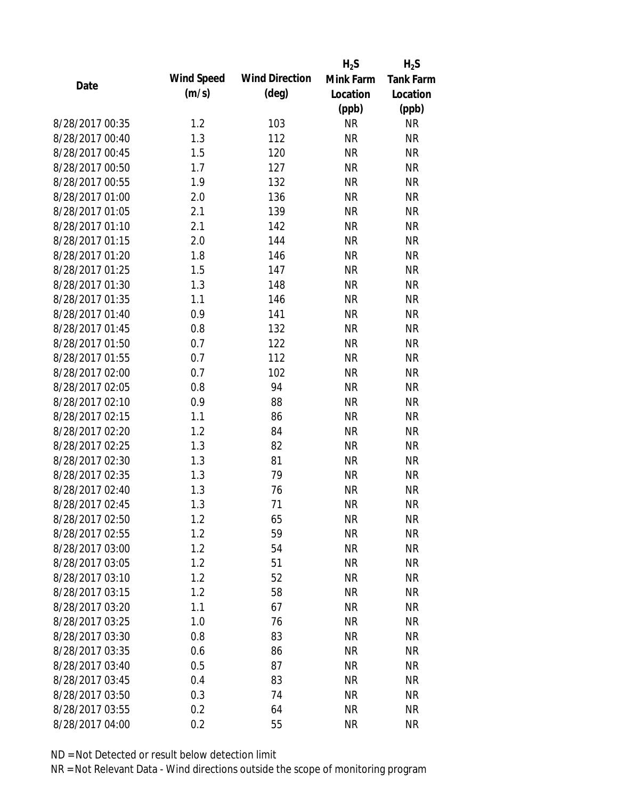|                 |            |                       | $H_2S$    | $H_2S$           |
|-----------------|------------|-----------------------|-----------|------------------|
| Date            | Wind Speed | <b>Wind Direction</b> | Mink Farm | <b>Tank Farm</b> |
|                 | (m/s)      | $(\text{deg})$        | Location  | Location         |
|                 |            |                       | (ppb)     | (ppb)            |
| 8/28/2017 00:35 | 1.2        | 103                   | <b>NR</b> | <b>NR</b>        |
| 8/28/2017 00:40 | 1.3        | 112                   | <b>NR</b> | <b>NR</b>        |
| 8/28/2017 00:45 | 1.5        | 120                   | <b>NR</b> | <b>NR</b>        |
| 8/28/2017 00:50 | 1.7        | 127                   | <b>NR</b> | <b>NR</b>        |
| 8/28/2017 00:55 | 1.9        | 132                   | <b>NR</b> | <b>NR</b>        |
| 8/28/2017 01:00 | 2.0        | 136                   | <b>NR</b> | <b>NR</b>        |
| 8/28/2017 01:05 | 2.1        | 139                   | <b>NR</b> | <b>NR</b>        |
| 8/28/2017 01:10 | 2.1        | 142                   | <b>NR</b> | <b>NR</b>        |
| 8/28/2017 01:15 | 2.0        | 144                   | <b>NR</b> | <b>NR</b>        |
| 8/28/2017 01:20 | 1.8        | 146                   | <b>NR</b> | <b>NR</b>        |
| 8/28/2017 01:25 | 1.5        | 147                   | <b>NR</b> | <b>NR</b>        |
| 8/28/2017 01:30 | 1.3        | 148                   | <b>NR</b> | <b>NR</b>        |
| 8/28/2017 01:35 | 1.1        | 146                   | <b>NR</b> | <b>NR</b>        |
| 8/28/2017 01:40 | 0.9        | 141                   | <b>NR</b> | <b>NR</b>        |
| 8/28/2017 01:45 | 0.8        | 132                   | <b>NR</b> | <b>NR</b>        |
| 8/28/2017 01:50 | 0.7        | 122                   | <b>NR</b> | <b>NR</b>        |
| 8/28/2017 01:55 | 0.7        | 112                   | <b>NR</b> | <b>NR</b>        |
| 8/28/2017 02:00 | 0.7        | 102                   | <b>NR</b> | <b>NR</b>        |
| 8/28/2017 02:05 | 0.8        | 94                    | <b>NR</b> | <b>NR</b>        |
| 8/28/2017 02:10 | 0.9        | 88                    | <b>NR</b> | <b>NR</b>        |
| 8/28/2017 02:15 | 1.1        | 86                    | <b>NR</b> | <b>NR</b>        |
| 8/28/2017 02:20 | 1.2        | 84                    | <b>NR</b> | <b>NR</b>        |
| 8/28/2017 02:25 | 1.3        | 82                    | <b>NR</b> | <b>NR</b>        |
| 8/28/2017 02:30 | 1.3        | 81                    | <b>NR</b> | <b>NR</b>        |
| 8/28/2017 02:35 | 1.3        | 79                    | <b>NR</b> | <b>NR</b>        |
| 8/28/2017 02:40 | 1.3        | 76                    | <b>NR</b> | <b>NR</b>        |
| 8/28/2017 02:45 | 1.3        | 71                    | <b>NR</b> | <b>NR</b>        |
| 8/28/2017 02:50 | 1.2        | 65                    | <b>NR</b> | <b>NR</b>        |
| 8/28/2017 02:55 | 1.2        | 59                    | <b>NR</b> | <b>NR</b>        |
| 8/28/2017 03:00 | 1.2        | 54                    | <b>NR</b> | <b>NR</b>        |
| 8/28/2017 03:05 | 1.2        | 51                    | <b>NR</b> | <b>NR</b>        |
| 8/28/2017 03:10 | 1.2        | 52                    | <b>NR</b> | <b>NR</b>        |
| 8/28/2017 03:15 | 1.2        | 58                    | <b>NR</b> | <b>NR</b>        |
| 8/28/2017 03:20 | 1.1        | 67                    | <b>NR</b> | <b>NR</b>        |
| 8/28/2017 03:25 | 1.0        | 76                    | <b>NR</b> | <b>NR</b>        |
| 8/28/2017 03:30 | 0.8        | 83                    | <b>NR</b> | <b>NR</b>        |
| 8/28/2017 03:35 | 0.6        | 86                    | <b>NR</b> | <b>NR</b>        |
| 8/28/2017 03:40 | 0.5        | 87                    | <b>NR</b> | <b>NR</b>        |
| 8/28/2017 03:45 | 0.4        | 83                    | <b>NR</b> | <b>NR</b>        |
| 8/28/2017 03:50 | 0.3        | 74                    | NR        | <b>NR</b>        |
| 8/28/2017 03:55 | 0.2        | 64                    | <b>NR</b> | <b>NR</b>        |
| 8/28/2017 04:00 | 0.2        | 55                    | <b>NR</b> | <b>NR</b>        |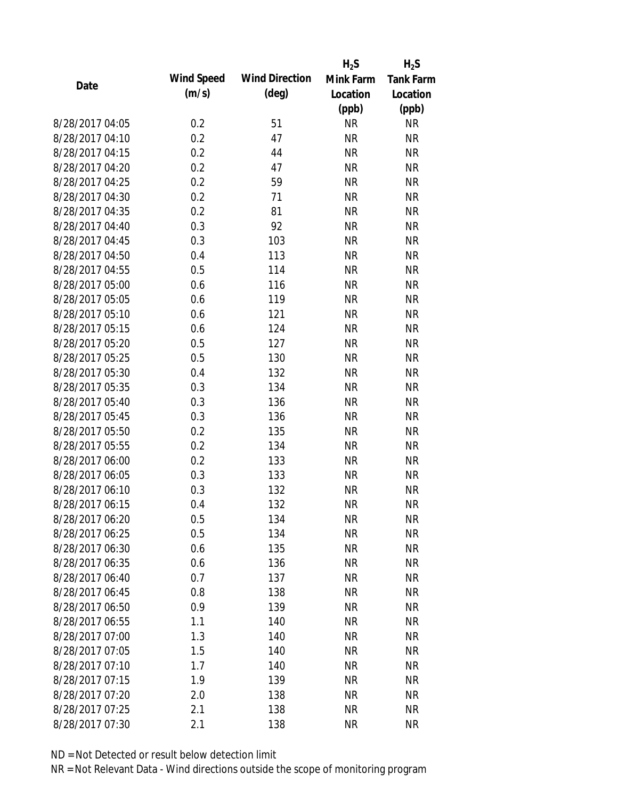|                 |            |                       | $H_2S$    | $H_2S$           |
|-----------------|------------|-----------------------|-----------|------------------|
| Date            | Wind Speed | <b>Wind Direction</b> | Mink Farm | <b>Tank Farm</b> |
|                 | (m/s)      | $(\text{deg})$        | Location  | Location         |
|                 |            |                       | (ppb)     | (ppb)            |
| 8/28/2017 04:05 | 0.2        | 51                    | <b>NR</b> | <b>NR</b>        |
| 8/28/2017 04:10 | 0.2        | 47                    | <b>NR</b> | <b>NR</b>        |
| 8/28/2017 04:15 | 0.2        | 44                    | <b>NR</b> | <b>NR</b>        |
| 8/28/2017 04:20 | 0.2        | 47                    | <b>NR</b> | <b>NR</b>        |
| 8/28/2017 04:25 | 0.2        | 59                    | <b>NR</b> | <b>NR</b>        |
| 8/28/2017 04:30 | 0.2        | 71                    | <b>NR</b> | <b>NR</b>        |
| 8/28/2017 04:35 | 0.2        | 81                    | <b>NR</b> | <b>NR</b>        |
| 8/28/2017 04:40 | 0.3        | 92                    | <b>NR</b> | <b>NR</b>        |
| 8/28/2017 04:45 | 0.3        | 103                   | <b>NR</b> | <b>NR</b>        |
| 8/28/2017 04:50 | 0.4        | 113                   | <b>NR</b> | <b>NR</b>        |
| 8/28/2017 04:55 | 0.5        | 114                   | <b>NR</b> | <b>NR</b>        |
| 8/28/2017 05:00 | 0.6        | 116                   | <b>NR</b> | <b>NR</b>        |
| 8/28/2017 05:05 | 0.6        | 119                   | <b>NR</b> | <b>NR</b>        |
| 8/28/2017 05:10 | 0.6        | 121                   | <b>NR</b> | <b>NR</b>        |
| 8/28/2017 05:15 | 0.6        | 124                   | <b>NR</b> | <b>NR</b>        |
| 8/28/2017 05:20 | 0.5        | 127                   | <b>NR</b> | <b>NR</b>        |
| 8/28/2017 05:25 | 0.5        | 130                   | <b>NR</b> | <b>NR</b>        |
| 8/28/2017 05:30 | 0.4        | 132                   | <b>NR</b> | <b>NR</b>        |
| 8/28/2017 05:35 | 0.3        | 134                   | <b>NR</b> | <b>NR</b>        |
| 8/28/2017 05:40 | 0.3        | 136                   | <b>NR</b> | <b>NR</b>        |
| 8/28/2017 05:45 | 0.3        | 136                   | <b>NR</b> | <b>NR</b>        |
| 8/28/2017 05:50 | 0.2        | 135                   | <b>NR</b> | <b>NR</b>        |
| 8/28/2017 05:55 | 0.2        | 134                   | <b>NR</b> | <b>NR</b>        |
| 8/28/2017 06:00 | 0.2        | 133                   | <b>NR</b> | <b>NR</b>        |
| 8/28/2017 06:05 | 0.3        | 133                   | <b>NR</b> | <b>NR</b>        |
| 8/28/2017 06:10 | 0.3        | 132                   | <b>NR</b> | <b>NR</b>        |
| 8/28/2017 06:15 | 0.4        | 132                   | <b>NR</b> | <b>NR</b>        |
| 8/28/2017 06:20 | 0.5        | 134                   | <b>NR</b> | <b>NR</b>        |
| 8/28/2017 06:25 | 0.5        | 134                   | <b>NR</b> | <b>NR</b>        |
| 8/28/2017 06:30 | 0.6        | 135                   | <b>NR</b> | <b>NR</b>        |
| 8/28/2017 06:35 | 0.6        | 136                   | <b>NR</b> | <b>NR</b>        |
| 8/28/2017 06:40 | 0.7        | 137                   | <b>NR</b> | <b>NR</b>        |
| 8/28/2017 06:45 | 0.8        | 138                   | <b>NR</b> | <b>NR</b>        |
| 8/28/2017 06:50 | 0.9        | 139                   | <b>NR</b> | <b>NR</b>        |
| 8/28/2017 06:55 | 1.1        | 140                   | <b>NR</b> | <b>NR</b>        |
| 8/28/2017 07:00 | 1.3        | 140                   | <b>NR</b> | <b>NR</b>        |
| 8/28/2017 07:05 | 1.5        | 140                   | <b>NR</b> | <b>NR</b>        |
| 8/28/2017 07:10 | 1.7        | 140                   | <b>NR</b> | <b>NR</b>        |
| 8/28/2017 07:15 | 1.9        | 139                   | <b>NR</b> | <b>NR</b>        |
| 8/28/2017 07:20 | 2.0        | 138                   | <b>NR</b> | <b>NR</b>        |
| 8/28/2017 07:25 | 2.1        | 138                   | <b>NR</b> | <b>NR</b>        |
| 8/28/2017 07:30 | 2.1        | 138                   | <b>NR</b> | <b>NR</b>        |
|                 |            |                       |           |                  |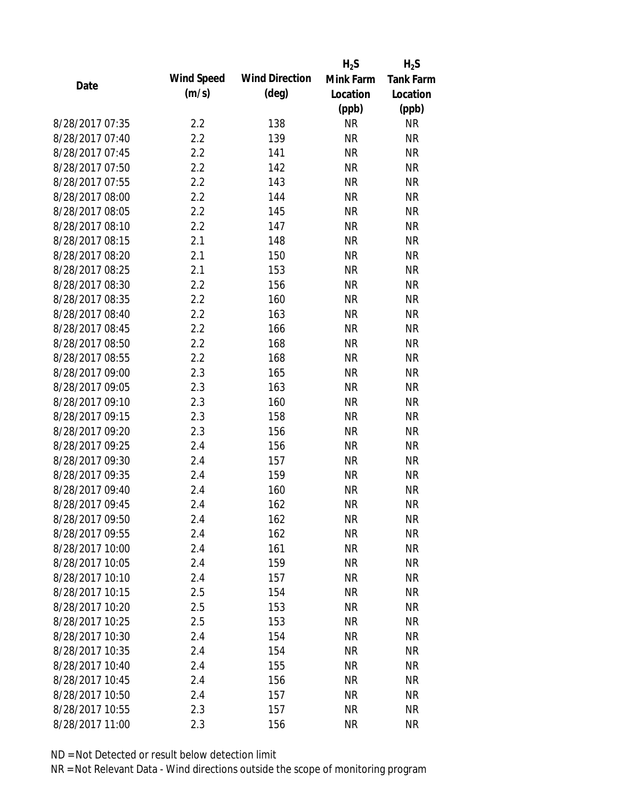|                 |            |                       | $H_2S$    | $H_2S$           |
|-----------------|------------|-----------------------|-----------|------------------|
| Date            | Wind Speed | <b>Wind Direction</b> | Mink Farm | <b>Tank Farm</b> |
|                 | (m/s)      | $(\text{deg})$        | Location  | Location         |
|                 |            |                       | (ppb)     | (ppb)            |
| 8/28/2017 07:35 | 2.2        | 138                   | <b>NR</b> | <b>NR</b>        |
| 8/28/2017 07:40 | 2.2        | 139                   | <b>NR</b> | <b>NR</b>        |
| 8/28/2017 07:45 | 2.2        | 141                   | <b>NR</b> | <b>NR</b>        |
| 8/28/2017 07:50 | 2.2        | 142                   | <b>NR</b> | <b>NR</b>        |
| 8/28/2017 07:55 | 2.2        | 143                   | <b>NR</b> | <b>NR</b>        |
| 8/28/2017 08:00 | 2.2        | 144                   | <b>NR</b> | <b>NR</b>        |
| 8/28/2017 08:05 | 2.2        | 145                   | <b>NR</b> | <b>NR</b>        |
| 8/28/2017 08:10 | 2.2        | 147                   | <b>NR</b> | <b>NR</b>        |
| 8/28/2017 08:15 | 2.1        | 148                   | <b>NR</b> | <b>NR</b>        |
| 8/28/2017 08:20 | 2.1        | 150                   | <b>NR</b> | <b>NR</b>        |
| 8/28/2017 08:25 | 2.1        | 153                   | <b>NR</b> | <b>NR</b>        |
| 8/28/2017 08:30 | 2.2        | 156                   | <b>NR</b> | <b>NR</b>        |
| 8/28/2017 08:35 | 2.2        | 160                   | <b>NR</b> | <b>NR</b>        |
| 8/28/2017 08:40 | 2.2        | 163                   | <b>NR</b> | <b>NR</b>        |
| 8/28/2017 08:45 | 2.2        | 166                   | <b>NR</b> | <b>NR</b>        |
| 8/28/2017 08:50 | 2.2        | 168                   | <b>NR</b> | <b>NR</b>        |
| 8/28/2017 08:55 | 2.2        | 168                   | <b>NR</b> | <b>NR</b>        |
| 8/28/2017 09:00 | 2.3        | 165                   | <b>NR</b> | <b>NR</b>        |
| 8/28/2017 09:05 | 2.3        | 163                   | <b>NR</b> | <b>NR</b>        |
| 8/28/2017 09:10 | 2.3        | 160                   | <b>NR</b> | <b>NR</b>        |
| 8/28/2017 09:15 | 2.3        | 158                   | <b>NR</b> | <b>NR</b>        |
| 8/28/2017 09:20 | 2.3        | 156                   | <b>NR</b> | <b>NR</b>        |
| 8/28/2017 09:25 | 2.4        | 156                   | <b>NR</b> | <b>NR</b>        |
| 8/28/2017 09:30 | 2.4        | 157                   | <b>NR</b> | <b>NR</b>        |
| 8/28/2017 09:35 | 2.4        | 159                   | <b>NR</b> | <b>NR</b>        |
| 8/28/2017 09:40 | 2.4        | 160                   | <b>NR</b> | <b>NR</b>        |
| 8/28/2017 09:45 | 2.4        | 162                   | <b>NR</b> | <b>NR</b>        |
| 8/28/2017 09:50 | 2.4        | 162                   | <b>NR</b> | <b>NR</b>        |
| 8/28/2017 09:55 | 2.4        | 162                   | <b>NR</b> | <b>NR</b>        |
| 8/28/2017 10:00 | 2.4        | 161                   | <b>NR</b> | <b>NR</b>        |
| 8/28/2017 10:05 | 2.4        | 159                   | <b>NR</b> | <b>NR</b>        |
| 8/28/2017 10:10 | 2.4        | 157                   | <b>NR</b> | <b>NR</b>        |
| 8/28/2017 10:15 | 2.5        | 154                   | <b>NR</b> | <b>NR</b>        |
| 8/28/2017 10:20 | 2.5        | 153                   | <b>NR</b> | <b>NR</b>        |
| 8/28/2017 10:25 | 2.5        | 153                   | <b>NR</b> | <b>NR</b>        |
| 8/28/2017 10:30 | 2.4        | 154                   | <b>NR</b> | <b>NR</b>        |
| 8/28/2017 10:35 | 2.4        | 154                   | <b>NR</b> | <b>NR</b>        |
| 8/28/2017 10:40 | 2.4        | 155                   | <b>NR</b> | <b>NR</b>        |
| 8/28/2017 10:45 | 2.4        | 156                   | <b>NR</b> | <b>NR</b>        |
| 8/28/2017 10:50 | 2.4        | 157                   | ΝR        | <b>NR</b>        |
| 8/28/2017 10:55 | 2.3        | 157                   | <b>NR</b> | <b>NR</b>        |
| 8/28/2017 11:00 | 2.3        | 156                   | <b>NR</b> | <b>NR</b>        |
|                 |            |                       |           |                  |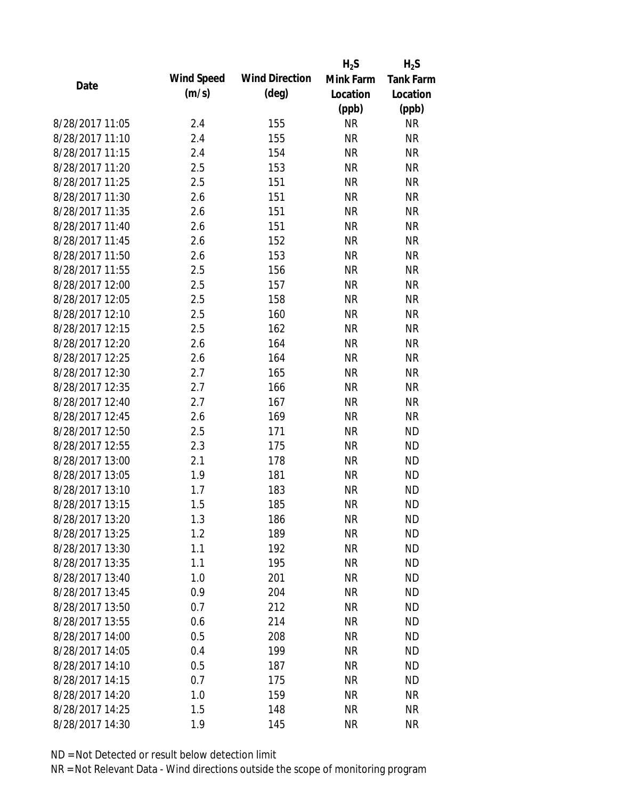|                 |            |                       | $H_2S$    | $H_2S$           |
|-----------------|------------|-----------------------|-----------|------------------|
| Date            | Wind Speed | <b>Wind Direction</b> | Mink Farm | <b>Tank Farm</b> |
|                 | (m/s)      | $(\text{deg})$        | Location  | Location         |
|                 |            |                       | (ppb)     | (ppb)            |
| 8/28/2017 11:05 | 2.4        | 155                   | <b>NR</b> | <b>NR</b>        |
| 8/28/2017 11:10 | 2.4        | 155                   | <b>NR</b> | <b>NR</b>        |
| 8/28/2017 11:15 | 2.4        | 154                   | <b>NR</b> | <b>NR</b>        |
| 8/28/2017 11:20 | 2.5        | 153                   | <b>NR</b> | <b>NR</b>        |
| 8/28/2017 11:25 | 2.5        | 151                   | <b>NR</b> | <b>NR</b>        |
| 8/28/2017 11:30 | 2.6        | 151                   | <b>NR</b> | <b>NR</b>        |
| 8/28/2017 11:35 | 2.6        | 151                   | <b>NR</b> | <b>NR</b>        |
| 8/28/2017 11:40 | 2.6        | 151                   | <b>NR</b> | <b>NR</b>        |
| 8/28/2017 11:45 | 2.6        | 152                   | <b>NR</b> | <b>NR</b>        |
| 8/28/2017 11:50 | 2.6        | 153                   | <b>NR</b> | <b>NR</b>        |
| 8/28/2017 11:55 | 2.5        | 156                   | <b>NR</b> | <b>NR</b>        |
| 8/28/2017 12:00 | 2.5        | 157                   | <b>NR</b> | <b>NR</b>        |
| 8/28/2017 12:05 | 2.5        | 158                   | <b>NR</b> | <b>NR</b>        |
| 8/28/2017 12:10 | 2.5        | 160                   | <b>NR</b> | <b>NR</b>        |
| 8/28/2017 12:15 | 2.5        | 162                   | <b>NR</b> | <b>NR</b>        |
| 8/28/2017 12:20 | 2.6        | 164                   | <b>NR</b> | <b>NR</b>        |
| 8/28/2017 12:25 | 2.6        | 164                   | <b>NR</b> | <b>NR</b>        |
| 8/28/2017 12:30 | 2.7        | 165                   | <b>NR</b> | <b>NR</b>        |
| 8/28/2017 12:35 | 2.7        | 166                   | <b>NR</b> | <b>NR</b>        |
| 8/28/2017 12:40 | 2.7        | 167                   | <b>NR</b> | <b>NR</b>        |
| 8/28/2017 12:45 | 2.6        | 169                   | <b>NR</b> | <b>NR</b>        |
| 8/28/2017 12:50 | 2.5        | 171                   | <b>NR</b> | <b>ND</b>        |
| 8/28/2017 12:55 | 2.3        | 175                   | <b>NR</b> | <b>ND</b>        |
| 8/28/2017 13:00 | 2.1        | 178                   | <b>NR</b> | <b>ND</b>        |
| 8/28/2017 13:05 | 1.9        | 181                   | <b>NR</b> | <b>ND</b>        |
| 8/28/2017 13:10 | 1.7        | 183                   | <b>NR</b> | <b>ND</b>        |
| 8/28/2017 13:15 | 1.5        | 185                   | <b>NR</b> | <b>ND</b>        |
| 8/28/2017 13:20 | 1.3        | 186                   | <b>NR</b> | <b>ND</b>        |
| 8/28/2017 13:25 | 1.2        | 189                   | <b>NR</b> | <b>ND</b>        |
| 8/28/2017 13:30 | 1.1        | 192                   | <b>NR</b> | <b>ND</b>        |
| 8/28/2017 13:35 | 1.1        | 195                   | <b>NR</b> | <b>ND</b>        |
| 8/28/2017 13:40 | 1.0        | 201                   | <b>NR</b> | <b>ND</b>        |
| 8/28/2017 13:45 | 0.9        | 204                   | <b>NR</b> | <b>ND</b>        |
| 8/28/2017 13:50 | 0.7        | 212                   | <b>NR</b> | <b>ND</b>        |
| 8/28/2017 13:55 | 0.6        | 214                   | <b>NR</b> | <b>ND</b>        |
| 8/28/2017 14:00 | 0.5        | 208                   | <b>NR</b> | <b>ND</b>        |
| 8/28/2017 14:05 | 0.4        | 199                   | <b>NR</b> | <b>ND</b>        |
| 8/28/2017 14:10 | 0.5        | 187                   | <b>NR</b> | <b>ND</b>        |
| 8/28/2017 14:15 | 0.7        | 175                   | <b>NR</b> | <b>ND</b>        |
| 8/28/2017 14:20 | 1.0        | 159                   | ΝR        | <b>NR</b>        |
| 8/28/2017 14:25 | 1.5        | 148                   | <b>NR</b> | <b>NR</b>        |
| 8/28/2017 14:30 | 1.9        | 145                   | <b>NR</b> | <b>NR</b>        |
|                 |            |                       |           |                  |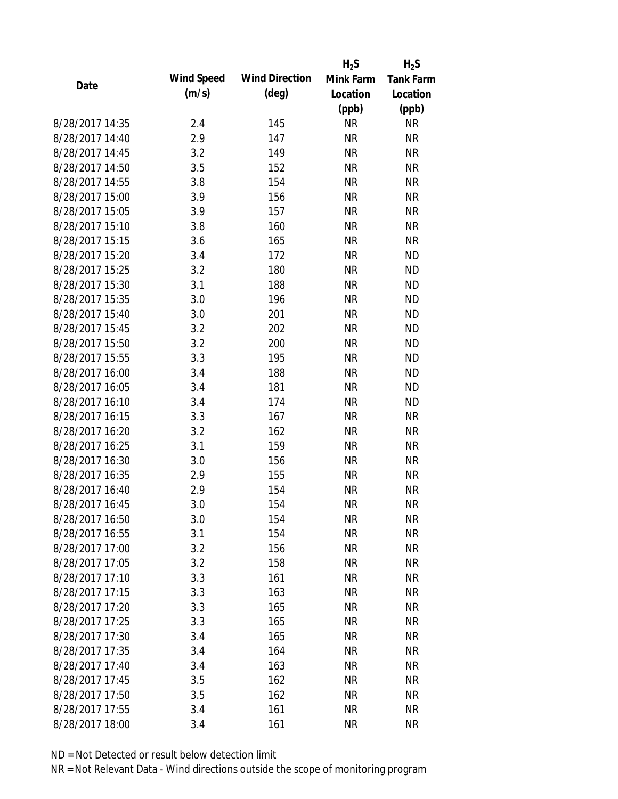|                 |            |                       | $H_2S$    | $H_2S$           |
|-----------------|------------|-----------------------|-----------|------------------|
| Date            | Wind Speed | <b>Wind Direction</b> | Mink Farm | <b>Tank Farm</b> |
|                 | (m/s)      | $(\text{deg})$        | Location  | Location         |
|                 |            |                       | (ppb)     | (ppb)            |
| 8/28/2017 14:35 | 2.4        | 145                   | <b>NR</b> | <b>NR</b>        |
| 8/28/2017 14:40 | 2.9        | 147                   | <b>NR</b> | <b>NR</b>        |
| 8/28/2017 14:45 | 3.2        | 149                   | <b>NR</b> | <b>NR</b>        |
| 8/28/2017 14:50 | 3.5        | 152                   | <b>NR</b> | <b>NR</b>        |
| 8/28/2017 14:55 | 3.8        | 154                   | <b>NR</b> | <b>NR</b>        |
| 8/28/2017 15:00 | 3.9        | 156                   | <b>NR</b> | <b>NR</b>        |
| 8/28/2017 15:05 | 3.9        | 157                   | <b>NR</b> | <b>NR</b>        |
| 8/28/2017 15:10 | 3.8        | 160                   | <b>NR</b> | <b>NR</b>        |
| 8/28/2017 15:15 | 3.6        | 165                   | <b>NR</b> | <b>NR</b>        |
| 8/28/2017 15:20 | 3.4        | 172                   | <b>NR</b> | <b>ND</b>        |
| 8/28/2017 15:25 | 3.2        | 180                   | <b>NR</b> | <b>ND</b>        |
| 8/28/2017 15:30 | 3.1        | 188                   | <b>NR</b> | <b>ND</b>        |
| 8/28/2017 15:35 | 3.0        | 196                   | <b>NR</b> | <b>ND</b>        |
| 8/28/2017 15:40 | 3.0        | 201                   | <b>NR</b> | <b>ND</b>        |
| 8/28/2017 15:45 | 3.2        | 202                   | <b>NR</b> | <b>ND</b>        |
| 8/28/2017 15:50 | 3.2        | 200                   | <b>NR</b> | <b>ND</b>        |
| 8/28/2017 15:55 | 3.3        | 195                   | <b>NR</b> | <b>ND</b>        |
| 8/28/2017 16:00 | 3.4        | 188                   | <b>NR</b> | <b>ND</b>        |
| 8/28/2017 16:05 | 3.4        | 181                   | <b>NR</b> | <b>ND</b>        |
| 8/28/2017 16:10 | 3.4        | 174                   | <b>NR</b> | <b>ND</b>        |
| 8/28/2017 16:15 | 3.3        | 167                   | <b>NR</b> | <b>NR</b>        |
| 8/28/2017 16:20 | 3.2        | 162                   | <b>NR</b> | <b>NR</b>        |
| 8/28/2017 16:25 | 3.1        | 159                   | <b>NR</b> | <b>NR</b>        |
| 8/28/2017 16:30 | 3.0        | 156                   | <b>NR</b> | <b>NR</b>        |
| 8/28/2017 16:35 | 2.9        | 155                   | <b>NR</b> | <b>NR</b>        |
| 8/28/2017 16:40 | 2.9        | 154                   | <b>NR</b> | <b>NR</b>        |
| 8/28/2017 16:45 | 3.0        | 154                   | <b>NR</b> | <b>NR</b>        |
| 8/28/2017 16:50 | 3.0        | 154                   | <b>NR</b> | <b>NR</b>        |
| 8/28/2017 16:55 | 3.1        | 154                   | <b>NR</b> | <b>NR</b>        |
| 8/28/2017 17:00 | 3.2        | 156                   | <b>NR</b> | <b>NR</b>        |
| 8/28/2017 17:05 | 3.2        | 158                   | <b>NR</b> | <b>NR</b>        |
| 8/28/2017 17:10 | 3.3        | 161                   | <b>NR</b> | <b>NR</b>        |
| 8/28/2017 17:15 | 3.3        | 163                   | <b>NR</b> | <b>NR</b>        |
| 8/28/2017 17:20 | 3.3        | 165                   | <b>NR</b> | <b>NR</b>        |
| 8/28/2017 17:25 | 3.3        | 165                   | <b>NR</b> | <b>NR</b>        |
| 8/28/2017 17:30 | 3.4        | 165                   | <b>NR</b> | <b>NR</b>        |
| 8/28/2017 17:35 | 3.4        | 164                   | <b>NR</b> | <b>NR</b>        |
| 8/28/2017 17:40 | 3.4        | 163                   | <b>NR</b> | <b>NR</b>        |
| 8/28/2017 17:45 | 3.5        | 162                   | <b>NR</b> | <b>NR</b>        |
| 8/28/2017 17:50 | 3.5        | 162                   | NR        | <b>NR</b>        |
| 8/28/2017 17:55 | 3.4        | 161                   | <b>NR</b> | <b>NR</b>        |
| 8/28/2017 18:00 | 3.4        | 161                   | <b>NR</b> | <b>NR</b>        |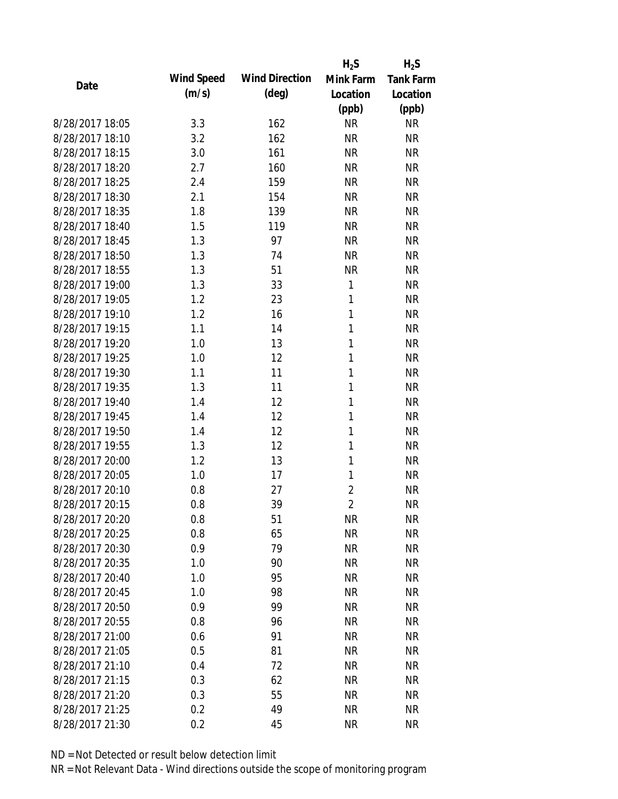|                 |            |                       | $H_2S$         | $H_2S$           |
|-----------------|------------|-----------------------|----------------|------------------|
| Date            | Wind Speed | <b>Wind Direction</b> | Mink Farm      | <b>Tank Farm</b> |
|                 | (m/s)      | $(\text{deg})$        | Location       | Location         |
|                 |            |                       | (ppb)          | (ppb)            |
| 8/28/2017 18:05 | 3.3        | 162                   | <b>NR</b>      | <b>NR</b>        |
| 8/28/2017 18:10 | 3.2        | 162                   | <b>NR</b>      | <b>NR</b>        |
| 8/28/2017 18:15 | 3.0        | 161                   | <b>NR</b>      | <b>NR</b>        |
| 8/28/2017 18:20 | 2.7        | 160                   | <b>NR</b>      | <b>NR</b>        |
| 8/28/2017 18:25 | 2.4        | 159                   | <b>NR</b>      | <b>NR</b>        |
| 8/28/2017 18:30 | 2.1        | 154                   | <b>NR</b>      | <b>NR</b>        |
| 8/28/2017 18:35 | 1.8        | 139                   | <b>NR</b>      | <b>NR</b>        |
| 8/28/2017 18:40 | 1.5        | 119                   | <b>NR</b>      | <b>NR</b>        |
| 8/28/2017 18:45 | 1.3        | 97                    | <b>NR</b>      | <b>NR</b>        |
| 8/28/2017 18:50 | 1.3        | 74                    | <b>NR</b>      | <b>NR</b>        |
| 8/28/2017 18:55 | 1.3        | 51                    | <b>NR</b>      | <b>NR</b>        |
| 8/28/2017 19:00 | 1.3        | 33                    | 1              | <b>NR</b>        |
| 8/28/2017 19:05 | 1.2        | 23                    | 1              | <b>NR</b>        |
| 8/28/2017 19:10 | 1.2        | 16                    | 1              | <b>NR</b>        |
| 8/28/2017 19:15 | 1.1        | 14                    | 1              | <b>NR</b>        |
| 8/28/2017 19:20 | 1.0        | 13                    | 1              | <b>NR</b>        |
| 8/28/2017 19:25 | 1.0        | 12                    | 1              | <b>NR</b>        |
| 8/28/2017 19:30 | 1.1        | 11                    | 1              | <b>NR</b>        |
| 8/28/2017 19:35 | 1.3        | 11                    | 1              | <b>NR</b>        |
| 8/28/2017 19:40 | 1.4        | 12                    | 1              | <b>NR</b>        |
| 8/28/2017 19:45 | 1.4        | 12                    | 1              | <b>NR</b>        |
| 8/28/2017 19:50 | 1.4        | 12                    | 1              | <b>NR</b>        |
| 8/28/2017 19:55 | 1.3        | 12                    | 1              | <b>NR</b>        |
| 8/28/2017 20:00 | 1.2        | 13                    | 1              | <b>NR</b>        |
| 8/28/2017 20:05 | 1.0        | 17                    | 1              | <b>NR</b>        |
| 8/28/2017 20:10 | 0.8        | 27                    | $\overline{2}$ | <b>NR</b>        |
| 8/28/2017 20:15 | 0.8        | 39                    | $\overline{2}$ | <b>NR</b>        |
| 8/28/2017 20:20 | 0.8        | 51                    | <b>NR</b>      | <b>NR</b>        |
| 8/28/2017 20:25 | 0.8        | 65                    | <b>NR</b>      | <b>NR</b>        |
| 8/28/2017 20:30 | 0.9        | 79                    | <b>NR</b>      | <b>NR</b>        |
| 8/28/2017 20:35 | 1.0        | 90                    | <b>NR</b>      | <b>NR</b>        |
| 8/28/2017 20:40 | 1.0        | 95                    | <b>NR</b>      | <b>NR</b>        |
| 8/28/2017 20:45 | 1.0        | 98                    | <b>NR</b>      | <b>NR</b>        |
| 8/28/2017 20:50 | 0.9        | 99                    | <b>NR</b>      | <b>NR</b>        |
| 8/28/2017 20:55 | 0.8        | 96                    | <b>NR</b>      | <b>NR</b>        |
| 8/28/2017 21:00 | 0.6        | 91                    | <b>NR</b>      | <b>NR</b>        |
| 8/28/2017 21:05 | 0.5        | 81                    | <b>NR</b>      | <b>NR</b>        |
| 8/28/2017 21:10 | 0.4        | 72                    | <b>NR</b>      | <b>NR</b>        |
| 8/28/2017 21:15 | 0.3        | 62                    | <b>NR</b>      | <b>NR</b>        |
| 8/28/2017 21:20 | 0.3        | 55                    | ΝR             | <b>NR</b>        |
| 8/28/2017 21:25 | 0.2        | 49                    | <b>NR</b>      | <b>NR</b>        |
| 8/28/2017 21:30 | 0.2        | 45                    | <b>NR</b>      | <b>NR</b>        |
|                 |            |                       |                |                  |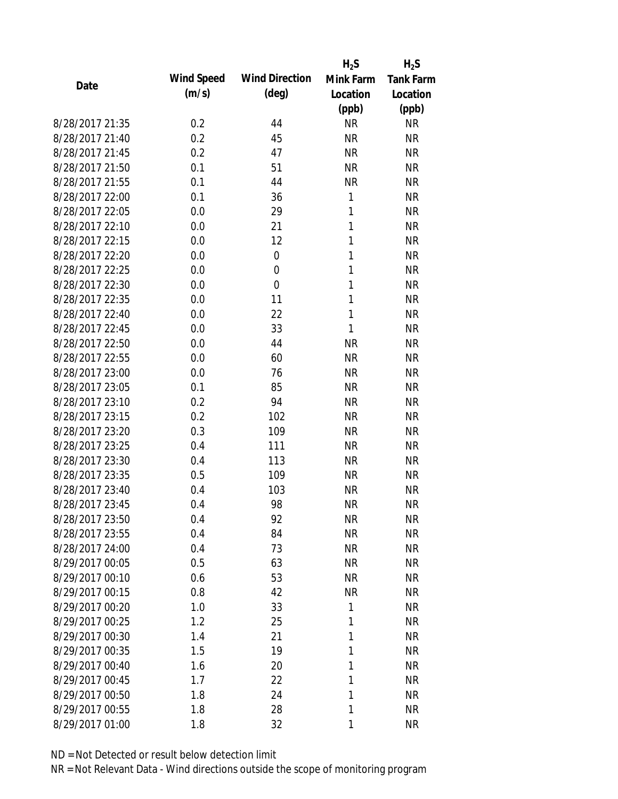|                 |            |                       | $H_2S$    | $H_2S$           |
|-----------------|------------|-----------------------|-----------|------------------|
| Date            | Wind Speed | <b>Wind Direction</b> | Mink Farm | <b>Tank Farm</b> |
|                 | (m/s)      | $(\text{deg})$        | Location  | Location         |
|                 |            |                       | (ppb)     | (ppb)            |
| 8/28/2017 21:35 | 0.2        | 44                    | <b>NR</b> | <b>NR</b>        |
| 8/28/2017 21:40 | 0.2        | 45                    | <b>NR</b> | <b>NR</b>        |
| 8/28/2017 21:45 | 0.2        | 47                    | <b>NR</b> | <b>NR</b>        |
| 8/28/2017 21:50 | 0.1        | 51                    | <b>NR</b> | <b>NR</b>        |
| 8/28/2017 21:55 | 0.1        | 44                    | <b>NR</b> | <b>NR</b>        |
| 8/28/2017 22:00 | 0.1        | 36                    | 1         | <b>NR</b>        |
| 8/28/2017 22:05 | 0.0        | 29                    | 1         | <b>NR</b>        |
| 8/28/2017 22:10 | 0.0        | 21                    | 1         | <b>NR</b>        |
| 8/28/2017 22:15 | 0.0        | 12                    | 1         | <b>NR</b>        |
| 8/28/2017 22:20 | 0.0        | $\mathbf 0$           | 1         | <b>NR</b>        |
| 8/28/2017 22:25 | 0.0        | $\overline{0}$        | 1         | <b>NR</b>        |
| 8/28/2017 22:30 | 0.0        | $\overline{0}$        | 1         | <b>NR</b>        |
| 8/28/2017 22:35 | 0.0        | 11                    | 1         | <b>NR</b>        |
| 8/28/2017 22:40 | 0.0        | 22                    | 1         | <b>NR</b>        |
| 8/28/2017 22:45 | 0.0        | 33                    | 1         | <b>NR</b>        |
| 8/28/2017 22:50 | 0.0        | 44                    | <b>NR</b> | <b>NR</b>        |
| 8/28/2017 22:55 | 0.0        | 60                    | <b>NR</b> | <b>NR</b>        |
| 8/28/2017 23:00 | 0.0        | 76                    | <b>NR</b> | <b>NR</b>        |
| 8/28/2017 23:05 | 0.1        | 85                    | <b>NR</b> | <b>NR</b>        |
| 8/28/2017 23:10 | 0.2        | 94                    | <b>NR</b> | <b>NR</b>        |
| 8/28/2017 23:15 | 0.2        | 102                   | <b>NR</b> | <b>NR</b>        |
| 8/28/2017 23:20 | 0.3        | 109                   | <b>NR</b> | <b>NR</b>        |
| 8/28/2017 23:25 | 0.4        | 111                   | <b>NR</b> | <b>NR</b>        |
| 8/28/2017 23:30 | 0.4        | 113                   | <b>NR</b> | <b>NR</b>        |
| 8/28/2017 23:35 | 0.5        | 109                   | <b>NR</b> | <b>NR</b>        |
| 8/28/2017 23:40 | 0.4        | 103                   | <b>NR</b> | <b>NR</b>        |
| 8/28/2017 23:45 | 0.4        | 98                    | <b>NR</b> | <b>NR</b>        |
| 8/28/2017 23:50 | 0.4        | 92                    | <b>NR</b> | <b>NR</b>        |
| 8/28/2017 23:55 | 0.4        | 84                    | <b>NR</b> | <b>NR</b>        |
| 8/28/2017 24:00 | 0.4        | 73                    | <b>NR</b> | <b>NR</b>        |
| 8/29/2017 00:05 | 0.5        | 63                    | <b>NR</b> | <b>NR</b>        |
| 8/29/2017 00:10 | 0.6        | 53                    | <b>NR</b> | <b>NR</b>        |
| 8/29/2017 00:15 | 0.8        | 42                    | <b>NR</b> | <b>NR</b>        |
| 8/29/2017 00:20 | 1.0        | 33                    | 1         | <b>NR</b>        |
| 8/29/2017 00:25 | 1.2        | 25                    | 1         | <b>NR</b>        |
| 8/29/2017 00:30 | 1.4        | 21                    | 1         | <b>NR</b>        |
| 8/29/2017 00:35 | 1.5        | 19                    | 1         | <b>NR</b>        |
| 8/29/2017 00:40 | 1.6        | 20                    | 1         | <b>NR</b>        |
| 8/29/2017 00:45 | 1.7        | 22                    | 1         | <b>NR</b>        |
| 8/29/2017 00:50 | 1.8        | 24                    | 1         | <b>NR</b>        |
| 8/29/2017 00:55 | 1.8        | 28                    | 1         | <b>NR</b>        |
| 8/29/2017 01:00 | 1.8        | 32                    | 1         | <b>NR</b>        |
|                 |            |                       |           |                  |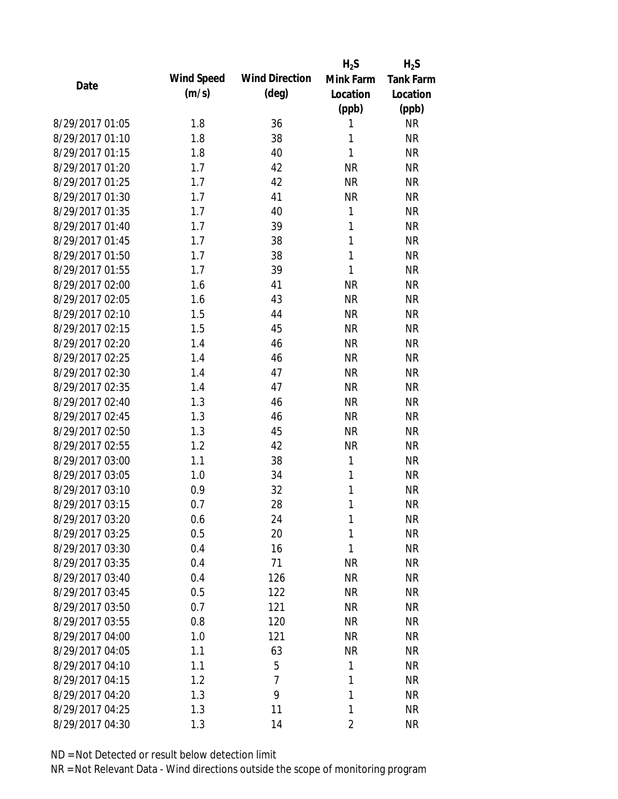|                 |            |                       | $H_2S$       | $H_2S$           |
|-----------------|------------|-----------------------|--------------|------------------|
| Date            | Wind Speed | <b>Wind Direction</b> | Mink Farm    | <b>Tank Farm</b> |
|                 | (m/s)      | $(\text{deg})$        | Location     | Location         |
|                 |            |                       | (ppb)        | (ppb)            |
| 8/29/2017 01:05 | 1.8        | 36                    | 1            | <b>NR</b>        |
| 8/29/2017 01:10 | 1.8        | 38                    | 1            | <b>NR</b>        |
| 8/29/2017 01:15 | 1.8        | 40                    | $\mathbf{1}$ | <b>NR</b>        |
| 8/29/2017 01:20 | 1.7        | 42                    | <b>NR</b>    | <b>NR</b>        |
| 8/29/2017 01:25 | 1.7        | 42                    | <b>NR</b>    | <b>NR</b>        |
| 8/29/2017 01:30 | 1.7        | 41                    | <b>NR</b>    | <b>NR</b>        |
| 8/29/2017 01:35 | 1.7        | 40                    | 1            | <b>NR</b>        |
| 8/29/2017 01:40 | 1.7        | 39                    | $\mathbf{1}$ | <b>NR</b>        |
| 8/29/2017 01:45 | 1.7        | 38                    | 1            | <b>NR</b>        |
| 8/29/2017 01:50 | 1.7        | 38                    | $\mathbf{1}$ | <b>NR</b>        |
| 8/29/2017 01:55 | 1.7        | 39                    | 1            | <b>NR</b>        |
| 8/29/2017 02:00 | 1.6        | 41                    | <b>NR</b>    | <b>NR</b>        |
| 8/29/2017 02:05 | 1.6        | 43                    | <b>NR</b>    | <b>NR</b>        |
| 8/29/2017 02:10 | 1.5        | 44                    | <b>NR</b>    | <b>NR</b>        |
| 8/29/2017 02:15 | 1.5        | 45                    | <b>NR</b>    | <b>NR</b>        |
| 8/29/2017 02:20 | 1.4        | 46                    | <b>NR</b>    | <b>NR</b>        |
| 8/29/2017 02:25 | 1.4        | 46                    | <b>NR</b>    | <b>NR</b>        |
| 8/29/2017 02:30 | 1.4        | 47                    | <b>NR</b>    | <b>NR</b>        |
| 8/29/2017 02:35 | 1.4        | 47                    | <b>NR</b>    | <b>NR</b>        |
| 8/29/2017 02:40 | 1.3        | 46                    | <b>NR</b>    | <b>NR</b>        |
| 8/29/2017 02:45 | 1.3        | 46                    | <b>NR</b>    | <b>NR</b>        |
| 8/29/2017 02:50 | 1.3        | 45                    | <b>NR</b>    | <b>NR</b>        |
| 8/29/2017 02:55 | 1.2        | 42                    | <b>NR</b>    | <b>NR</b>        |
| 8/29/2017 03:00 | 1.1        | 38                    | 1            | <b>NR</b>        |
| 8/29/2017 03:05 | 1.0        | 34                    | 1            | <b>NR</b>        |
| 8/29/2017 03:10 | 0.9        | 32                    | 1            | <b>NR</b>        |
| 8/29/2017 03:15 | 0.7        | 28                    | 1            | <b>NR</b>        |
| 8/29/2017 03:20 | 0.6        | 24                    | 1            | <b>NR</b>        |
| 8/29/2017 03:25 | 0.5        | 20                    | $\mathbf{1}$ | <b>NR</b>        |
| 8/29/2017 03:30 | 0.4        | 16                    | 1            | <b>NR</b>        |
| 8/29/2017 03:35 | 0.4        | 71                    | <b>NR</b>    | <b>NR</b>        |
| 8/29/2017 03:40 | 0.4        | 126                   | <b>NR</b>    | <b>NR</b>        |
| 8/29/2017 03:45 | 0.5        | 122                   | <b>NR</b>    | <b>NR</b>        |
| 8/29/2017 03:50 | 0.7        | 121                   | <b>NR</b>    | <b>NR</b>        |
| 8/29/2017 03:55 | 0.8        | 120                   | <b>NR</b>    | <b>NR</b>        |
| 8/29/2017 04:00 | 1.0        | 121                   | <b>NR</b>    | <b>NR</b>        |
| 8/29/2017 04:05 | 1.1        | 63                    | <b>NR</b>    | <b>NR</b>        |
| 8/29/2017 04:10 | 1.1        | 5                     | 1            | <b>NR</b>        |
| 8/29/2017 04:15 | 1.2        | 7                     | 1            | <b>NR</b>        |
| 8/29/2017 04:20 | 1.3        | 9                     | 1            | <b>NR</b>        |
| 8/29/2017 04:25 | 1.3        | 11                    | 1            | <b>NR</b>        |
| 8/29/2017 04:30 | 1.3        | 14                    | 2            | <b>NR</b>        |
|                 |            |                       |              |                  |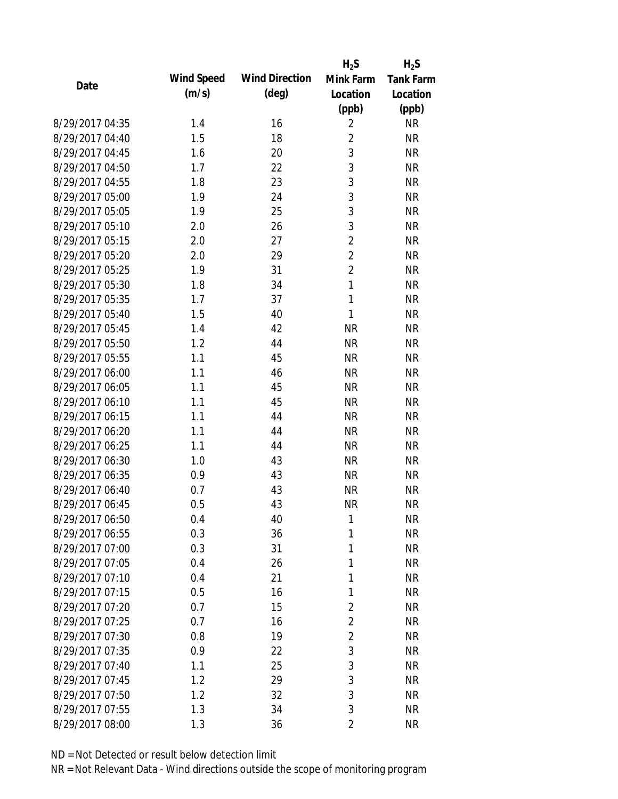|                 |            |                       | $H_2S$         | $H_2S$           |
|-----------------|------------|-----------------------|----------------|------------------|
| Date            | Wind Speed | <b>Wind Direction</b> | Mink Farm      | <b>Tank Farm</b> |
|                 | (m/s)      | $(\text{deg})$        | Location       | Location         |
|                 |            |                       | (ppb)          | (ppb)            |
| 8/29/2017 04:35 | 1.4        | 16                    | $\overline{2}$ | <b>NR</b>        |
| 8/29/2017 04:40 | 1.5        | 18                    | $\overline{2}$ | <b>NR</b>        |
| 8/29/2017 04:45 | 1.6        | 20                    | 3              | <b>NR</b>        |
| 8/29/2017 04:50 | 1.7        | 22                    | 3              | <b>NR</b>        |
| 8/29/2017 04:55 | 1.8        | 23                    | 3              | <b>NR</b>        |
| 8/29/2017 05:00 | 1.9        | 24                    | 3              | <b>NR</b>        |
| 8/29/2017 05:05 | 1.9        | 25                    | 3              | <b>NR</b>        |
| 8/29/2017 05:10 | 2.0        | 26                    | 3              | <b>NR</b>        |
| 8/29/2017 05:15 | 2.0        | 27                    | $\overline{2}$ | <b>NR</b>        |
| 8/29/2017 05:20 | 2.0        | 29                    | $\overline{c}$ | <b>NR</b>        |
| 8/29/2017 05:25 | 1.9        | 31                    | $\overline{2}$ | <b>NR</b>        |
| 8/29/2017 05:30 | 1.8        | 34                    | $\mathbf{1}$   | <b>NR</b>        |
| 8/29/2017 05:35 | 1.7        | 37                    | $\mathbf{1}$   | <b>NR</b>        |
| 8/29/2017 05:40 | 1.5        | 40                    | 1              | <b>NR</b>        |
| 8/29/2017 05:45 | 1.4        | 42                    | <b>NR</b>      | <b>NR</b>        |
| 8/29/2017 05:50 | 1.2        | 44                    | <b>NR</b>      | <b>NR</b>        |
| 8/29/2017 05:55 | 1.1        | 45                    | <b>NR</b>      | <b>NR</b>        |
| 8/29/2017 06:00 | 1.1        | 46                    | <b>NR</b>      | <b>NR</b>        |
| 8/29/2017 06:05 | 1.1        | 45                    | <b>NR</b>      | <b>NR</b>        |
| 8/29/2017 06:10 | 1.1        | 45                    | <b>NR</b>      | <b>NR</b>        |
| 8/29/2017 06:15 | 1.1        | 44                    | <b>NR</b>      | <b>NR</b>        |
| 8/29/2017 06:20 | 1.1        | 44                    | <b>NR</b>      | <b>NR</b>        |
| 8/29/2017 06:25 | 1.1        | 44                    | <b>NR</b>      | <b>NR</b>        |
| 8/29/2017 06:30 | 1.0        | 43                    | <b>NR</b>      | <b>NR</b>        |
| 8/29/2017 06:35 | 0.9        | 43                    | <b>NR</b>      | <b>NR</b>        |
| 8/29/2017 06:40 | 0.7        | 43                    | <b>NR</b>      | <b>NR</b>        |
| 8/29/2017 06:45 | 0.5        | 43                    | <b>NR</b>      | <b>NR</b>        |
| 8/29/2017 06:50 | 0.4        | 40                    | 1              | <b>NR</b>        |
| 8/29/2017 06:55 | 0.3        | 36                    | 1              | <b>NR</b>        |
| 8/29/2017 07:00 | 0.3        | 31                    | 1              | <b>NR</b>        |
| 8/29/2017 07:05 | 0.4        | 26                    | 1              | <b>NR</b>        |
| 8/29/2017 07:10 | 0.4        | 21                    | 1              | <b>NR</b>        |
| 8/29/2017 07:15 | 0.5        | 16                    | 1              | <b>NR</b>        |
| 8/29/2017 07:20 | 0.7        | 15                    | $\overline{2}$ | <b>NR</b>        |
| 8/29/2017 07:25 | 0.7        | 16                    | $\overline{2}$ | <b>NR</b>        |
| 8/29/2017 07:30 | 0.8        | 19                    | $\overline{2}$ | <b>NR</b>        |
| 8/29/2017 07:35 | 0.9        | 22                    | 3              | <b>NR</b>        |
| 8/29/2017 07:40 | 1.1        | 25                    | $\mathfrak{Z}$ | <b>NR</b>        |
| 8/29/2017 07:45 | 1.2        | 29                    | 3              | <b>NR</b>        |
| 8/29/2017 07:50 | 1.2        | 32                    | 3              | <b>NR</b>        |
| 8/29/2017 07:55 | 1.3        | 34                    | 3              | <b>NR</b>        |
| 8/29/2017 08:00 | 1.3        | 36                    | $\overline{2}$ | <b>NR</b>        |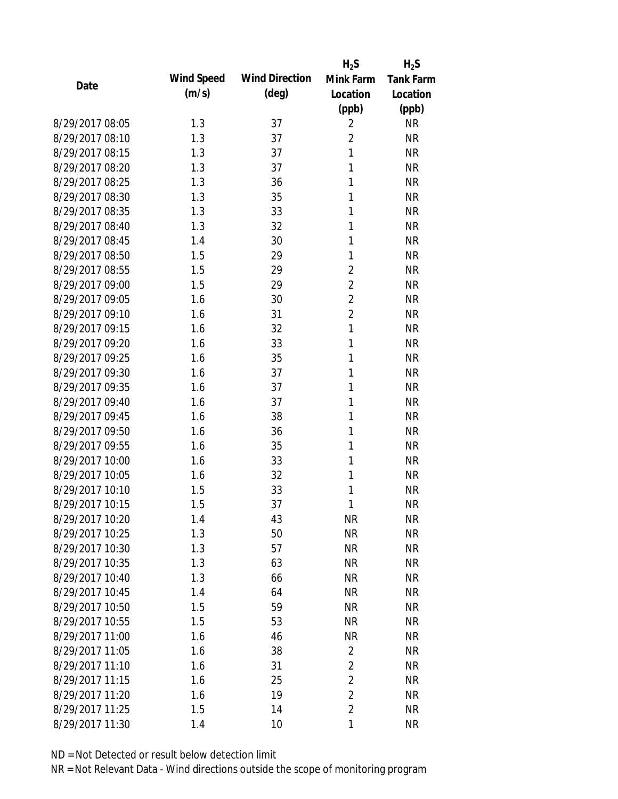|                 |            |                       | $H_2S$         | $H_2S$           |
|-----------------|------------|-----------------------|----------------|------------------|
| Date            | Wind Speed | <b>Wind Direction</b> | Mink Farm      | <b>Tank Farm</b> |
|                 | (m/s)      | $(\text{deg})$        | Location       | Location         |
|                 |            |                       | (ppb)          | (ppb)            |
| 8/29/2017 08:05 | 1.3        | 37                    | $\overline{2}$ | <b>NR</b>        |
| 8/29/2017 08:10 | 1.3        | 37                    | $\overline{2}$ | <b>NR</b>        |
| 8/29/2017 08:15 | 1.3        | 37                    | 1              | <b>NR</b>        |
| 8/29/2017 08:20 | 1.3        | 37                    | 1              | <b>NR</b>        |
| 8/29/2017 08:25 | 1.3        | 36                    | 1              | <b>NR</b>        |
| 8/29/2017 08:30 | 1.3        | 35                    | 1              | <b>NR</b>        |
| 8/29/2017 08:35 | 1.3        | 33                    | 1              | <b>NR</b>        |
| 8/29/2017 08:40 | 1.3        | 32                    | 1              | <b>NR</b>        |
| 8/29/2017 08:45 | 1.4        | 30                    | 1              | <b>NR</b>        |
| 8/29/2017 08:50 | 1.5        | 29                    | 1              | <b>NR</b>        |
| 8/29/2017 08:55 | 1.5        | 29                    | $\overline{2}$ | <b>NR</b>        |
| 8/29/2017 09:00 | 1.5        | 29                    | $\overline{2}$ | <b>NR</b>        |
| 8/29/2017 09:05 | 1.6        | 30                    | $\overline{2}$ | <b>NR</b>        |
| 8/29/2017 09:10 | 1.6        | 31                    | $\overline{2}$ | <b>NR</b>        |
| 8/29/2017 09:15 | 1.6        | 32                    | 1              | <b>NR</b>        |
| 8/29/2017 09:20 | 1.6        | 33                    | 1              | <b>NR</b>        |
| 8/29/2017 09:25 | 1.6        | 35                    | 1              | <b>NR</b>        |
| 8/29/2017 09:30 | 1.6        | 37                    | 1              | <b>NR</b>        |
| 8/29/2017 09:35 | 1.6        | 37                    | 1              | <b>NR</b>        |
| 8/29/2017 09:40 | 1.6        | 37                    | 1              | <b>NR</b>        |
| 8/29/2017 09:45 | 1.6        | 38                    | 1              | <b>NR</b>        |
| 8/29/2017 09:50 | 1.6        | 36                    | 1              | <b>NR</b>        |
| 8/29/2017 09:55 | 1.6        | 35                    | 1              | <b>NR</b>        |
| 8/29/2017 10:00 | 1.6        | 33                    | 1              | <b>NR</b>        |
| 8/29/2017 10:05 | 1.6        | 32                    | 1              | <b>NR</b>        |
| 8/29/2017 10:10 | 1.5        | 33                    | 1              | <b>NR</b>        |
| 8/29/2017 10:15 | 1.5        | 37                    | 1              | <b>NR</b>        |
| 8/29/2017 10:20 | 1.4        | 43                    | ΝR             | <b>NR</b>        |
| 8/29/2017 10:25 | 1.3        | 50                    | <b>NR</b>      | <b>NR</b>        |
| 8/29/2017 10:30 | 1.3        | 57                    | <b>NR</b>      | <b>NR</b>        |
| 8/29/2017 10:35 | 1.3        | 63                    | <b>NR</b>      | <b>NR</b>        |
| 8/29/2017 10:40 | 1.3        | 66                    | <b>NR</b>      | <b>NR</b>        |
| 8/29/2017 10:45 | 1.4        | 64                    | <b>NR</b>      | <b>NR</b>        |
| 8/29/2017 10:50 | 1.5        | 59                    | <b>NR</b>      | <b>NR</b>        |
| 8/29/2017 10:55 | 1.5        | 53                    | <b>NR</b>      | <b>NR</b>        |
| 8/29/2017 11:00 | 1.6        | 46                    | <b>NR</b>      | <b>NR</b>        |
| 8/29/2017 11:05 | 1.6        | 38                    | $\overline{2}$ | <b>NR</b>        |
| 8/29/2017 11:10 | 1.6        | 31                    | $\overline{2}$ | <b>NR</b>        |
| 8/29/2017 11:15 | 1.6        | 25                    | $\overline{2}$ | <b>NR</b>        |
| 8/29/2017 11:20 | 1.6        | 19                    | $\overline{2}$ | <b>NR</b>        |
| 8/29/2017 11:25 | 1.5        | 14                    | $\overline{2}$ | <b>NR</b>        |
| 8/29/2017 11:30 | 1.4        | 10                    | 1              | <b>NR</b>        |
|                 |            |                       |                |                  |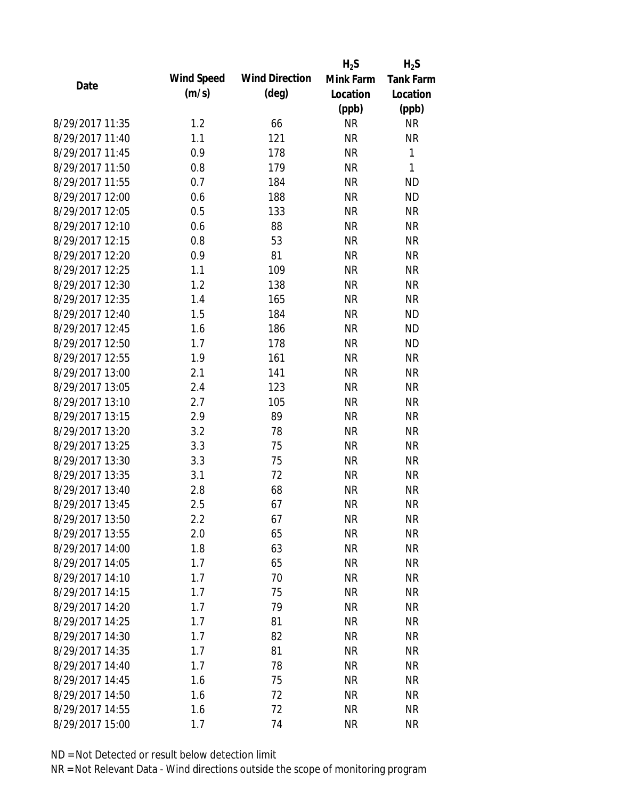|                 |            |                       | $H_2S$    | $H_2S$           |
|-----------------|------------|-----------------------|-----------|------------------|
| Date            | Wind Speed | <b>Wind Direction</b> | Mink Farm | <b>Tank Farm</b> |
|                 | (m/s)      | $(\text{deg})$        | Location  | Location         |
|                 |            |                       | (ppb)     | (ppb)            |
| 8/29/2017 11:35 | 1.2        | 66                    | <b>NR</b> | <b>NR</b>        |
| 8/29/2017 11:40 | 1.1        | 121                   | <b>NR</b> | <b>NR</b>        |
| 8/29/2017 11:45 | 0.9        | 178                   | <b>NR</b> | 1                |
| 8/29/2017 11:50 | 0.8        | 179                   | <b>NR</b> | 1                |
| 8/29/2017 11:55 | 0.7        | 184                   | <b>NR</b> | <b>ND</b>        |
| 8/29/2017 12:00 | 0.6        | 188                   | <b>NR</b> | <b>ND</b>        |
| 8/29/2017 12:05 | 0.5        | 133                   | <b>NR</b> | <b>NR</b>        |
| 8/29/2017 12:10 | 0.6        | 88                    | <b>NR</b> | <b>NR</b>        |
| 8/29/2017 12:15 | 0.8        | 53                    | <b>NR</b> | <b>NR</b>        |
| 8/29/2017 12:20 | 0.9        | 81                    | <b>NR</b> | <b>NR</b>        |
| 8/29/2017 12:25 | 1.1        | 109                   | <b>NR</b> | <b>NR</b>        |
| 8/29/2017 12:30 | 1.2        | 138                   | <b>NR</b> | <b>NR</b>        |
| 8/29/2017 12:35 | 1.4        | 165                   | <b>NR</b> | <b>NR</b>        |
| 8/29/2017 12:40 | 1.5        | 184                   | <b>NR</b> | <b>ND</b>        |
| 8/29/2017 12:45 | 1.6        | 186                   | <b>NR</b> | <b>ND</b>        |
| 8/29/2017 12:50 | 1.7        | 178                   | <b>NR</b> | <b>ND</b>        |
| 8/29/2017 12:55 | 1.9        | 161                   | <b>NR</b> | <b>NR</b>        |
| 8/29/2017 13:00 | 2.1        | 141                   | <b>NR</b> | <b>NR</b>        |
| 8/29/2017 13:05 | 2.4        | 123                   | <b>NR</b> | <b>NR</b>        |
| 8/29/2017 13:10 | 2.7        | 105                   | <b>NR</b> | <b>NR</b>        |
| 8/29/2017 13:15 | 2.9        | 89                    | <b>NR</b> | <b>NR</b>        |
| 8/29/2017 13:20 | 3.2        | 78                    | <b>NR</b> | <b>NR</b>        |
| 8/29/2017 13:25 | 3.3        | 75                    | <b>NR</b> | <b>NR</b>        |
| 8/29/2017 13:30 | 3.3        | 75                    | <b>NR</b> | <b>NR</b>        |
| 8/29/2017 13:35 | 3.1        | 72                    | <b>NR</b> | <b>NR</b>        |
| 8/29/2017 13:40 | 2.8        | 68                    | <b>NR</b> | <b>NR</b>        |
| 8/29/2017 13:45 | 2.5        | 67                    | <b>NR</b> | <b>NR</b>        |
| 8/29/2017 13:50 | 2.2        | 67                    | <b>NR</b> | <b>NR</b>        |
| 8/29/2017 13:55 | 2.0        | 65                    | <b>NR</b> | <b>NR</b>        |
| 8/29/2017 14:00 | 1.8        | 63                    | <b>NR</b> | <b>NR</b>        |
| 8/29/2017 14:05 | 1.7        | 65                    | <b>NR</b> | <b>NR</b>        |
| 8/29/2017 14:10 | 1.7        | 70                    | <b>NR</b> | <b>NR</b>        |
| 8/29/2017 14:15 | 1.7        | 75                    | <b>NR</b> | <b>NR</b>        |
| 8/29/2017 14:20 | 1.7        | 79                    | <b>NR</b> | <b>NR</b>        |
| 8/29/2017 14:25 | 1.7        | 81                    | <b>NR</b> | <b>NR</b>        |
| 8/29/2017 14:30 | 1.7        | 82                    | <b>NR</b> | <b>NR</b>        |
| 8/29/2017 14:35 | 1.7        | 81                    | <b>NR</b> | <b>NR</b>        |
| 8/29/2017 14:40 | 1.7        | 78                    | <b>NR</b> | <b>NR</b>        |
| 8/29/2017 14:45 | 1.6        | 75                    | <b>NR</b> | <b>NR</b>        |
| 8/29/2017 14:50 | 1.6        | 72                    | <b>NR</b> | <b>NR</b>        |
| 8/29/2017 14:55 | 1.6        | 72                    | <b>NR</b> | <b>NR</b>        |
| 8/29/2017 15:00 | 1.7        | 74                    | <b>NR</b> | <b>NR</b>        |
|                 |            |                       |           |                  |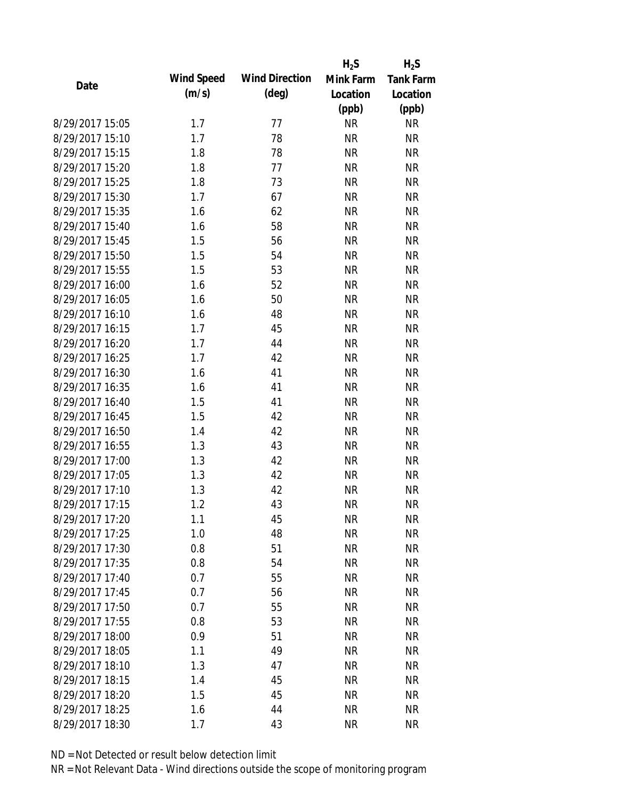|                 |            |                       | $H_2S$    | $H_2S$           |
|-----------------|------------|-----------------------|-----------|------------------|
| Date            | Wind Speed | <b>Wind Direction</b> | Mink Farm | <b>Tank Farm</b> |
|                 | (m/s)      | $(\text{deg})$        | Location  | Location         |
|                 |            |                       | (ppb)     | (ppb)            |
| 8/29/2017 15:05 | 1.7        | 77                    | <b>NR</b> | <b>NR</b>        |
| 8/29/2017 15:10 | 1.7        | 78                    | <b>NR</b> | <b>NR</b>        |
| 8/29/2017 15:15 | 1.8        | 78                    | <b>NR</b> | <b>NR</b>        |
| 8/29/2017 15:20 | 1.8        | 77                    | <b>NR</b> | <b>NR</b>        |
| 8/29/2017 15:25 | 1.8        | 73                    | <b>NR</b> | <b>NR</b>        |
| 8/29/2017 15:30 | 1.7        | 67                    | <b>NR</b> | <b>NR</b>        |
| 8/29/2017 15:35 | 1.6        | 62                    | <b>NR</b> | <b>NR</b>        |
| 8/29/2017 15:40 | 1.6        | 58                    | <b>NR</b> | <b>NR</b>        |
| 8/29/2017 15:45 | 1.5        | 56                    | <b>NR</b> | <b>NR</b>        |
| 8/29/2017 15:50 | 1.5        | 54                    | <b>NR</b> | <b>NR</b>        |
| 8/29/2017 15:55 | 1.5        | 53                    | <b>NR</b> | <b>NR</b>        |
| 8/29/2017 16:00 | 1.6        | 52                    | <b>NR</b> | <b>NR</b>        |
| 8/29/2017 16:05 | 1.6        | 50                    | <b>NR</b> | <b>NR</b>        |
| 8/29/2017 16:10 | 1.6        | 48                    | <b>NR</b> | <b>NR</b>        |
| 8/29/2017 16:15 | 1.7        | 45                    | <b>NR</b> | <b>NR</b>        |
| 8/29/2017 16:20 | 1.7        | 44                    | <b>NR</b> | <b>NR</b>        |
| 8/29/2017 16:25 | 1.7        | 42                    | <b>NR</b> | <b>NR</b>        |
| 8/29/2017 16:30 | 1.6        | 41                    | <b>NR</b> | <b>NR</b>        |
| 8/29/2017 16:35 | 1.6        | 41                    | <b>NR</b> | <b>NR</b>        |
| 8/29/2017 16:40 | 1.5        | 41                    | <b>NR</b> | <b>NR</b>        |
| 8/29/2017 16:45 | 1.5        | 42                    | <b>NR</b> | <b>NR</b>        |
| 8/29/2017 16:50 | 1.4        | 42                    | <b>NR</b> | <b>NR</b>        |
| 8/29/2017 16:55 | 1.3        | 43                    | <b>NR</b> | <b>NR</b>        |
| 8/29/2017 17:00 | 1.3        | 42                    | <b>NR</b> | <b>NR</b>        |
| 8/29/2017 17:05 | 1.3        | 42                    | <b>NR</b> | <b>NR</b>        |
| 8/29/2017 17:10 | 1.3        | 42                    | <b>NR</b> | <b>NR</b>        |
| 8/29/2017 17:15 | 1.2        | 43                    | <b>NR</b> | <b>NR</b>        |
| 8/29/2017 17:20 | 1.1        | 45                    | <b>NR</b> | <b>NR</b>        |
| 8/29/2017 17:25 | 1.0        | 48                    | <b>NR</b> | <b>NR</b>        |
| 8/29/2017 17:30 | 0.8        | 51                    | <b>NR</b> | <b>NR</b>        |
| 8/29/2017 17:35 | 0.8        | 54                    | <b>NR</b> | <b>NR</b>        |
| 8/29/2017 17:40 | 0.7        | 55                    | <b>NR</b> | <b>NR</b>        |
| 8/29/2017 17:45 | 0.7        | 56                    | <b>NR</b> | <b>NR</b>        |
| 8/29/2017 17:50 | 0.7        | 55                    | <b>NR</b> | <b>NR</b>        |
| 8/29/2017 17:55 | 0.8        | 53                    | <b>NR</b> | <b>NR</b>        |
| 8/29/2017 18:00 | 0.9        | 51                    | <b>NR</b> | <b>NR</b>        |
| 8/29/2017 18:05 | 1.1        | 49                    | <b>NR</b> | <b>NR</b>        |
| 8/29/2017 18:10 | 1.3        | 47                    | <b>NR</b> | <b>NR</b>        |
| 8/29/2017 18:15 | 1.4        | 45                    | <b>NR</b> | <b>NR</b>        |
| 8/29/2017 18:20 | 1.5        | 45                    | <b>NR</b> | <b>NR</b>        |
| 8/29/2017 18:25 |            | 44                    | <b>NR</b> | <b>NR</b>        |
|                 | 1.6        |                       |           |                  |
| 8/29/2017 18:30 | 1.7        | 43                    | <b>NR</b> | <b>NR</b>        |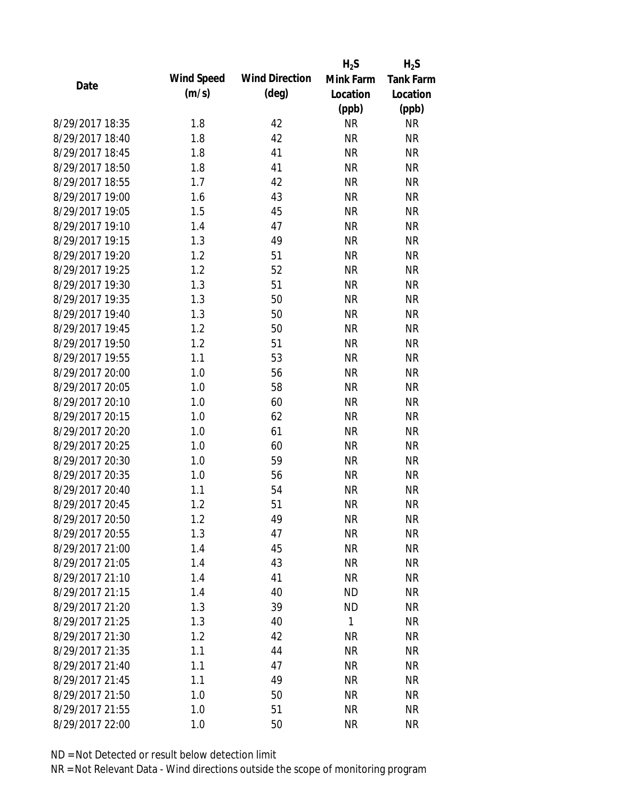|                 |            |                       | $H_2S$    | $H_2S$           |
|-----------------|------------|-----------------------|-----------|------------------|
| Date            | Wind Speed | <b>Wind Direction</b> | Mink Farm | <b>Tank Farm</b> |
|                 | (m/s)      | $(\text{deg})$        | Location  | Location         |
|                 |            |                       | (ppb)     | (ppb)            |
| 8/29/2017 18:35 | 1.8        | 42                    | <b>NR</b> | <b>NR</b>        |
| 8/29/2017 18:40 | 1.8        | 42                    | <b>NR</b> | <b>NR</b>        |
| 8/29/2017 18:45 | 1.8        | 41                    | <b>NR</b> | <b>NR</b>        |
| 8/29/2017 18:50 | 1.8        | 41                    | <b>NR</b> | <b>NR</b>        |
| 8/29/2017 18:55 | 1.7        | 42                    | <b>NR</b> | <b>NR</b>        |
| 8/29/2017 19:00 | 1.6        | 43                    | <b>NR</b> | <b>NR</b>        |
| 8/29/2017 19:05 | 1.5        | 45                    | <b>NR</b> | <b>NR</b>        |
| 8/29/2017 19:10 | 1.4        | 47                    | <b>NR</b> | <b>NR</b>        |
| 8/29/2017 19:15 | 1.3        | 49                    | <b>NR</b> | <b>NR</b>        |
| 8/29/2017 19:20 | 1.2        | 51                    | <b>NR</b> | <b>NR</b>        |
| 8/29/2017 19:25 | 1.2        | 52                    | <b>NR</b> | <b>NR</b>        |
| 8/29/2017 19:30 | 1.3        | 51                    | <b>NR</b> | <b>NR</b>        |
| 8/29/2017 19:35 | 1.3        | 50                    | <b>NR</b> | <b>NR</b>        |
| 8/29/2017 19:40 | 1.3        | 50                    | <b>NR</b> | <b>NR</b>        |
| 8/29/2017 19:45 | 1.2        | 50                    | <b>NR</b> | <b>NR</b>        |
| 8/29/2017 19:50 | 1.2        | 51                    | <b>NR</b> | <b>NR</b>        |
| 8/29/2017 19:55 | 1.1        | 53                    | <b>NR</b> | <b>NR</b>        |
| 8/29/2017 20:00 | 1.0        | 56                    | <b>NR</b> | <b>NR</b>        |
| 8/29/2017 20:05 | 1.0        | 58                    | <b>NR</b> | <b>NR</b>        |
| 8/29/2017 20:10 | 1.0        | 60                    | <b>NR</b> | <b>NR</b>        |
| 8/29/2017 20:15 | 1.0        | 62                    | <b>NR</b> | <b>NR</b>        |
| 8/29/2017 20:20 | 1.0        | 61                    | <b>NR</b> | <b>NR</b>        |
| 8/29/2017 20:25 | 1.0        | 60                    | <b>NR</b> | <b>NR</b>        |
| 8/29/2017 20:30 | 1.0        | 59                    | <b>NR</b> | <b>NR</b>        |
| 8/29/2017 20:35 | 1.0        | 56                    | <b>NR</b> | <b>NR</b>        |
| 8/29/2017 20:40 | 1.1        | 54                    | <b>NR</b> | <b>NR</b>        |
| 8/29/2017 20:45 | 1.2        | 51                    | <b>NR</b> | <b>NR</b>        |
| 8/29/2017 20:50 | 1.2        | 49                    | <b>NR</b> | <b>NR</b>        |
| 8/29/2017 20:55 | 1.3        | 47                    | <b>NR</b> | <b>NR</b>        |
| 8/29/2017 21:00 | 1.4        | 45                    | <b>NR</b> | <b>NR</b>        |
| 8/29/2017 21:05 | 1.4        | 43                    | <b>NR</b> | <b>NR</b>        |
| 8/29/2017 21:10 | 1.4        | 41                    | <b>NR</b> | <b>NR</b>        |
| 8/29/2017 21:15 | 1.4        | 40                    | <b>ND</b> | <b>NR</b>        |
| 8/29/2017 21:20 | 1.3        | 39                    | <b>ND</b> | <b>NR</b>        |
| 8/29/2017 21:25 | 1.3        | 40                    | 1         | <b>NR</b>        |
| 8/29/2017 21:30 | 1.2        | 42                    | <b>NR</b> | <b>NR</b>        |
| 8/29/2017 21:35 | 1.1        | 44                    | <b>NR</b> | <b>NR</b>        |
| 8/29/2017 21:40 | 1.1        | 47                    | <b>NR</b> | <b>NR</b>        |
| 8/29/2017 21:45 | 1.1        | 49                    | <b>NR</b> | <b>NR</b>        |
| 8/29/2017 21:50 | 1.0        | 50                    | <b>NR</b> | <b>NR</b>        |
| 8/29/2017 21:55 | 1.0        | 51                    | <b>NR</b> | <b>NR</b>        |
| 8/29/2017 22:00 | 1.0        | 50                    | <b>NR</b> | <b>NR</b>        |
|                 |            |                       |           |                  |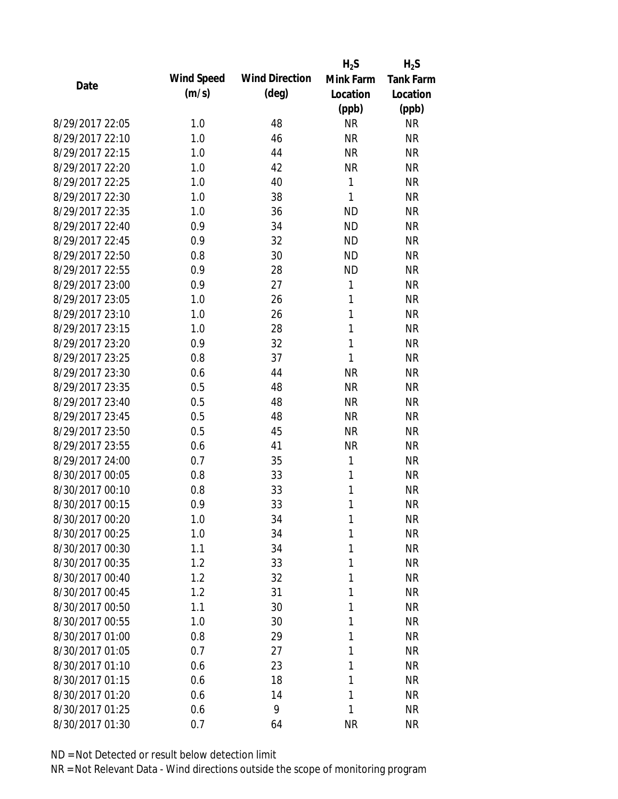|                 |            |                       | $H_2S$       | $H_2S$           |
|-----------------|------------|-----------------------|--------------|------------------|
| Date            | Wind Speed | <b>Wind Direction</b> | Mink Farm    | <b>Tank Farm</b> |
|                 | (m/s)      | $(\text{deg})$        | Location     | Location         |
|                 |            |                       | (ppb)        | (ppb)            |
| 8/29/2017 22:05 | 1.0        | 48                    | <b>NR</b>    | <b>NR</b>        |
| 8/29/2017 22:10 | 1.0        | 46                    | <b>NR</b>    | <b>NR</b>        |
| 8/29/2017 22:15 | 1.0        | 44                    | <b>NR</b>    | <b>NR</b>        |
| 8/29/2017 22:20 | 1.0        | 42                    | <b>NR</b>    | <b>NR</b>        |
| 8/29/2017 22:25 | 1.0        | 40                    | 1            | <b>NR</b>        |
| 8/29/2017 22:30 | 1.0        | 38                    | 1            | <b>NR</b>        |
| 8/29/2017 22:35 | 1.0        | 36                    | <b>ND</b>    | <b>NR</b>        |
| 8/29/2017 22:40 | 0.9        | 34                    | <b>ND</b>    | <b>NR</b>        |
| 8/29/2017 22:45 | 0.9        | 32                    | <b>ND</b>    | <b>NR</b>        |
| 8/29/2017 22:50 | 0.8        | 30                    | <b>ND</b>    | <b>NR</b>        |
| 8/29/2017 22:55 | 0.9        | 28                    | <b>ND</b>    | <b>NR</b>        |
| 8/29/2017 23:00 | 0.9        | 27                    | 1            | <b>NR</b>        |
| 8/29/2017 23:05 | 1.0        | 26                    | $\mathbf{1}$ | <b>NR</b>        |
| 8/29/2017 23:10 | 1.0        | 26                    | 1            | <b>NR</b>        |
| 8/29/2017 23:15 | 1.0        | 28                    | 1            | <b>NR</b>        |
| 8/29/2017 23:20 | 0.9        | 32                    | 1            | <b>NR</b>        |
| 8/29/2017 23:25 | 0.8        | 37                    | 1            | <b>NR</b>        |
| 8/29/2017 23:30 | 0.6        | 44                    | <b>NR</b>    | <b>NR</b>        |
| 8/29/2017 23:35 | 0.5        | 48                    | <b>NR</b>    | <b>NR</b>        |
| 8/29/2017 23:40 | 0.5        | 48                    | <b>NR</b>    | <b>NR</b>        |
| 8/29/2017 23:45 | 0.5        | 48                    | <b>NR</b>    | <b>NR</b>        |
| 8/29/2017 23:50 | 0.5        | 45                    | <b>NR</b>    | <b>NR</b>        |
| 8/29/2017 23:55 | 0.6        | 41                    | <b>NR</b>    | <b>NR</b>        |
| 8/29/2017 24:00 | 0.7        | 35                    | 1            | <b>NR</b>        |
| 8/30/2017 00:05 | 0.8        | 33                    | 1            | <b>NR</b>        |
| 8/30/2017 00:10 | 0.8        | 33                    | 1            | <b>NR</b>        |
| 8/30/2017 00:15 | 0.9        | 33                    | 1            | <b>NR</b>        |
| 8/30/2017 00:20 | 1.0        | 34                    | 1            | <b>NR</b>        |
| 8/30/2017 00:25 | 1.0        | 34                    | 1            | <b>NR</b>        |
| 8/30/2017 00:30 | 1.1        | 34                    | 1            | <b>NR</b>        |
| 8/30/2017 00:35 | 1.2        | 33                    | 1            | <b>NR</b>        |
| 8/30/2017 00:40 | 1.2        | 32                    | 1            | <b>NR</b>        |
| 8/30/2017 00:45 | 1.2        | 31                    | 1            | <b>NR</b>        |
| 8/30/2017 00:50 | 1.1        | 30                    | 1            | <b>NR</b>        |
| 8/30/2017 00:55 | 1.0        | 30                    | 1            | <b>NR</b>        |
| 8/30/2017 01:00 | 0.8        | 29                    | 1            | <b>NR</b>        |
| 8/30/2017 01:05 | 0.7        | 27                    | 1            | <b>NR</b>        |
| 8/30/2017 01:10 | 0.6        | 23                    | 1            | <b>NR</b>        |
| 8/30/2017 01:15 | 0.6        | 18                    | 1            | <b>NR</b>        |
| 8/30/2017 01:20 | 0.6        | 14                    | 1            | <b>NR</b>        |
| 8/30/2017 01:25 | 0.6        | 9                     | 1            | <b>NR</b>        |
| 8/30/2017 01:30 | 0.7        | 64                    | <b>NR</b>    | <b>NR</b>        |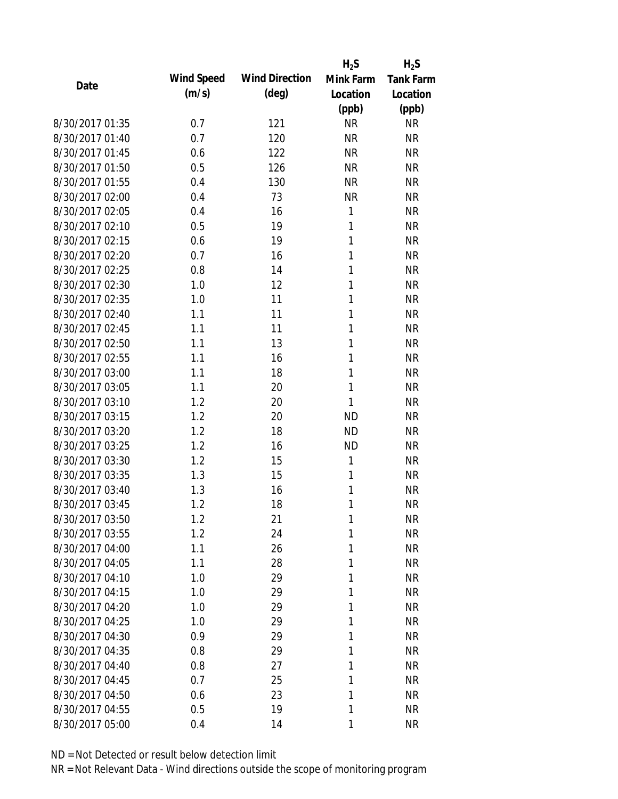|                 |            |                       | $H_2S$       | $H_2S$           |
|-----------------|------------|-----------------------|--------------|------------------|
| Date            | Wind Speed | <b>Wind Direction</b> | Mink Farm    | <b>Tank Farm</b> |
|                 | (m/s)      | $(\text{deg})$        | Location     | Location         |
|                 |            |                       | (ppb)        | (ppb)            |
| 8/30/2017 01:35 | 0.7        | 121                   | <b>NR</b>    | <b>NR</b>        |
| 8/30/2017 01:40 | 0.7        | 120                   | <b>NR</b>    | <b>NR</b>        |
| 8/30/2017 01:45 | 0.6        | 122                   | <b>NR</b>    | <b>NR</b>        |
| 8/30/2017 01:50 | 0.5        | 126                   | <b>NR</b>    | <b>NR</b>        |
| 8/30/2017 01:55 | 0.4        | 130                   | <b>NR</b>    | <b>NR</b>        |
| 8/30/2017 02:00 | 0.4        | 73                    | <b>NR</b>    | <b>NR</b>        |
| 8/30/2017 02:05 | 0.4        | 16                    | 1            | <b>NR</b>        |
| 8/30/2017 02:10 | 0.5        | 19                    | $\mathbf{1}$ | <b>NR</b>        |
| 8/30/2017 02:15 | 0.6        | 19                    | 1            | <b>NR</b>        |
| 8/30/2017 02:20 | 0.7        | 16                    | 1            | <b>NR</b>        |
| 8/30/2017 02:25 | 0.8        | 14                    | 1            | <b>NR</b>        |
| 8/30/2017 02:30 | 1.0        | 12                    | 1            | <b>NR</b>        |
| 8/30/2017 02:35 | 1.0        | 11                    | 1            | <b>NR</b>        |
| 8/30/2017 02:40 | 1.1        | 11                    | 1            | <b>NR</b>        |
| 8/30/2017 02:45 | 1.1        | 11                    | 1            | <b>NR</b>        |
| 8/30/2017 02:50 | 1.1        | 13                    | 1            | <b>NR</b>        |
| 8/30/2017 02:55 | 1.1        | 16                    | 1            | <b>NR</b>        |
| 8/30/2017 03:00 | 1.1        | 18                    | 1            | <b>NR</b>        |
| 8/30/2017 03:05 | 1.1        | 20                    | $\mathbf{1}$ | <b>NR</b>        |
| 8/30/2017 03:10 | 1.2        | 20                    | 1            | <b>NR</b>        |
| 8/30/2017 03:15 | 1.2        | 20                    | <b>ND</b>    | <b>NR</b>        |
| 8/30/2017 03:20 | 1.2        | 18                    | <b>ND</b>    | <b>NR</b>        |
| 8/30/2017 03:25 | 1.2        | 16                    | <b>ND</b>    | <b>NR</b>        |
| 8/30/2017 03:30 | 1.2        | 15                    | 1            | <b>NR</b>        |
| 8/30/2017 03:35 | 1.3        | 15                    | 1            | <b>NR</b>        |
| 8/30/2017 03:40 | 1.3        | 16                    | 1            | <b>NR</b>        |
| 8/30/2017 03:45 | 1.2        | 18                    | 1            | <b>NR</b>        |
| 8/30/2017 03:50 | 1.2        | 21                    | 1            | <b>NR</b>        |
| 8/30/2017 03:55 | 1.2        | 24                    | 1            | <b>NR</b>        |
| 8/30/2017 04:00 | 1.1        | 26                    | 1            | <b>NR</b>        |
| 8/30/2017 04:05 | 1.1        | 28                    | 1            | <b>NR</b>        |
| 8/30/2017 04:10 | 1.0        | 29                    | 1            | <b>NR</b>        |
| 8/30/2017 04:15 | 1.0        | 29                    | 1            | <b>NR</b>        |
| 8/30/2017 04:20 | 1.0        | 29                    | 1            | <b>NR</b>        |
| 8/30/2017 04:25 | 1.0        | 29                    | 1            | <b>NR</b>        |
| 8/30/2017 04:30 | 0.9        | 29                    | 1            | <b>NR</b>        |
| 8/30/2017 04:35 | 0.8        | 29                    | 1            | <b>NR</b>        |
| 8/30/2017 04:40 | 0.8        | 27                    | 1            | <b>NR</b>        |
| 8/30/2017 04:45 | 0.7        | 25                    | 1            | <b>NR</b>        |
| 8/30/2017 04:50 | 0.6        | 23                    | 1            | <b>NR</b>        |
| 8/30/2017 04:55 | 0.5        | 19                    | 1            | <b>NR</b>        |
| 8/30/2017 05:00 | 0.4        | 14                    | 1            | <b>NR</b>        |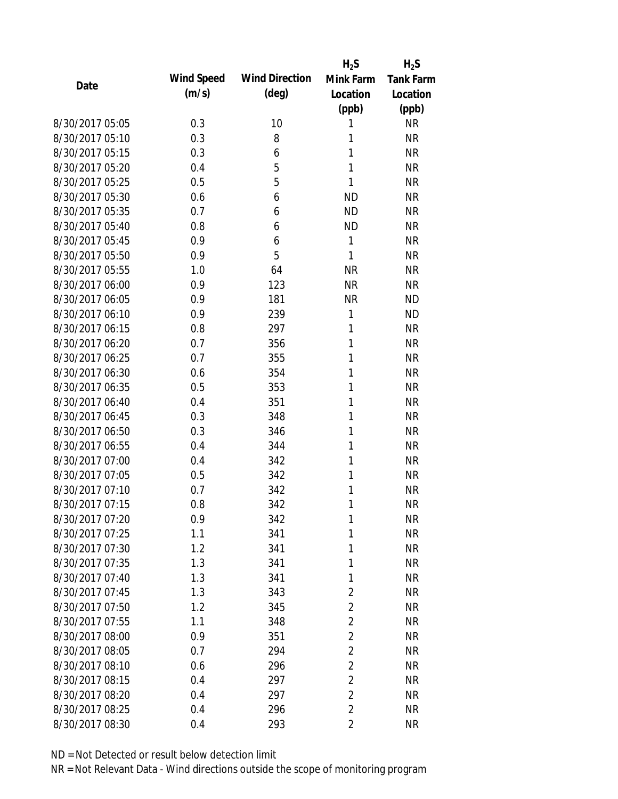|                 |            |                       | $H_2S$         | $H_2S$           |
|-----------------|------------|-----------------------|----------------|------------------|
| Date            | Wind Speed | <b>Wind Direction</b> | Mink Farm      | <b>Tank Farm</b> |
|                 | (m/s)      | $(\text{deg})$        | Location       | Location         |
|                 |            |                       | (ppb)          | (ppb)            |
| 8/30/2017 05:05 | 0.3        | 10                    | 1              | <b>NR</b>        |
| 8/30/2017 05:10 | 0.3        | 8                     | 1              | <b>NR</b>        |
| 8/30/2017 05:15 | 0.3        | 6                     | 1              | <b>NR</b>        |
| 8/30/2017 05:20 | 0.4        | 5                     | 1              | <b>NR</b>        |
| 8/30/2017 05:25 | 0.5        | 5                     | 1              | <b>NR</b>        |
| 8/30/2017 05:30 | 0.6        | 6                     | <b>ND</b>      | <b>NR</b>        |
| 8/30/2017 05:35 | 0.7        | 6                     | <b>ND</b>      | <b>NR</b>        |
| 8/30/2017 05:40 | 0.8        | 6                     | <b>ND</b>      | <b>NR</b>        |
| 8/30/2017 05:45 | 0.9        | 6                     | 1              | <b>NR</b>        |
| 8/30/2017 05:50 | 0.9        | 5                     | 1              | <b>NR</b>        |
| 8/30/2017 05:55 | 1.0        | 64                    | <b>NR</b>      | <b>NR</b>        |
| 8/30/2017 06:00 | 0.9        | 123                   | <b>NR</b>      | <b>NR</b>        |
| 8/30/2017 06:05 | 0.9        | 181                   | <b>NR</b>      | <b>ND</b>        |
| 8/30/2017 06:10 | 0.9        | 239                   | 1              | <b>ND</b>        |
| 8/30/2017 06:15 | 0.8        | 297                   | 1              | <b>NR</b>        |
| 8/30/2017 06:20 | 0.7        | 356                   | 1              | <b>NR</b>        |
| 8/30/2017 06:25 | 0.7        | 355                   | 1              | <b>NR</b>        |
| 8/30/2017 06:30 | 0.6        | 354                   | 1              | <b>NR</b>        |
| 8/30/2017 06:35 | 0.5        | 353                   | 1              | <b>NR</b>        |
| 8/30/2017 06:40 | 0.4        | 351                   | 1              | <b>NR</b>        |
| 8/30/2017 06:45 | 0.3        | 348                   | 1              | <b>NR</b>        |
| 8/30/2017 06:50 | 0.3        | 346                   | 1              | <b>NR</b>        |
| 8/30/2017 06:55 | 0.4        | 344                   | 1              | <b>NR</b>        |
| 8/30/2017 07:00 | 0.4        | 342                   | 1              | <b>NR</b>        |
| 8/30/2017 07:05 | 0.5        | 342                   | 1              | <b>NR</b>        |
| 8/30/2017 07:10 | 0.7        | 342                   | 1              | <b>NR</b>        |
| 8/30/2017 07:15 | 0.8        | 342                   | 1              | <b>NR</b>        |
| 8/30/2017 07:20 | 0.9        | 342                   | 1              | <b>NR</b>        |
| 8/30/2017 07:25 | 1.1        | 341                   | 1              | <b>NR</b>        |
| 8/30/2017 07:30 | 1.2        | 341                   | 1              | <b>NR</b>        |
| 8/30/2017 07:35 | 1.3        | 341                   | 1              | <b>NR</b>        |
| 8/30/2017 07:40 | 1.3        | 341                   | 1              | <b>NR</b>        |
| 8/30/2017 07:45 | 1.3        | 343                   | $\overline{2}$ | <b>NR</b>        |
| 8/30/2017 07:50 | 1.2        | 345                   | $\overline{2}$ | <b>NR</b>        |
| 8/30/2017 07:55 | 1.1        | 348                   | $\overline{2}$ | <b>NR</b>        |
| 8/30/2017 08:00 | 0.9        | 351                   | $\overline{2}$ | <b>NR</b>        |
| 8/30/2017 08:05 | 0.7        | 294                   | $\overline{2}$ | <b>NR</b>        |
| 8/30/2017 08:10 | 0.6        | 296                   | $\overline{2}$ | <b>NR</b>        |
| 8/30/2017 08:15 | 0.4        | 297                   | $\overline{2}$ | <b>NR</b>        |
| 8/30/2017 08:20 | 0.4        | 297                   | $\overline{2}$ | <b>NR</b>        |
| 8/30/2017 08:25 | 0.4        | 296                   | $\overline{2}$ | <b>NR</b>        |
| 8/30/2017 08:30 | 0.4        | 293                   | $\overline{2}$ | <b>NR</b>        |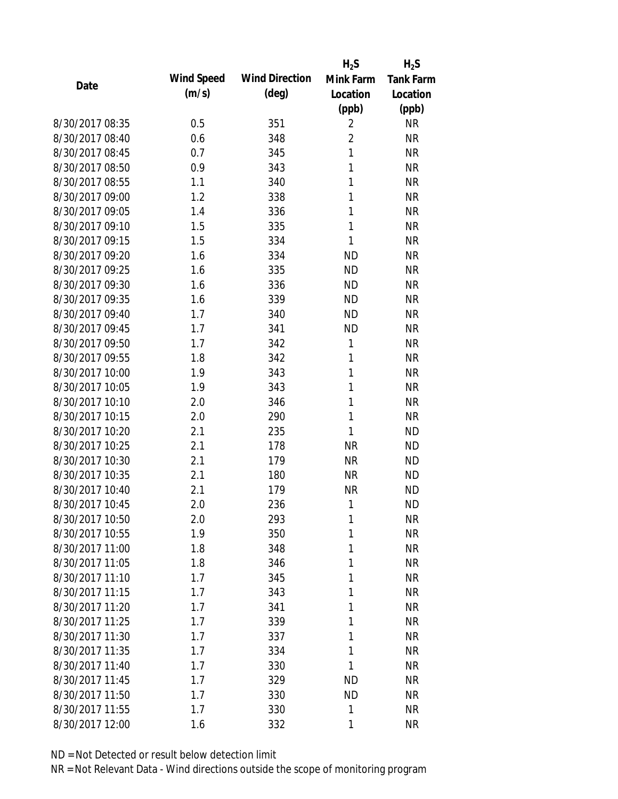|                 |            |                       | $H_2S$         | $H_2S$           |
|-----------------|------------|-----------------------|----------------|------------------|
| Date            | Wind Speed | <b>Wind Direction</b> | Mink Farm      | <b>Tank Farm</b> |
|                 | (m/s)      | $(\text{deg})$        | Location       | Location         |
|                 |            |                       | (ppb)          | (ppb)            |
| 8/30/2017 08:35 | 0.5        | 351                   | $\overline{2}$ | <b>NR</b>        |
| 8/30/2017 08:40 | 0.6        | 348                   | $\overline{2}$ | <b>NR</b>        |
| 8/30/2017 08:45 | 0.7        | 345                   | $\mathbf{1}$   | <b>NR</b>        |
| 8/30/2017 08:50 | 0.9        | 343                   | 1              | <b>NR</b>        |
| 8/30/2017 08:55 | 1.1        | 340                   | 1              | <b>NR</b>        |
| 8/30/2017 09:00 | 1.2        | 338                   | 1              | <b>NR</b>        |
| 8/30/2017 09:05 | 1.4        | 336                   | 1              | <b>NR</b>        |
| 8/30/2017 09:10 | 1.5        | 335                   | $\mathbf{1}$   | <b>NR</b>        |
| 8/30/2017 09:15 | 1.5        | 334                   | 1              | <b>NR</b>        |
| 8/30/2017 09:20 | 1.6        | 334                   | <b>ND</b>      | <b>NR</b>        |
| 8/30/2017 09:25 | 1.6        | 335                   | <b>ND</b>      | <b>NR</b>        |
| 8/30/2017 09:30 | 1.6        | 336                   | <b>ND</b>      | <b>NR</b>        |
| 8/30/2017 09:35 | 1.6        | 339                   | <b>ND</b>      | <b>NR</b>        |
| 8/30/2017 09:40 | 1.7        | 340                   | <b>ND</b>      | <b>NR</b>        |
| 8/30/2017 09:45 | 1.7        | 341                   | <b>ND</b>      | <b>NR</b>        |
| 8/30/2017 09:50 | 1.7        | 342                   | 1              | <b>NR</b>        |
| 8/30/2017 09:55 | 1.8        | 342                   | 1              | <b>NR</b>        |
| 8/30/2017 10:00 | 1.9        | 343                   | 1              | <b>NR</b>        |
| 8/30/2017 10:05 | 1.9        | 343                   | 1              | <b>NR</b>        |
| 8/30/2017 10:10 | 2.0        | 346                   | 1              | <b>NR</b>        |
| 8/30/2017 10:15 | 2.0        | 290                   | 1              | <b>NR</b>        |
| 8/30/2017 10:20 | 2.1        | 235                   | 1              | <b>ND</b>        |
| 8/30/2017 10:25 | 2.1        | 178                   | <b>NR</b>      | <b>ND</b>        |
| 8/30/2017 10:30 | 2.1        | 179                   | <b>NR</b>      | <b>ND</b>        |
| 8/30/2017 10:35 | 2.1        | 180                   | <b>NR</b>      | <b>ND</b>        |
| 8/30/2017 10:40 | 2.1        | 179                   | <b>NR</b>      | <b>ND</b>        |
| 8/30/2017 10:45 | 2.0        | 236                   | 1              | <b>ND</b>        |
| 8/30/2017 10:50 | 2.0        | 293                   | 1              | <b>NR</b>        |
| 8/30/2017 10:55 | 1.9        | 350                   | 1              | <b>NR</b>        |
| 8/30/2017 11:00 | 1.8        | 348                   | 1              | <b>NR</b>        |
| 8/30/2017 11:05 | 1.8        | 346                   | 1              | <b>NR</b>        |
| 8/30/2017 11:10 | 1.7        | 345                   | 1              | <b>NR</b>        |
| 8/30/2017 11:15 | 1.7        | 343                   | 1              | <b>NR</b>        |
| 8/30/2017 11:20 | 1.7        | 341                   | 1              | <b>NR</b>        |
| 8/30/2017 11:25 | 1.7        | 339                   | 1              | <b>NR</b>        |
| 8/30/2017 11:30 | 1.7        | 337                   | 1              | <b>NR</b>        |
| 8/30/2017 11:35 | 1.7        | 334                   | 1              | <b>NR</b>        |
| 8/30/2017 11:40 | 1.7        | 330                   | 1              | <b>NR</b>        |
| 8/30/2017 11:45 | 1.7        | 329                   | <b>ND</b>      | <b>NR</b>        |
| 8/30/2017 11:50 | 1.7        | 330                   | <b>ND</b>      | <b>NR</b>        |
| 8/30/2017 11:55 | 1.7        | 330                   | 1              | <b>NR</b>        |
| 8/30/2017 12:00 | 1.6        | 332                   | 1              | <b>NR</b>        |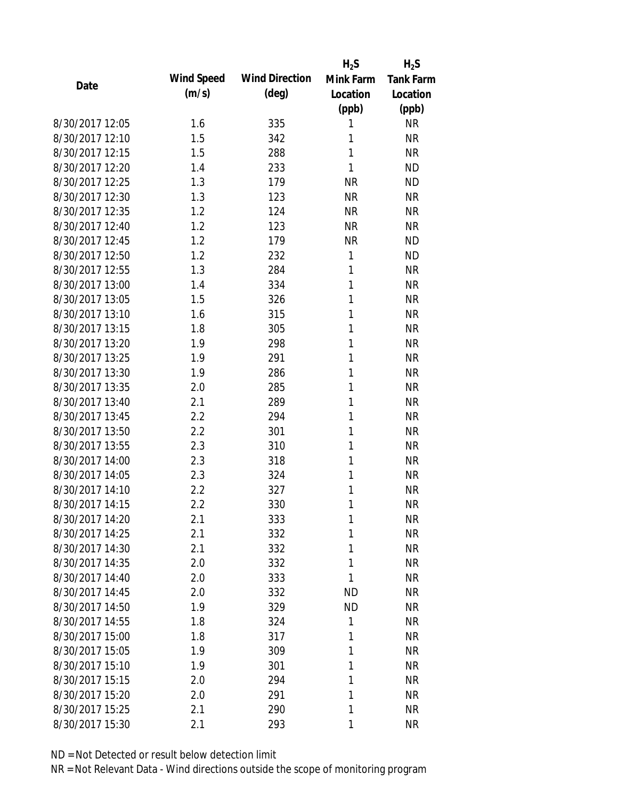|                 |            |                       | $H_2S$    | $H_2S$           |
|-----------------|------------|-----------------------|-----------|------------------|
| Date            | Wind Speed | <b>Wind Direction</b> | Mink Farm | <b>Tank Farm</b> |
|                 | (m/s)      | $(\text{deg})$        | Location  | Location         |
|                 |            |                       | (ppb)     | (ppb)            |
| 8/30/2017 12:05 | 1.6        | 335                   | 1         | <b>NR</b>        |
| 8/30/2017 12:10 | 1.5        | 342                   | 1         | <b>NR</b>        |
| 8/30/2017 12:15 | 1.5        | 288                   | 1         | <b>NR</b>        |
| 8/30/2017 12:20 | 1.4        | 233                   | 1         | <b>ND</b>        |
| 8/30/2017 12:25 | 1.3        | 179                   | <b>NR</b> | <b>ND</b>        |
| 8/30/2017 12:30 | 1.3        | 123                   | <b>NR</b> | <b>NR</b>        |
| 8/30/2017 12:35 | 1.2        | 124                   | <b>NR</b> | <b>NR</b>        |
| 8/30/2017 12:40 | 1.2        | 123                   | <b>NR</b> | <b>NR</b>        |
| 8/30/2017 12:45 | 1.2        | 179                   | <b>NR</b> | <b>ND</b>        |
| 8/30/2017 12:50 | 1.2        | 232                   | 1         | <b>ND</b>        |
| 8/30/2017 12:55 | 1.3        | 284                   | 1         | <b>NR</b>        |
| 8/30/2017 13:00 | 1.4        | 334                   | 1         | <b>NR</b>        |
| 8/30/2017 13:05 | 1.5        | 326                   | 1         | <b>NR</b>        |
| 8/30/2017 13:10 | 1.6        | 315                   | 1         | <b>NR</b>        |
| 8/30/2017 13:15 | 1.8        | 305                   | 1         | <b>NR</b>        |
| 8/30/2017 13:20 | 1.9        | 298                   | 1         | <b>NR</b>        |
| 8/30/2017 13:25 | 1.9        | 291                   | 1         | <b>NR</b>        |
| 8/30/2017 13:30 | 1.9        | 286                   | 1         | <b>NR</b>        |
| 8/30/2017 13:35 | 2.0        | 285                   | 1         | <b>NR</b>        |
| 8/30/2017 13:40 | 2.1        | 289                   | 1         | <b>NR</b>        |
| 8/30/2017 13:45 | 2.2        | 294                   | 1         | <b>NR</b>        |
| 8/30/2017 13:50 | 2.2        | 301                   | 1         | <b>NR</b>        |
| 8/30/2017 13:55 | 2.3        | 310                   | 1         | <b>NR</b>        |
| 8/30/2017 14:00 | 2.3        | 318                   | 1         | <b>NR</b>        |
| 8/30/2017 14:05 | 2.3        | 324                   | 1         | <b>NR</b>        |
| 8/30/2017 14:10 | 2.2        | 327                   | 1         | <b>NR</b>        |
| 8/30/2017 14:15 | 2.2        | 330                   | 1         | <b>NR</b>        |
| 8/30/2017 14:20 | 2.1        | 333                   | 1         | <b>NR</b>        |
| 8/30/2017 14:25 | 2.1        | 332                   | 1         | <b>NR</b>        |
| 8/30/2017 14:30 | 2.1        | 332                   | 1         | <b>NR</b>        |
| 8/30/2017 14:35 | 2.0        | 332                   | 1         | <b>NR</b>        |
| 8/30/2017 14:40 | 2.0        | 333                   | 1         | <b>NR</b>        |
| 8/30/2017 14:45 | 2.0        | 332                   | ΝD        | <b>NR</b>        |
| 8/30/2017 14:50 | 1.9        | 329                   | <b>ND</b> | <b>NR</b>        |
| 8/30/2017 14:55 | 1.8        | 324                   | 1         | <b>NR</b>        |
| 8/30/2017 15:00 | 1.8        | 317                   | 1         | <b>NR</b>        |
| 8/30/2017 15:05 | 1.9        | 309                   | 1         | <b>NR</b>        |
| 8/30/2017 15:10 | 1.9        | 301                   | 1         | <b>NR</b>        |
| 8/30/2017 15:15 | 2.0        | 294                   | 1         | <b>NR</b>        |
| 8/30/2017 15:20 | 2.0        | 291                   | 1         | <b>NR</b>        |
| 8/30/2017 15:25 | 2.1        | 290                   | 1         | <b>NR</b>        |
| 8/30/2017 15:30 | 2.1        | 293                   | 1         | <b>NR</b>        |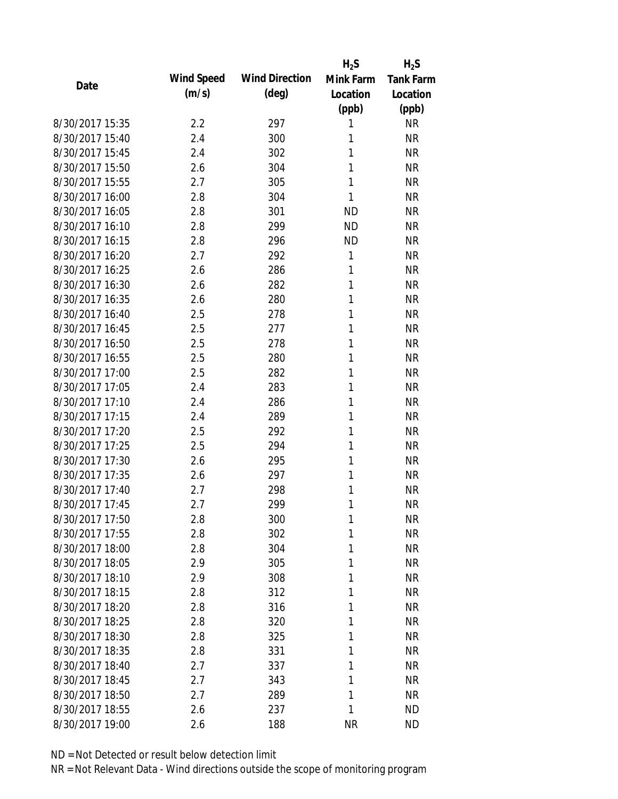|                 |            |                       | $H_2S$    | $H_2S$           |
|-----------------|------------|-----------------------|-----------|------------------|
| Date            | Wind Speed | <b>Wind Direction</b> | Mink Farm | <b>Tank Farm</b> |
|                 | (m/s)      | $(\text{deg})$        | Location  | Location         |
|                 |            |                       | (ppb)     | (ppb)            |
| 8/30/2017 15:35 | 2.2        | 297                   | 1         | <b>NR</b>        |
| 8/30/2017 15:40 | 2.4        | 300                   | 1         | <b>NR</b>        |
| 8/30/2017 15:45 | 2.4        | 302                   | 1         | <b>NR</b>        |
| 8/30/2017 15:50 | 2.6        | 304                   | 1         | <b>NR</b>        |
| 8/30/2017 15:55 | 2.7        | 305                   | 1         | <b>NR</b>        |
| 8/30/2017 16:00 | 2.8        | 304                   | 1         | <b>NR</b>        |
| 8/30/2017 16:05 | 2.8        | 301                   | <b>ND</b> | <b>NR</b>        |
| 8/30/2017 16:10 | 2.8        | 299                   | <b>ND</b> | <b>NR</b>        |
| 8/30/2017 16:15 | 2.8        | 296                   | <b>ND</b> | <b>NR</b>        |
| 8/30/2017 16:20 | 2.7        | 292                   | 1         | <b>NR</b>        |
| 8/30/2017 16:25 | 2.6        | 286                   | 1         | <b>NR</b>        |
| 8/30/2017 16:30 | 2.6        | 282                   | 1         | <b>NR</b>        |
| 8/30/2017 16:35 | 2.6        | 280                   | 1         | <b>NR</b>        |
| 8/30/2017 16:40 | 2.5        | 278                   | 1         | <b>NR</b>        |
| 8/30/2017 16:45 | 2.5        | 277                   | 1         | <b>NR</b>        |
| 8/30/2017 16:50 | 2.5        | 278                   | 1         | <b>NR</b>        |
| 8/30/2017 16:55 | 2.5        | 280                   | 1         | <b>NR</b>        |
| 8/30/2017 17:00 | 2.5        | 282                   | 1         | <b>NR</b>        |
| 8/30/2017 17:05 | 2.4        | 283                   | 1         | <b>NR</b>        |
| 8/30/2017 17:10 | 2.4        | 286                   | 1         | <b>NR</b>        |
| 8/30/2017 17:15 | 2.4        | 289                   | 1         | <b>NR</b>        |
| 8/30/2017 17:20 | 2.5        | 292                   | 1         | <b>NR</b>        |
| 8/30/2017 17:25 | 2.5        | 294                   | 1         | <b>NR</b>        |
| 8/30/2017 17:30 | 2.6        | 295                   | 1         | <b>NR</b>        |
| 8/30/2017 17:35 | 2.6        | 297                   | 1         | <b>NR</b>        |
| 8/30/2017 17:40 | 2.7        | 298                   | 1         | <b>NR</b>        |
| 8/30/2017 17:45 | 2.7        | 299                   | 1         | <b>NR</b>        |
| 8/30/2017 17:50 | 2.8        | 300                   | 1         | <b>NR</b>        |
| 8/30/2017 17:55 | 2.8        | 302                   | 1         | <b>NR</b>        |
| 8/30/2017 18:00 | 2.8        | 304                   | 1         | <b>NR</b>        |
| 8/30/2017 18:05 | 2.9        | 305                   | 1         | <b>NR</b>        |
| 8/30/2017 18:10 | 2.9        | 308                   | 1         | <b>NR</b>        |
| 8/30/2017 18:15 | 2.8        | 312                   | 1         | <b>NR</b>        |
| 8/30/2017 18:20 | 2.8        | 316                   | 1         | <b>NR</b>        |
| 8/30/2017 18:25 | 2.8        | 320                   | 1         | <b>NR</b>        |
| 8/30/2017 18:30 | 2.8        | 325                   | 1         | <b>NR</b>        |
| 8/30/2017 18:35 | 2.8        | 331                   | 1         | <b>NR</b>        |
| 8/30/2017 18:40 | 2.7        | 337                   | 1         | <b>NR</b>        |
| 8/30/2017 18:45 | 2.7        | 343                   | 1         | <b>NR</b>        |
| 8/30/2017 18:50 | 2.7        | 289                   | 1         | <b>NR</b>        |
| 8/30/2017 18:55 |            | 237                   | 1         | <b>ND</b>        |
|                 | 2.6        |                       |           |                  |
| 8/30/2017 19:00 | 2.6        | 188                   | <b>NR</b> | <b>ND</b>        |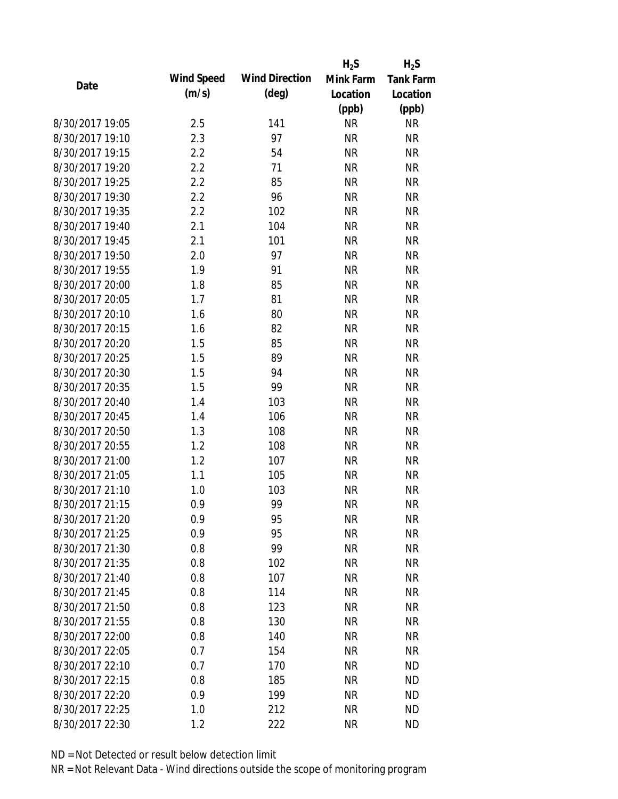|                 |            |                       | $H_2S$    | $H_2S$           |
|-----------------|------------|-----------------------|-----------|------------------|
| Date            | Wind Speed | <b>Wind Direction</b> | Mink Farm | <b>Tank Farm</b> |
|                 | (m/s)      | $(\text{deg})$        | Location  | Location         |
|                 |            |                       | (ppb)     | (ppb)            |
| 8/30/2017 19:05 | 2.5        | 141                   | <b>NR</b> | <b>NR</b>        |
| 8/30/2017 19:10 | 2.3        | 97                    | <b>NR</b> | <b>NR</b>        |
| 8/30/2017 19:15 | 2.2        | 54                    | <b>NR</b> | <b>NR</b>        |
| 8/30/2017 19:20 | 2.2        | 71                    | <b>NR</b> | <b>NR</b>        |
| 8/30/2017 19:25 | 2.2        | 85                    | <b>NR</b> | <b>NR</b>        |
| 8/30/2017 19:30 | 2.2        | 96                    | <b>NR</b> | <b>NR</b>        |
| 8/30/2017 19:35 | 2.2        | 102                   | <b>NR</b> | <b>NR</b>        |
| 8/30/2017 19:40 | 2.1        | 104                   | <b>NR</b> | <b>NR</b>        |
| 8/30/2017 19:45 | 2.1        | 101                   | <b>NR</b> | <b>NR</b>        |
| 8/30/2017 19:50 | 2.0        | 97                    | <b>NR</b> | <b>NR</b>        |
| 8/30/2017 19:55 | 1.9        | 91                    | <b>NR</b> | <b>NR</b>        |
| 8/30/2017 20:00 | 1.8        | 85                    | <b>NR</b> | <b>NR</b>        |
| 8/30/2017 20:05 | 1.7        | 81                    | <b>NR</b> | <b>NR</b>        |
| 8/30/2017 20:10 | 1.6        | 80                    | <b>NR</b> | <b>NR</b>        |
| 8/30/2017 20:15 | 1.6        | 82                    | <b>NR</b> | <b>NR</b>        |
| 8/30/2017 20:20 | 1.5        | 85                    | <b>NR</b> | <b>NR</b>        |
| 8/30/2017 20:25 | 1.5        | 89                    | <b>NR</b> | <b>NR</b>        |
| 8/30/2017 20:30 | 1.5        | 94                    | <b>NR</b> | <b>NR</b>        |
| 8/30/2017 20:35 | 1.5        | 99                    | <b>NR</b> | <b>NR</b>        |
| 8/30/2017 20:40 | 1.4        | 103                   | <b>NR</b> | <b>NR</b>        |
| 8/30/2017 20:45 | 1.4        | 106                   | <b>NR</b> | <b>NR</b>        |
| 8/30/2017 20:50 | 1.3        | 108                   | <b>NR</b> | <b>NR</b>        |
| 8/30/2017 20:55 | 1.2        | 108                   | <b>NR</b> | <b>NR</b>        |
| 8/30/2017 21:00 | 1.2        | 107                   | <b>NR</b> | <b>NR</b>        |
| 8/30/2017 21:05 | 1.1        | 105                   | <b>NR</b> | <b>NR</b>        |
| 8/30/2017 21:10 | 1.0        | 103                   | <b>NR</b> | <b>NR</b>        |
| 8/30/2017 21:15 | 0.9        | 99                    | <b>NR</b> | <b>NR</b>        |
| 8/30/2017 21:20 | 0.9        | 95                    | <b>NR</b> | <b>NR</b>        |
| 8/30/2017 21:25 | 0.9        | 95                    | <b>NR</b> | <b>NR</b>        |
| 8/30/2017 21:30 | 0.8        | 99                    | <b>NR</b> | <b>NR</b>        |
| 8/30/2017 21:35 | 0.8        | 102                   | <b>NR</b> | <b>NR</b>        |
| 8/30/2017 21:40 | 0.8        | 107                   | <b>NR</b> | <b>NR</b>        |
| 8/30/2017 21:45 | 0.8        | 114                   | <b>NR</b> | <b>NR</b>        |
| 8/30/2017 21:50 | 0.8        | 123                   | <b>NR</b> | <b>NR</b>        |
| 8/30/2017 21:55 | 0.8        | 130                   | <b>NR</b> | <b>NR</b>        |
| 8/30/2017 22:00 | 0.8        | 140                   | <b>NR</b> | <b>NR</b>        |
| 8/30/2017 22:05 | 0.7        | 154                   | <b>NR</b> | <b>NR</b>        |
| 8/30/2017 22:10 | 0.7        | 170                   | <b>NR</b> | <b>ND</b>        |
| 8/30/2017 22:15 | 0.8        | 185                   | <b>NR</b> | <b>ND</b>        |
| 8/30/2017 22:20 | 0.9        | 199                   | <b>NR</b> | <b>ND</b>        |
| 8/30/2017 22:25 | 1.0        | 212                   | <b>NR</b> | <b>ND</b>        |
| 8/30/2017 22:30 | 1.2        | 222                   | <b>NR</b> | <b>ND</b>        |
|                 |            |                       |           |                  |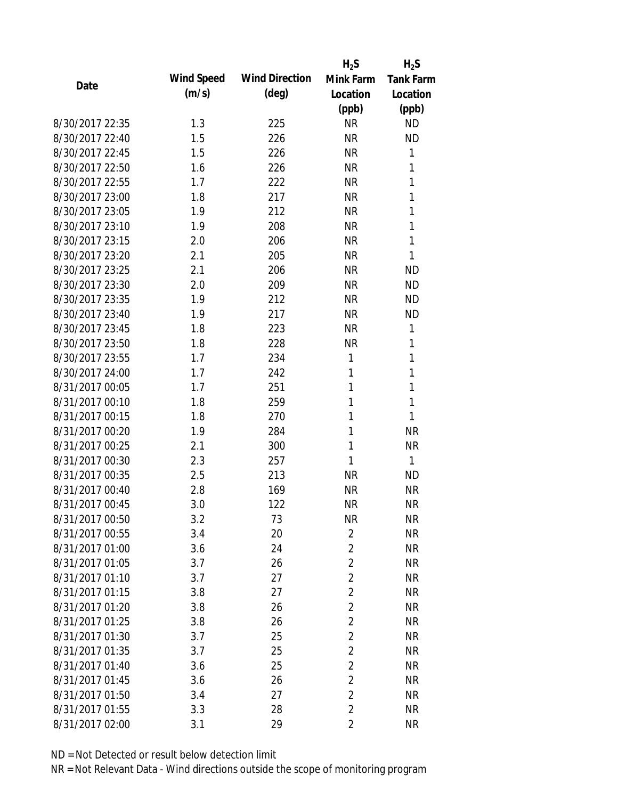|                 |            |                       | $H_2S$         | $H_2S$           |
|-----------------|------------|-----------------------|----------------|------------------|
| Date            | Wind Speed | <b>Wind Direction</b> | Mink Farm      | <b>Tank Farm</b> |
|                 | (m/s)      | $(\text{deg})$        | Location       | Location         |
|                 |            |                       | (ppb)          | (ppb)            |
| 8/30/2017 22:35 | 1.3        | 225                   | <b>NR</b>      | <b>ND</b>        |
| 8/30/2017 22:40 | 1.5        | 226                   | <b>NR</b>      | <b>ND</b>        |
| 8/30/2017 22:45 | 1.5        | 226                   | <b>NR</b>      | 1                |
| 8/30/2017 22:50 | 1.6        | 226                   | <b>NR</b>      | 1                |
| 8/30/2017 22:55 | 1.7        | 222                   | <b>NR</b>      | 1                |
| 8/30/2017 23:00 | 1.8        | 217                   | <b>NR</b>      | 1                |
| 8/30/2017 23:05 | 1.9        | 212                   | <b>NR</b>      | 1                |
| 8/30/2017 23:10 | 1.9        | 208                   | <b>NR</b>      | 1                |
| 8/30/2017 23:15 | 2.0        | 206                   | <b>NR</b>      | 1                |
| 8/30/2017 23:20 | 2.1        | 205                   | <b>NR</b>      | 1                |
| 8/30/2017 23:25 | 2.1        | 206                   | <b>NR</b>      | <b>ND</b>        |
| 8/30/2017 23:30 | 2.0        | 209                   | <b>NR</b>      | <b>ND</b>        |
| 8/30/2017 23:35 | 1.9        | 212                   | <b>NR</b>      | <b>ND</b>        |
| 8/30/2017 23:40 | 1.9        | 217                   | <b>NR</b>      | <b>ND</b>        |
| 8/30/2017 23:45 | 1.8        | 223                   | <b>NR</b>      | 1                |
| 8/30/2017 23:50 | 1.8        | 228                   | <b>NR</b>      | 1                |
| 8/30/2017 23:55 | 1.7        | 234                   | 1              | 1                |
| 8/30/2017 24:00 | 1.7        | 242                   | 1              | 1                |
| 8/31/2017 00:05 | 1.7        | 251                   | 1              | 1                |
| 8/31/2017 00:10 | 1.8        | 259                   | 1              | 1                |
| 8/31/2017 00:15 | 1.8        | 270                   | 1              | 1                |
| 8/31/2017 00:20 | 1.9        | 284                   | 1              | <b>NR</b>        |
| 8/31/2017 00:25 | 2.1        | 300                   | 1              | <b>NR</b>        |
| 8/31/2017 00:30 | 2.3        | 257                   | 1              | 1                |
| 8/31/2017 00:35 | 2.5        | 213                   | <b>NR</b>      | <b>ND</b>        |
| 8/31/2017 00:40 | 2.8        | 169                   | <b>NR</b>      | <b>NR</b>        |
| 8/31/2017 00:45 | 3.0        | 122                   | <b>NR</b>      | <b>NR</b>        |
| 8/31/2017 00:50 | 3.2        | 73                    | <b>NR</b>      | <b>NR</b>        |
| 8/31/2017 00:55 | 3.4        | 20                    | $\overline{2}$ | <b>NR</b>        |
| 8/31/2017 01:00 | 3.6        | 24                    | $\overline{2}$ | <b>NR</b>        |
| 8/31/2017 01:05 | 3.7        | 26                    | $\sqrt{2}$     | <b>NR</b>        |
| 8/31/2017 01:10 | 3.7        | 27                    | $\overline{2}$ | <b>NR</b>        |
| 8/31/2017 01:15 | 3.8        | 27                    | $\overline{2}$ | <b>NR</b>        |
| 8/31/2017 01:20 | 3.8        | 26                    | $\sqrt{2}$     | <b>NR</b>        |
| 8/31/2017 01:25 | 3.8        | 26                    | $\overline{2}$ | <b>NR</b>        |
| 8/31/2017 01:30 | 3.7        | 25                    | $\overline{2}$ | <b>NR</b>        |
| 8/31/2017 01:35 | 3.7        | 25                    | $\overline{2}$ | <b>NR</b>        |
| 8/31/2017 01:40 | 3.6        | 25                    | $\sqrt{2}$     | <b>NR</b>        |
| 8/31/2017 01:45 | 3.6        | 26                    | $\sqrt{2}$     | <b>NR</b>        |
| 8/31/2017 01:50 | 3.4        | 27                    | $\overline{2}$ | <b>NR</b>        |
| 8/31/2017 01:55 | 3.3        | 28                    | $\overline{2}$ | <b>NR</b>        |
| 8/31/2017 02:00 | 3.1        | 29                    | $\overline{2}$ | <b>NR</b>        |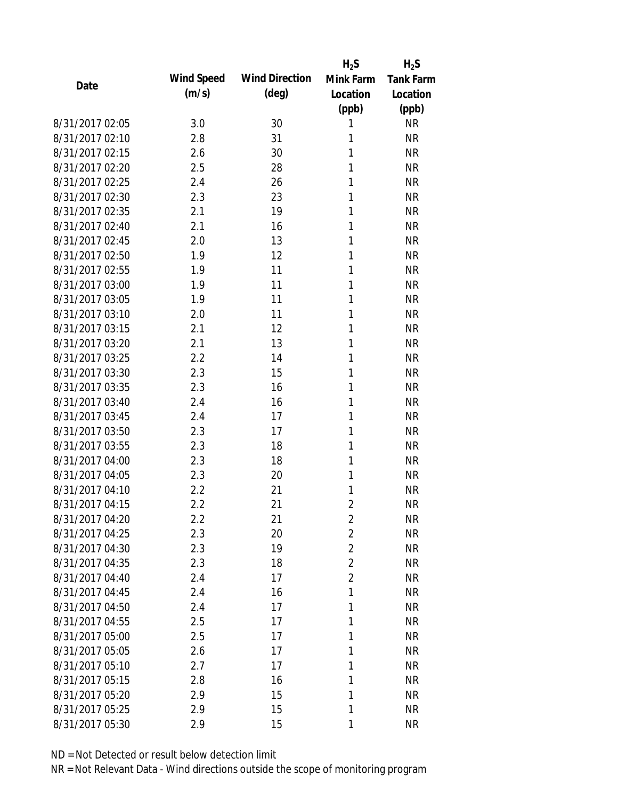|                 |            |                       | $H_2S$         | $H_2S$           |
|-----------------|------------|-----------------------|----------------|------------------|
| Date            | Wind Speed | <b>Wind Direction</b> | Mink Farm      | <b>Tank Farm</b> |
|                 | (m/s)      | $(\text{deg})$        | Location       | Location         |
|                 |            |                       | (ppb)          | (ppb)            |
| 8/31/2017 02:05 | 3.0        | 30                    | 1              | <b>NR</b>        |
| 8/31/2017 02:10 | 2.8        | 31                    | 1              | <b>NR</b>        |
| 8/31/2017 02:15 | 2.6        | 30                    | 1              | <b>NR</b>        |
| 8/31/2017 02:20 | 2.5        | 28                    | 1              | <b>NR</b>        |
| 8/31/2017 02:25 | 2.4        | 26                    | 1              | <b>NR</b>        |
| 8/31/2017 02:30 | 2.3        | 23                    | 1              | <b>NR</b>        |
| 8/31/2017 02:35 | 2.1        | 19                    | 1              | <b>NR</b>        |
| 8/31/2017 02:40 | 2.1        | 16                    | 1              | <b>NR</b>        |
| 8/31/2017 02:45 | 2.0        | 13                    | 1              | <b>NR</b>        |
| 8/31/2017 02:50 | 1.9        | 12                    | 1              | <b>NR</b>        |
| 8/31/2017 02:55 | 1.9        | 11                    | 1              | <b>NR</b>        |
| 8/31/2017 03:00 | 1.9        | 11                    | 1              | <b>NR</b>        |
| 8/31/2017 03:05 | 1.9        | 11                    | 1              | <b>NR</b>        |
| 8/31/2017 03:10 | 2.0        | 11                    | 1              | <b>NR</b>        |
| 8/31/2017 03:15 | 2.1        | 12                    | 1              | <b>NR</b>        |
| 8/31/2017 03:20 | 2.1        | 13                    | 1              | <b>NR</b>        |
| 8/31/2017 03:25 | 2.2        | 14                    | 1              | <b>NR</b>        |
| 8/31/2017 03:30 | 2.3        | 15                    | 1              | <b>NR</b>        |
| 8/31/2017 03:35 | 2.3        | 16                    | 1              | <b>NR</b>        |
| 8/31/2017 03:40 | 2.4        | 16                    | 1              | <b>NR</b>        |
| 8/31/2017 03:45 | 2.4        | 17                    | 1              | <b>NR</b>        |
| 8/31/2017 03:50 | 2.3        | 17                    | 1              | <b>NR</b>        |
| 8/31/2017 03:55 | 2.3        | 18                    | 1              | <b>NR</b>        |
| 8/31/2017 04:00 | 2.3        | 18                    | 1              | <b>NR</b>        |
| 8/31/2017 04:05 | 2.3        | 20                    | 1              | <b>NR</b>        |
| 8/31/2017 04:10 | 2.2        | 21                    | 1              | <b>NR</b>        |
| 8/31/2017 04:15 | 2.2        | 21                    | $\overline{2}$ | <b>NR</b>        |
| 8/31/2017 04:20 | 2.2        | 21                    | $\overline{2}$ | <b>NR</b>        |
| 8/31/2017 04:25 | 2.3        | 20                    | $\overline{2}$ | <b>NR</b>        |
| 8/31/2017 04:30 | 2.3        | 19                    | $\overline{2}$ | <b>NR</b>        |
| 8/31/2017 04:35 | 2.3        | 18                    | $\overline{2}$ | <b>NR</b>        |
| 8/31/2017 04:40 | 2.4        | 17                    | $\overline{2}$ | <b>NR</b>        |
| 8/31/2017 04:45 | 2.4        | 16                    | 1              | <b>NR</b>        |
| 8/31/2017 04:50 | 2.4        | 17                    | 1              | <b>NR</b>        |
| 8/31/2017 04:55 | 2.5        | 17                    | 1              | <b>NR</b>        |
| 8/31/2017 05:00 | 2.5        | 17                    | 1              | <b>NR</b>        |
| 8/31/2017 05:05 | 2.6        | 17                    | 1              | <b>NR</b>        |
| 8/31/2017 05:10 | 2.7        | 17                    | 1              | <b>NR</b>        |
| 8/31/2017 05:15 | 2.8        | 16                    | 1              | <b>NR</b>        |
| 8/31/2017 05:20 | 2.9        | 15                    | 1              | <b>NR</b>        |
| 8/31/2017 05:25 | 2.9        | 15                    | 1              | <b>NR</b>        |
| 8/31/2017 05:30 | 2.9        | 15                    | 1              | <b>NR</b>        |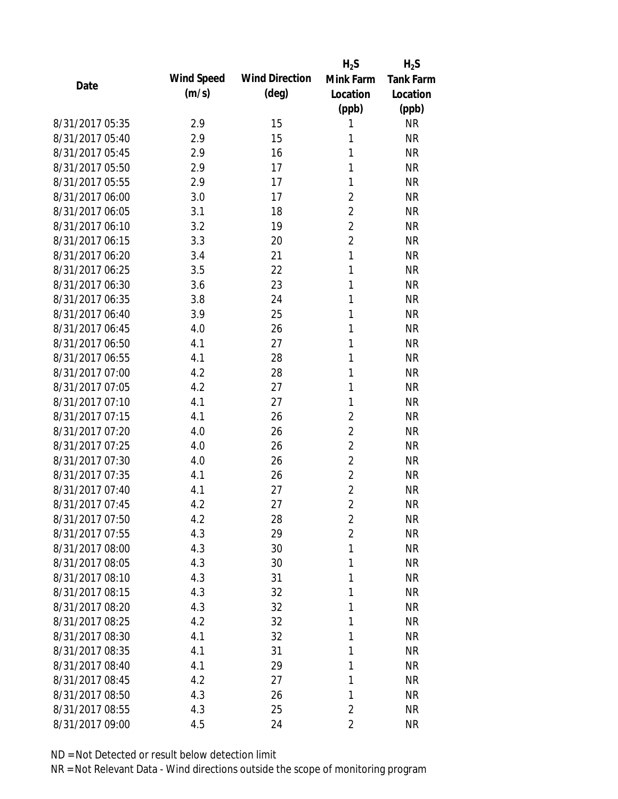|                 |            |                       | $H_2S$         | $H_2S$           |
|-----------------|------------|-----------------------|----------------|------------------|
| Date            | Wind Speed | <b>Wind Direction</b> | Mink Farm      | <b>Tank Farm</b> |
|                 | (m/s)      | $(\text{deg})$        | Location       | Location         |
|                 |            |                       | (ppb)          | (ppb)            |
| 8/31/2017 05:35 | 2.9        | 15                    | 1              | <b>NR</b>        |
| 8/31/2017 05:40 | 2.9        | 15                    | 1              | <b>NR</b>        |
| 8/31/2017 05:45 | 2.9        | 16                    | 1              | <b>NR</b>        |
| 8/31/2017 05:50 | 2.9        | 17                    | 1              | <b>NR</b>        |
| 8/31/2017 05:55 | 2.9        | 17                    | 1              | <b>NR</b>        |
| 8/31/2017 06:00 | 3.0        | 17                    | $\overline{2}$ | <b>NR</b>        |
| 8/31/2017 06:05 | 3.1        | 18                    | $\overline{2}$ | <b>NR</b>        |
| 8/31/2017 06:10 | 3.2        | 19                    | $\overline{2}$ | <b>NR</b>        |
| 8/31/2017 06:15 | 3.3        | 20                    | $\overline{c}$ | <b>NR</b>        |
| 8/31/2017 06:20 | 3.4        | 21                    | 1              | <b>NR</b>        |
| 8/31/2017 06:25 | 3.5        | 22                    | 1              | <b>NR</b>        |
| 8/31/2017 06:30 | 3.6        | 23                    | 1              | <b>NR</b>        |
| 8/31/2017 06:35 | 3.8        | 24                    | 1              | <b>NR</b>        |
| 8/31/2017 06:40 | 3.9        | 25                    | 1              | <b>NR</b>        |
| 8/31/2017 06:45 | 4.0        | 26                    | 1              | <b>NR</b>        |
| 8/31/2017 06:50 | 4.1        | 27                    | 1              | <b>NR</b>        |
| 8/31/2017 06:55 | 4.1        | 28                    | 1              | <b>NR</b>        |
| 8/31/2017 07:00 | 4.2        | 28                    | 1              | <b>NR</b>        |
| 8/31/2017 07:05 | 4.2        | 27                    | 1              | <b>NR</b>        |
| 8/31/2017 07:10 | 4.1        | 27                    | 1              | <b>NR</b>        |
| 8/31/2017 07:15 | 4.1        | 26                    | $\overline{2}$ | <b>NR</b>        |
| 8/31/2017 07:20 | 4.0        | 26                    | $\overline{2}$ | <b>NR</b>        |
| 8/31/2017 07:25 | 4.0        | 26                    | $\overline{2}$ | <b>NR</b>        |
| 8/31/2017 07:30 | 4.0        | 26                    | $\overline{2}$ | <b>NR</b>        |
| 8/31/2017 07:35 | 4.1        | 26                    | $\overline{2}$ | <b>NR</b>        |
| 8/31/2017 07:40 | 4.1        | 27                    | $\overline{2}$ | <b>NR</b>        |
| 8/31/2017 07:45 | 4.2        | 27                    | $\overline{2}$ | <b>NR</b>        |
| 8/31/2017 07:50 | 4.2        | 28                    | $\overline{2}$ | <b>NR</b>        |
| 8/31/2017 07:55 | 4.3        | 29                    | $\overline{2}$ | <b>NR</b>        |
| 8/31/2017 08:00 | 4.3        | 30                    | 1              | <b>NR</b>        |
| 8/31/2017 08:05 | 4.3        | 30                    | 1              | <b>NR</b>        |
| 8/31/2017 08:10 | 4.3        | 31                    | 1              | <b>NR</b>        |
| 8/31/2017 08:15 | 4.3        | 32                    | 1              | <b>NR</b>        |
| 8/31/2017 08:20 | 4.3        | 32                    | 1              | <b>NR</b>        |
| 8/31/2017 08:25 | 4.2        | 32                    | 1              | <b>NR</b>        |
| 8/31/2017 08:30 | 4.1        | 32                    | 1              | <b>NR</b>        |
| 8/31/2017 08:35 | 4.1        | 31                    | 1              | <b>NR</b>        |
| 8/31/2017 08:40 | 4.1        | 29                    | 1              | <b>NR</b>        |
| 8/31/2017 08:45 | 4.2        | 27                    | 1              | <b>NR</b>        |
| 8/31/2017 08:50 | 4.3        | 26                    | 1              | <b>NR</b>        |
| 8/31/2017 08:55 | 4.3        | 25                    | $\overline{2}$ | <b>NR</b>        |
| 8/31/2017 09:00 | 4.5        | 24                    | $\overline{2}$ | <b>NR</b>        |
|                 |            |                       |                |                  |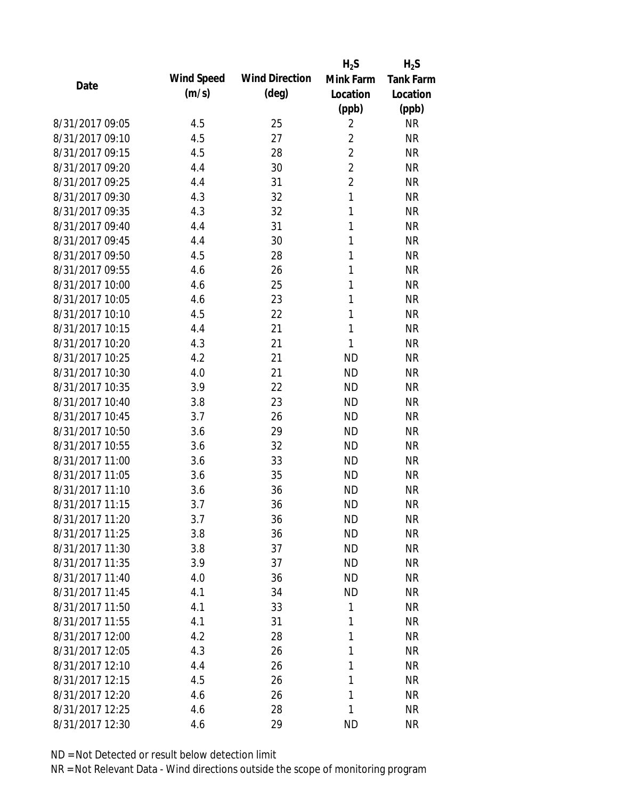|                 |            |                       | $H_2S$         | $H_2S$           |
|-----------------|------------|-----------------------|----------------|------------------|
| Date            | Wind Speed | <b>Wind Direction</b> | Mink Farm      | <b>Tank Farm</b> |
|                 | (m/s)      | $(\text{deg})$        | Location       | Location         |
|                 |            |                       | (ppb)          | (ppb)            |
| 8/31/2017 09:05 | 4.5        | 25                    | $\overline{2}$ | <b>NR</b>        |
| 8/31/2017 09:10 | 4.5        | 27                    | $\overline{2}$ | <b>NR</b>        |
| 8/31/2017 09:15 | 4.5        | 28                    | $\overline{2}$ | <b>NR</b>        |
| 8/31/2017 09:20 | 4.4        | 30                    | $\overline{2}$ | <b>NR</b>        |
| 8/31/2017 09:25 | 4.4        | 31                    | $\overline{2}$ | <b>NR</b>        |
| 8/31/2017 09:30 | 4.3        | 32                    | 1              | <b>NR</b>        |
| 8/31/2017 09:35 | 4.3        | 32                    | 1              | <b>NR</b>        |
| 8/31/2017 09:40 | 4.4        | 31                    | 1              | <b>NR</b>        |
| 8/31/2017 09:45 | 4.4        | 30                    | 1              | <b>NR</b>        |
| 8/31/2017 09:50 | 4.5        | 28                    | 1              | <b>NR</b>        |
| 8/31/2017 09:55 | 4.6        | 26                    | 1              | <b>NR</b>        |
| 8/31/2017 10:00 | 4.6        | 25                    | 1              | <b>NR</b>        |
| 8/31/2017 10:05 | 4.6        | 23                    | 1              | <b>NR</b>        |
| 8/31/2017 10:10 | 4.5        | 22                    | 1              | <b>NR</b>        |
| 8/31/2017 10:15 | 4.4        | 21                    | 1              | <b>NR</b>        |
| 8/31/2017 10:20 | 4.3        | 21                    | 1              | <b>NR</b>        |
| 8/31/2017 10:25 | 4.2        | 21                    | <b>ND</b>      | <b>NR</b>        |
| 8/31/2017 10:30 | 4.0        | 21                    | <b>ND</b>      | <b>NR</b>        |
| 8/31/2017 10:35 | 3.9        | 22                    | <b>ND</b>      | <b>NR</b>        |
| 8/31/2017 10:40 | 3.8        | 23                    | <b>ND</b>      | <b>NR</b>        |
| 8/31/2017 10:45 | 3.7        | 26                    | <b>ND</b>      | <b>NR</b>        |
| 8/31/2017 10:50 | 3.6        | 29                    | <b>ND</b>      | <b>NR</b>        |
| 8/31/2017 10:55 | 3.6        | 32                    | <b>ND</b>      | <b>NR</b>        |
| 8/31/2017 11:00 | 3.6        | 33                    | <b>ND</b>      | <b>NR</b>        |
| 8/31/2017 11:05 | 3.6        | 35                    | <b>ND</b>      | <b>NR</b>        |
| 8/31/2017 11:10 | 3.6        | 36                    | <b>ND</b>      | <b>NR</b>        |
| 8/31/2017 11:15 | 3.7        | 36                    | <b>ND</b>      | <b>NR</b>        |
| 8/31/2017 11:20 | 3.7        | 36                    | <b>ND</b>      | <b>NR</b>        |
| 8/31/2017 11:25 | 3.8        | 36                    | <b>ND</b>      | <b>NR</b>        |
| 8/31/2017 11:30 | 3.8        | 37                    | <b>ND</b>      | <b>NR</b>        |
| 8/31/2017 11:35 | 3.9        | 37                    | <b>ND</b>      | <b>NR</b>        |
| 8/31/2017 11:40 | 4.0        | 36                    | <b>ND</b>      | <b>NR</b>        |
| 8/31/2017 11:45 | 4.1        | 34                    | <b>ND</b>      | <b>NR</b>        |
| 8/31/2017 11:50 | 4.1        | 33                    | 1              | <b>NR</b>        |
| 8/31/2017 11:55 | 4.1        | 31                    | 1              | <b>NR</b>        |
| 8/31/2017 12:00 | 4.2        | 28                    | 1              | <b>NR</b>        |
| 8/31/2017 12:05 | 4.3        | 26                    | 1              | <b>NR</b>        |
| 8/31/2017 12:10 | 4.4        | 26                    | 1              | <b>NR</b>        |
| 8/31/2017 12:15 | 4.5        | 26                    | 1              | <b>NR</b>        |
| 8/31/2017 12:20 | 4.6        | 26                    | 1              | <b>NR</b>        |
| 8/31/2017 12:25 | 4.6        | 28                    | 1              | <b>NR</b>        |
| 8/31/2017 12:30 | 4.6        | 29                    | <b>ND</b>      | <b>NR</b>        |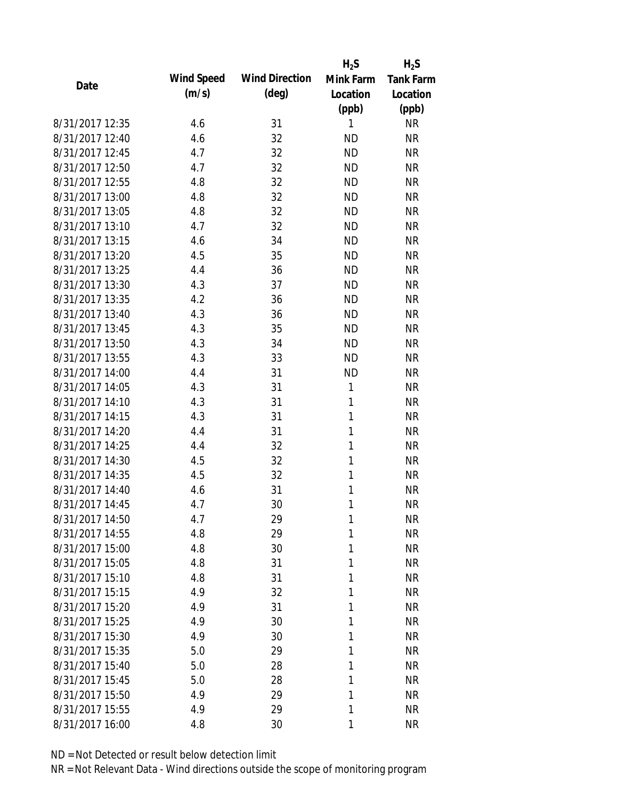|                 |            |                       | $H_2S$       | $H_2S$           |
|-----------------|------------|-----------------------|--------------|------------------|
| Date            | Wind Speed | <b>Wind Direction</b> | Mink Farm    | <b>Tank Farm</b> |
|                 | (m/s)      | $(\text{deg})$        | Location     | Location         |
|                 |            |                       | (ppb)        | (ppb)            |
| 8/31/2017 12:35 | 4.6        | 31                    | 1            | <b>NR</b>        |
| 8/31/2017 12:40 | 4.6        | 32                    | <b>ND</b>    | <b>NR</b>        |
| 8/31/2017 12:45 | 4.7        | 32                    | <b>ND</b>    | <b>NR</b>        |
| 8/31/2017 12:50 | 4.7        | 32                    | <b>ND</b>    | <b>NR</b>        |
| 8/31/2017 12:55 | 4.8        | 32                    | <b>ND</b>    | <b>NR</b>        |
| 8/31/2017 13:00 | 4.8        | 32                    | <b>ND</b>    | <b>NR</b>        |
| 8/31/2017 13:05 | 4.8        | 32                    | <b>ND</b>    | <b>NR</b>        |
| 8/31/2017 13:10 | 4.7        | 32                    | <b>ND</b>    | <b>NR</b>        |
| 8/31/2017 13:15 | 4.6        | 34                    | <b>ND</b>    | <b>NR</b>        |
| 8/31/2017 13:20 | 4.5        | 35                    | <b>ND</b>    | <b>NR</b>        |
| 8/31/2017 13:25 | 4.4        | 36                    | <b>ND</b>    | <b>NR</b>        |
| 8/31/2017 13:30 | 4.3        | 37                    | <b>ND</b>    | <b>NR</b>        |
| 8/31/2017 13:35 | 4.2        | 36                    | <b>ND</b>    | <b>NR</b>        |
| 8/31/2017 13:40 | 4.3        | 36                    | <b>ND</b>    | <b>NR</b>        |
| 8/31/2017 13:45 | 4.3        | 35                    | <b>ND</b>    | <b>NR</b>        |
| 8/31/2017 13:50 | 4.3        | 34                    | <b>ND</b>    | <b>NR</b>        |
| 8/31/2017 13:55 | 4.3        | 33                    | <b>ND</b>    | <b>NR</b>        |
| 8/31/2017 14:00 | 4.4        | 31                    | <b>ND</b>    | <b>NR</b>        |
| 8/31/2017 14:05 | 4.3        | 31                    | 1            | <b>NR</b>        |
| 8/31/2017 14:10 | 4.3        | 31                    | 1            | <b>NR</b>        |
| 8/31/2017 14:15 | 4.3        | 31                    | 1            | <b>NR</b>        |
| 8/31/2017 14:20 | 4.4        | 31                    | $\mathbf{1}$ | <b>NR</b>        |
| 8/31/2017 14:25 | 4.4        | 32                    | 1            | <b>NR</b>        |
| 8/31/2017 14:30 | 4.5        | 32                    | 1            | <b>NR</b>        |
| 8/31/2017 14:35 | 4.5        | 32                    | 1            | <b>NR</b>        |
| 8/31/2017 14:40 | 4.6        | 31                    | 1            | <b>NR</b>        |
| 8/31/2017 14:45 | 4.7        | 30                    | 1            | <b>NR</b>        |
| 8/31/2017 14:50 | 4.7        | 29                    | 1            | <b>NR</b>        |
| 8/31/2017 14:55 | 4.8        | 29                    | 1            | <b>NR</b>        |
| 8/31/2017 15:00 | 4.8        | 30                    | 1            | <b>NR</b>        |
| 8/31/2017 15:05 | 4.8        | 31                    | 1            | <b>NR</b>        |
| 8/31/2017 15:10 | 4.8        | 31                    | 1            | <b>NR</b>        |
| 8/31/2017 15:15 | 4.9        | 32                    | 1            | <b>NR</b>        |
| 8/31/2017 15:20 | 4.9        | 31                    | 1            | <b>NR</b>        |
| 8/31/2017 15:25 | 4.9        | 30                    | 1            | <b>NR</b>        |
| 8/31/2017 15:30 | 4.9        | 30                    | 1            | <b>NR</b>        |
| 8/31/2017 15:35 | 5.0        | 29                    | 1            | <b>NR</b>        |
| 8/31/2017 15:40 | 5.0        | 28                    | 1            | <b>NR</b>        |
| 8/31/2017 15:45 | 5.0        | 28                    | 1            | <b>NR</b>        |
| 8/31/2017 15:50 | 4.9        | 29                    | 1            | <b>NR</b>        |
| 8/31/2017 15:55 | 4.9        | 29                    | 1            | <b>NR</b>        |
|                 |            |                       |              |                  |
| 8/31/2017 16:00 | 4.8        | 30                    | 1            | <b>NR</b>        |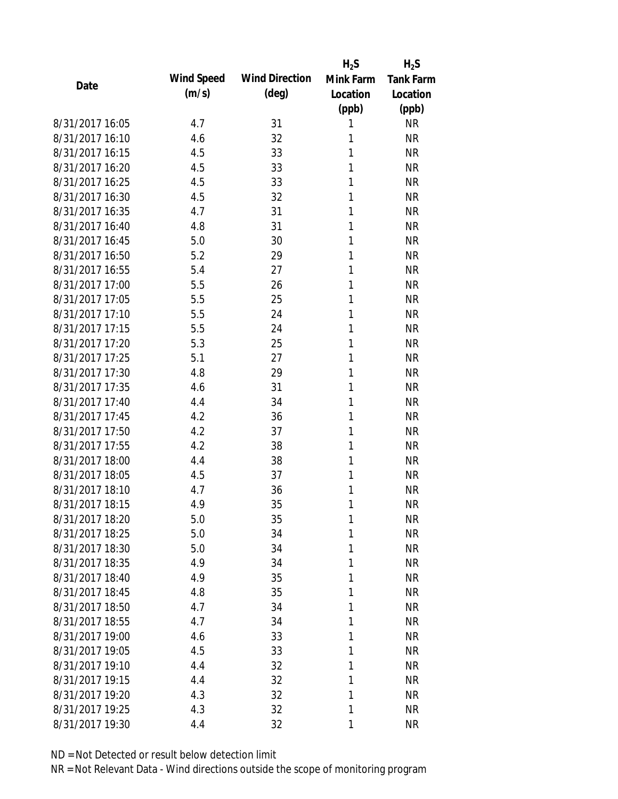|                 |            |                       | $H_2S$    | $H_2S$           |
|-----------------|------------|-----------------------|-----------|------------------|
| Date            | Wind Speed | <b>Wind Direction</b> | Mink Farm | <b>Tank Farm</b> |
|                 | (m/s)      | $(\text{deg})$        | Location  | Location         |
|                 |            |                       | (ppb)     | (ppb)            |
| 8/31/2017 16:05 | 4.7        | 31                    | 1         | <b>NR</b>        |
| 8/31/2017 16:10 | 4.6        | 32                    | 1         | <b>NR</b>        |
| 8/31/2017 16:15 | 4.5        | 33                    | 1         | <b>NR</b>        |
| 8/31/2017 16:20 | 4.5        | 33                    | 1         | <b>NR</b>        |
| 8/31/2017 16:25 | 4.5        | 33                    | 1         | <b>NR</b>        |
| 8/31/2017 16:30 | 4.5        | 32                    | 1         | <b>NR</b>        |
| 8/31/2017 16:35 | 4.7        | 31                    | 1         | <b>NR</b>        |
| 8/31/2017 16:40 | 4.8        | 31                    | 1         | <b>NR</b>        |
| 8/31/2017 16:45 | 5.0        | 30                    | 1         | <b>NR</b>        |
| 8/31/2017 16:50 | 5.2        | 29                    | 1         | <b>NR</b>        |
| 8/31/2017 16:55 | 5.4        | 27                    | 1         | <b>NR</b>        |
| 8/31/2017 17:00 | 5.5        | 26                    | 1         | <b>NR</b>        |
| 8/31/2017 17:05 | 5.5        | 25                    | 1         | <b>NR</b>        |
| 8/31/2017 17:10 | 5.5        | 24                    | 1         | <b>NR</b>        |
| 8/31/2017 17:15 | 5.5        | 24                    | 1         | <b>NR</b>        |
| 8/31/2017 17:20 | 5.3        | 25                    | 1         | <b>NR</b>        |
| 8/31/2017 17:25 | 5.1        | 27                    | 1         | <b>NR</b>        |
| 8/31/2017 17:30 | 4.8        | 29                    | 1         | <b>NR</b>        |
| 8/31/2017 17:35 | 4.6        | 31                    | 1         | <b>NR</b>        |
| 8/31/2017 17:40 | 4.4        | 34                    | 1         | <b>NR</b>        |
| 8/31/2017 17:45 | 4.2        | 36                    | 1         | <b>NR</b>        |
| 8/31/2017 17:50 | 4.2        | 37                    | 1         | <b>NR</b>        |
| 8/31/2017 17:55 | 4.2        | 38                    | 1         | <b>NR</b>        |
| 8/31/2017 18:00 | 4.4        | 38                    | 1         | <b>NR</b>        |
| 8/31/2017 18:05 | 4.5        | 37                    | 1         | <b>NR</b>        |
| 8/31/2017 18:10 | 4.7        | 36                    | 1         | <b>NR</b>        |
| 8/31/2017 18:15 | 4.9        | 35                    | 1         | <b>NR</b>        |
| 8/31/2017 18:20 | 5.0        | 35                    | 1         | <b>NR</b>        |
| 8/31/2017 18:25 | 5.0        | 34                    | 1         | <b>NR</b>        |
| 8/31/2017 18:30 | 5.0        | 34                    | 1         | <b>NR</b>        |
| 8/31/2017 18:35 | 4.9        | 34                    | 1         | <b>NR</b>        |
| 8/31/2017 18:40 | 4.9        | 35                    | 1         | <b>NR</b>        |
| 8/31/2017 18:45 | 4.8        | 35                    | 1         | <b>NR</b>        |
| 8/31/2017 18:50 | 4.7        | 34                    | 1         | <b>NR</b>        |
| 8/31/2017 18:55 | 4.7        | 34                    | 1         | <b>NR</b>        |
| 8/31/2017 19:00 | 4.6        | 33                    | 1         | <b>NR</b>        |
| 8/31/2017 19:05 | 4.5        | 33                    | 1         | <b>NR</b>        |
| 8/31/2017 19:10 | 4.4        | 32                    | 1         | <b>NR</b>        |
| 8/31/2017 19:15 | 4.4        | 32                    | 1         | <b>NR</b>        |
| 8/31/2017 19:20 | 4.3        | 32                    | 1         | <b>NR</b>        |
| 8/31/2017 19:25 | 4.3        | 32                    | 1         | <b>NR</b>        |
| 8/31/2017 19:30 | 4.4        | 32                    | 1         | <b>NR</b>        |
|                 |            |                       |           |                  |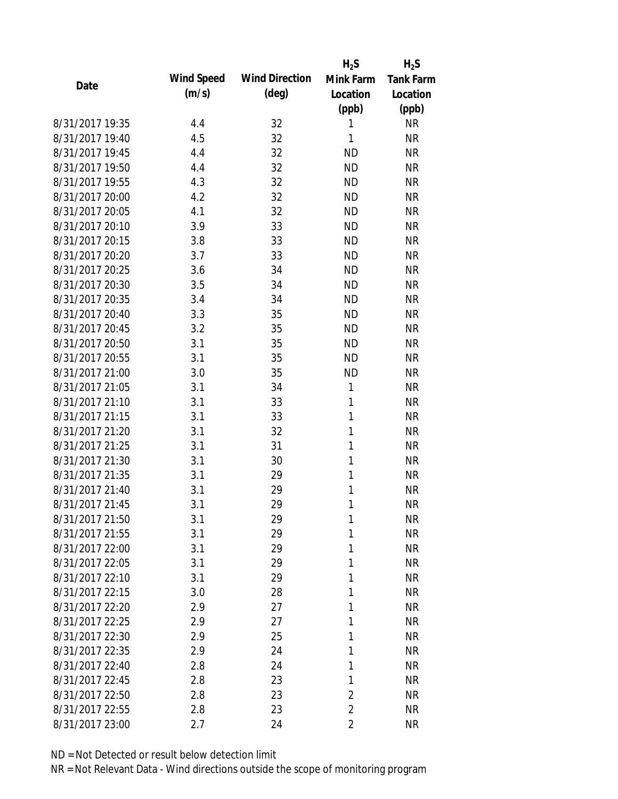|                 |            |                       | $H_2S$         | $H_2S$           |
|-----------------|------------|-----------------------|----------------|------------------|
| Date            | Wind Speed | <b>Wind Direction</b> | Mink Farm      | <b>Tank Farm</b> |
|                 | (m/s)      | $(\text{deg})$        | Location       | Location         |
|                 |            |                       | (ppb)          | (ppb)            |
| 8/31/2017 19:35 | 4.4        | 32                    | 1              | <b>NR</b>        |
| 8/31/2017 19:40 | 4.5        | 32                    | 1              | <b>NR</b>        |
| 8/31/2017 19:45 | 4.4        | 32                    | <b>ND</b>      | <b>NR</b>        |
| 8/31/2017 19:50 | 4.4        | 32                    | <b>ND</b>      | <b>NR</b>        |
| 8/31/2017 19:55 | 4.3        | 32                    | <b>ND</b>      | <b>NR</b>        |
| 8/31/2017 20:00 | 4.2        | 32                    | <b>ND</b>      | <b>NR</b>        |
| 8/31/2017 20:05 | 4.1        | 32                    | <b>ND</b>      | <b>NR</b>        |
| 8/31/2017 20:10 | 3.9        | 33                    | <b>ND</b>      | <b>NR</b>        |
| 8/31/2017 20:15 | 3.8        | 33                    | <b>ND</b>      | <b>NR</b>        |
| 8/31/2017 20:20 | 3.7        | 33                    | <b>ND</b>      | <b>NR</b>        |
| 8/31/2017 20:25 | 3.6        | 34                    | <b>ND</b>      | <b>NR</b>        |
| 8/31/2017 20:30 | 3.5        | 34                    | <b>ND</b>      | <b>NR</b>        |
| 8/31/2017 20:35 | 3.4        | 34                    | <b>ND</b>      | <b>NR</b>        |
| 8/31/2017 20:40 | 3.3        | 35                    | <b>ND</b>      | <b>NR</b>        |
| 8/31/2017 20:45 | 3.2        | 35                    | <b>ND</b>      | <b>NR</b>        |
| 8/31/2017 20:50 | 3.1        | 35                    | <b>ND</b>      | <b>NR</b>        |
| 8/31/2017 20:55 | 3.1        | 35                    | <b>ND</b>      | <b>NR</b>        |
| 8/31/2017 21:00 | 3.0        | 35                    | <b>ND</b>      | <b>NR</b>        |
| 8/31/2017 21:05 | 3.1        | 34                    | 1              | <b>NR</b>        |
| 8/31/2017 21:10 | 3.1        | 33                    | 1              | <b>NR</b>        |
| 8/31/2017 21:15 | 3.1        | 33                    | 1              | <b>NR</b>        |
| 8/31/2017 21:20 | 3.1        | 32                    | 1              | <b>NR</b>        |
| 8/31/2017 21:25 | 3.1        | 31                    | 1              | <b>NR</b>        |
| 8/31/2017 21:30 | 3.1        | 30                    | 1              | <b>NR</b>        |
| 8/31/2017 21:35 | 3.1        | 29                    | 1              | <b>NR</b>        |
| 8/31/2017 21:40 | 3.1        | 29                    | 1              | <b>NR</b>        |
| 8/31/2017 21:45 | 3.1        | 29                    | 1              | <b>NR</b>        |
| 8/31/2017 21:50 | 3.1        | 29                    | 1              | <b>NR</b>        |
| 8/31/2017 21:55 | 3.1        | 29                    | 1              | <b>NR</b>        |
| 8/31/2017 22:00 | 3.1        | 29                    | 1              | <b>NR</b>        |
| 8/31/2017 22:05 | 3.1        | 29                    | 1              | <b>NR</b>        |
| 8/31/2017 22:10 | 3.1        | 29                    | 1              | <b>NR</b>        |
| 8/31/2017 22:15 | 3.0        | 28                    | 1              | <b>NR</b>        |
| 8/31/2017 22:20 | 2.9        | 27                    | 1              | <b>NR</b>        |
| 8/31/2017 22:25 | 2.9        | 27                    | 1              | <b>NR</b>        |
| 8/31/2017 22:30 | 2.9        | 25                    | 1              | <b>NR</b>        |
| 8/31/2017 22:35 | 2.9        | 24                    | 1              | <b>NR</b>        |
| 8/31/2017 22:40 | 2.8        | 24                    | 1              | <b>NR</b>        |
| 8/31/2017 22:45 | 2.8        | 23                    | 1              | <b>NR</b>        |
| 8/31/2017 22:50 | 2.8        | 23                    | 2              | <b>NR</b>        |
| 8/31/2017 22:55 | 2.8        | 23                    | $\overline{2}$ | <b>NR</b>        |
| 8/31/2017 23:00 | 2.7        | 24                    | $\overline{2}$ | <b>NR</b>        |
|                 |            |                       |                |                  |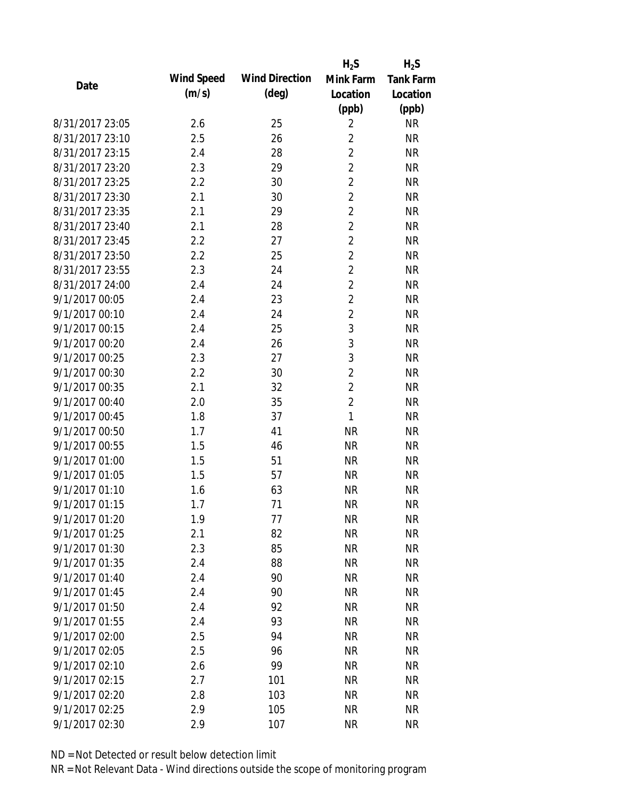|                 |                   |                       | $H_2S$         | $H_2S$           |
|-----------------|-------------------|-----------------------|----------------|------------------|
| Date            | <b>Wind Speed</b> | <b>Wind Direction</b> | Mink Farm      | <b>Tank Farm</b> |
|                 | (m/s)             | $(\text{deg})$        | Location       | Location         |
|                 |                   |                       | (ppb)          | (ppb)            |
| 8/31/2017 23:05 | 2.6               | 25                    | $\overline{2}$ | <b>NR</b>        |
| 8/31/2017 23:10 | 2.5               | 26                    | $\overline{2}$ | <b>NR</b>        |
| 8/31/2017 23:15 | 2.4               | 28                    | $\overline{2}$ | <b>NR</b>        |
| 8/31/2017 23:20 | 2.3               | 29                    | $\overline{2}$ | <b>NR</b>        |
| 8/31/2017 23:25 | 2.2               | 30                    | $\overline{2}$ | <b>NR</b>        |
| 8/31/2017 23:30 | 2.1               | 30                    | $\overline{2}$ | <b>NR</b>        |
| 8/31/2017 23:35 | 2.1               | 29                    | $\overline{2}$ | <b>NR</b>        |
| 8/31/2017 23:40 | 2.1               | 28                    | $\overline{2}$ | <b>NR</b>        |
| 8/31/2017 23:45 | 2.2               | 27                    | $\overline{2}$ | <b>NR</b>        |
| 8/31/2017 23:50 | 2.2               | 25                    | $\overline{2}$ | <b>NR</b>        |
| 8/31/2017 23:55 | 2.3               | 24                    | $\overline{2}$ | <b>NR</b>        |
| 8/31/2017 24:00 | 2.4               | 24                    | $\overline{2}$ | <b>NR</b>        |
| 9/1/2017 00:05  | 2.4               | 23                    | $\overline{c}$ | <b>NR</b>        |
| 9/1/2017 00:10  | 2.4               | 24                    | $\overline{2}$ | <b>NR</b>        |
| 9/1/2017 00:15  | 2.4               | 25                    | 3              | <b>NR</b>        |
| 9/1/2017 00:20  | 2.4               | 26                    | 3              | <b>NR</b>        |
| 9/1/2017 00:25  | 2.3               | 27                    | 3              | <b>NR</b>        |
| 9/1/2017 00:30  | 2.2               | 30                    | $\overline{2}$ | <b>NR</b>        |
| 9/1/2017 00:35  | 2.1               | 32                    | $\overline{c}$ | <b>NR</b>        |
| 9/1/2017 00:40  | 2.0               | 35                    | $\overline{c}$ | <b>NR</b>        |
| 9/1/2017 00:45  | 1.8               | 37                    | 1              | <b>NR</b>        |
| 9/1/2017 00:50  | 1.7               | 41                    | <b>NR</b>      | <b>NR</b>        |
| 9/1/2017 00:55  | 1.5               | 46                    | <b>NR</b>      | <b>NR</b>        |
| 9/1/2017 01:00  | 1.5               | 51                    | <b>NR</b>      | <b>NR</b>        |
| 9/1/2017 01:05  | 1.5               | 57                    | <b>NR</b>      | <b>NR</b>        |
| 9/1/2017 01:10  | 1.6               | 63                    | <b>NR</b>      | <b>NR</b>        |
| 9/1/2017 01:15  | 1.7               | 71                    | <b>NR</b>      | <b>NR</b>        |
| 9/1/2017 01:20  | 1.9               | 77                    | <b>NR</b>      | <b>NR</b>        |
| 9/1/2017 01:25  | 2.1               | 82                    | <b>NR</b>      | <b>NR</b>        |
| 9/1/2017 01:30  | 2.3               | 85                    | <b>NR</b>      | <b>NR</b>        |
| 9/1/2017 01:35  | 2.4               | 88                    | <b>NR</b>      | <b>NR</b>        |
| 9/1/2017 01:40  | 2.4               | 90                    | <b>NR</b>      | <b>NR</b>        |
| 9/1/2017 01:45  | 2.4               | 90                    | <b>NR</b>      | <b>NR</b>        |
| 9/1/2017 01:50  | 2.4               | 92                    | <b>NR</b>      | <b>NR</b>        |
| 9/1/2017 01:55  | 2.4               | 93                    | <b>NR</b>      | <b>NR</b>        |
| 9/1/2017 02:00  | 2.5               | 94                    | <b>NR</b>      | <b>NR</b>        |
| 9/1/2017 02:05  | 2.5               | 96                    | <b>NR</b>      | <b>NR</b>        |
| 9/1/2017 02:10  | 2.6               | 99                    | <b>NR</b>      | <b>NR</b>        |
| 9/1/2017 02:15  | 2.7               | 101                   | <b>NR</b>      | <b>NR</b>        |
| 9/1/2017 02:20  | 2.8               | 103                   | ΝR             | <b>NR</b>        |
| 9/1/2017 02:25  | 2.9               | 105                   | <b>NR</b>      | <b>NR</b>        |
| 9/1/2017 02:30  | 2.9               | 107                   | <b>NR</b>      | <b>NR</b>        |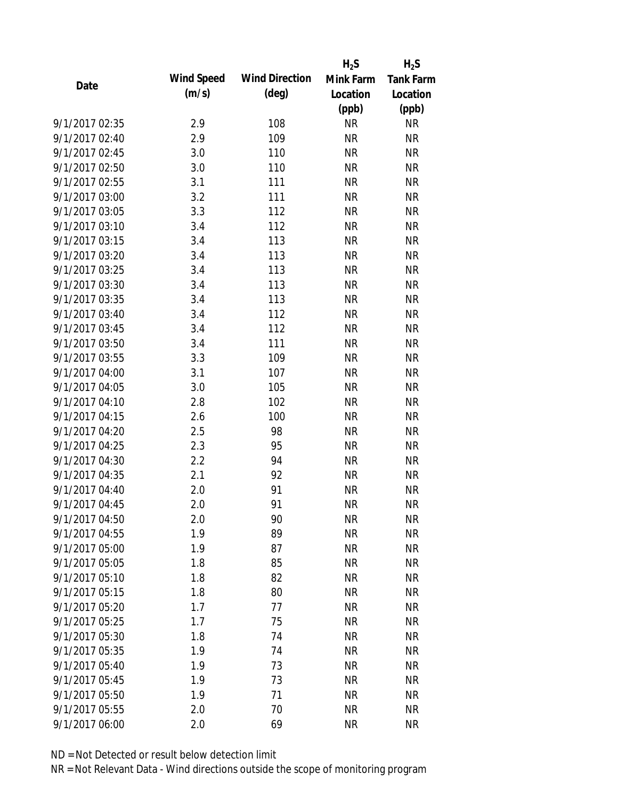|                |            |                       | $H_2S$    | $H_2S$           |
|----------------|------------|-----------------------|-----------|------------------|
| Date           | Wind Speed | <b>Wind Direction</b> | Mink Farm | <b>Tank Farm</b> |
|                | (m/s)      | $(\text{deg})$        | Location  | Location         |
|                |            |                       | (ppb)     | (ppb)            |
| 9/1/2017 02:35 | 2.9        | 108                   | <b>NR</b> | <b>NR</b>        |
| 9/1/2017 02:40 | 2.9        | 109                   | <b>NR</b> | <b>NR</b>        |
| 9/1/2017 02:45 | 3.0        | 110                   | <b>NR</b> | <b>NR</b>        |
| 9/1/2017 02:50 | 3.0        | 110                   | <b>NR</b> | <b>NR</b>        |
| 9/1/2017 02:55 | 3.1        | 111                   | <b>NR</b> | <b>NR</b>        |
| 9/1/2017 03:00 | 3.2        | 111                   | <b>NR</b> | <b>NR</b>        |
| 9/1/2017 03:05 | 3.3        | 112                   | <b>NR</b> | <b>NR</b>        |
| 9/1/2017 03:10 | 3.4        | 112                   | <b>NR</b> | <b>NR</b>        |
| 9/1/2017 03:15 | 3.4        | 113                   | <b>NR</b> | <b>NR</b>        |
| 9/1/2017 03:20 | 3.4        | 113                   | <b>NR</b> | <b>NR</b>        |
| 9/1/2017 03:25 | 3.4        | 113                   | <b>NR</b> | <b>NR</b>        |
| 9/1/2017 03:30 | 3.4        | 113                   | <b>NR</b> | <b>NR</b>        |
| 9/1/2017 03:35 | 3.4        | 113                   | <b>NR</b> | <b>NR</b>        |
| 9/1/2017 03:40 | 3.4        | 112                   | <b>NR</b> | <b>NR</b>        |
| 9/1/2017 03:45 | 3.4        | 112                   | <b>NR</b> | <b>NR</b>        |
| 9/1/2017 03:50 | 3.4        | 111                   | <b>NR</b> | <b>NR</b>        |
| 9/1/2017 03:55 | 3.3        | 109                   | <b>NR</b> | <b>NR</b>        |
| 9/1/2017 04:00 | 3.1        | 107                   | <b>NR</b> | <b>NR</b>        |
| 9/1/2017 04:05 | 3.0        | 105                   | <b>NR</b> | <b>NR</b>        |
| 9/1/2017 04:10 | 2.8        | 102                   | <b>NR</b> | <b>NR</b>        |
| 9/1/2017 04:15 | 2.6        | 100                   | <b>NR</b> | <b>NR</b>        |
| 9/1/2017 04:20 | 2.5        | 98                    | <b>NR</b> | <b>NR</b>        |
| 9/1/2017 04:25 | 2.3        | 95                    | <b>NR</b> | <b>NR</b>        |
| 9/1/2017 04:30 | 2.2        | 94                    | <b>NR</b> | <b>NR</b>        |
| 9/1/2017 04:35 | 2.1        | 92                    | <b>NR</b> | <b>NR</b>        |
| 9/1/2017 04:40 | 2.0        | 91                    | <b>NR</b> | <b>NR</b>        |
| 9/1/2017 04:45 | 2.0        | 91                    | <b>NR</b> | <b>NR</b>        |
| 9/1/2017 04:50 | 2.0        | 90                    | <b>NR</b> | <b>NR</b>        |
| 9/1/2017 04:55 | 1.9        | 89                    | <b>NR</b> | <b>NR</b>        |
| 9/1/2017 05:00 | 1.9        | 87                    | <b>NR</b> | <b>NR</b>        |
| 9/1/2017 05:05 | 1.8        | 85                    | <b>NR</b> | <b>NR</b>        |
| 9/1/2017 05:10 | 1.8        | 82                    | <b>NR</b> | <b>NR</b>        |
| 9/1/2017 05:15 | 1.8        | 80                    | <b>NR</b> | <b>NR</b>        |
| 9/1/2017 05:20 | 1.7        | 77                    | <b>NR</b> | <b>NR</b>        |
| 9/1/2017 05:25 | 1.7        | 75                    | <b>NR</b> | <b>NR</b>        |
| 9/1/2017 05:30 | 1.8        | 74                    | <b>NR</b> | <b>NR</b>        |
| 9/1/2017 05:35 | 1.9        | 74                    | <b>NR</b> | <b>NR</b>        |
| 9/1/2017 05:40 | 1.9        | 73                    | <b>NR</b> | <b>NR</b>        |
| 9/1/2017 05:45 | 1.9        | 73                    | <b>NR</b> | <b>NR</b>        |
| 9/1/2017 05:50 | 1.9        | 71                    | <b>NR</b> | <b>NR</b>        |
| 9/1/2017 05:55 | 2.0        | 70                    | <b>NR</b> | <b>NR</b>        |
| 9/1/2017 06:00 | 2.0        | 69                    | <b>NR</b> | <b>NR</b>        |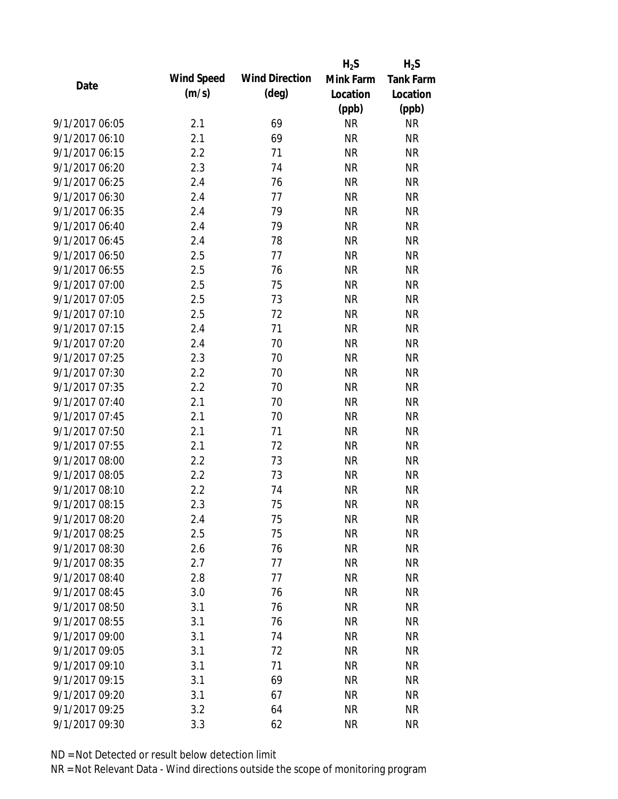|                |            |                       | $H_2S$    | $H_2S$           |
|----------------|------------|-----------------------|-----------|------------------|
| Date           | Wind Speed | <b>Wind Direction</b> | Mink Farm | <b>Tank Farm</b> |
|                | (m/s)      | $(\text{deg})$        | Location  | Location         |
|                |            |                       | (ppb)     | (ppb)            |
| 9/1/2017 06:05 | 2.1        | 69                    | <b>NR</b> | <b>NR</b>        |
| 9/1/2017 06:10 | 2.1        | 69                    | <b>NR</b> | <b>NR</b>        |
| 9/1/2017 06:15 | 2.2        | 71                    | <b>NR</b> | <b>NR</b>        |
| 9/1/2017 06:20 | 2.3        | 74                    | <b>NR</b> | <b>NR</b>        |
| 9/1/2017 06:25 | 2.4        | 76                    | <b>NR</b> | <b>NR</b>        |
| 9/1/2017 06:30 | 2.4        | 77                    | <b>NR</b> | <b>NR</b>        |
| 9/1/2017 06:35 | 2.4        | 79                    | <b>NR</b> | <b>NR</b>        |
| 9/1/2017 06:40 | 2.4        | 79                    | <b>NR</b> | <b>NR</b>        |
| 9/1/2017 06:45 | 2.4        | 78                    | <b>NR</b> | <b>NR</b>        |
| 9/1/2017 06:50 | 2.5        | 77                    | <b>NR</b> | <b>NR</b>        |
| 9/1/2017 06:55 | 2.5        | 76                    | <b>NR</b> | <b>NR</b>        |
| 9/1/2017 07:00 | 2.5        | 75                    | <b>NR</b> | <b>NR</b>        |
| 9/1/2017 07:05 | 2.5        | 73                    | <b>NR</b> | <b>NR</b>        |
| 9/1/2017 07:10 | 2.5        | 72                    | <b>NR</b> | <b>NR</b>        |
| 9/1/2017 07:15 | 2.4        | 71                    | <b>NR</b> | <b>NR</b>        |
| 9/1/2017 07:20 | 2.4        | 70                    | <b>NR</b> | <b>NR</b>        |
| 9/1/2017 07:25 | 2.3        | 70                    | <b>NR</b> | <b>NR</b>        |
| 9/1/2017 07:30 | 2.2        | 70                    | <b>NR</b> | <b>NR</b>        |
| 9/1/2017 07:35 | 2.2        | 70                    | <b>NR</b> | <b>NR</b>        |
| 9/1/2017 07:40 | 2.1        | 70                    | <b>NR</b> | <b>NR</b>        |
| 9/1/2017 07:45 | 2.1        | 70                    | <b>NR</b> | <b>NR</b>        |
| 9/1/2017 07:50 | 2.1        | 71                    | <b>NR</b> | <b>NR</b>        |
| 9/1/2017 07:55 | 2.1        | 72                    | <b>NR</b> | <b>NR</b>        |
| 9/1/2017 08:00 | 2.2        | 73                    | <b>NR</b> | <b>NR</b>        |
| 9/1/2017 08:05 | 2.2        | 73                    | <b>NR</b> | <b>NR</b>        |
| 9/1/2017 08:10 | 2.2        | 74                    | <b>NR</b> | <b>NR</b>        |
| 9/1/2017 08:15 | 2.3        | 75                    | <b>NR</b> | <b>NR</b>        |
| 9/1/2017 08:20 | 2.4        | 75                    | <b>NR</b> | <b>NR</b>        |
| 9/1/2017 08:25 | 2.5        | 75                    | <b>NR</b> | <b>NR</b>        |
| 9/1/2017 08:30 | 2.6        | 76                    | <b>NR</b> | <b>NR</b>        |
| 9/1/2017 08:35 | 2.7        | 77                    | <b>NR</b> | <b>NR</b>        |
| 9/1/2017 08:40 | 2.8        | 77                    | <b>NR</b> | <b>NR</b>        |
| 9/1/2017 08:45 | 3.0        | 76                    | <b>NR</b> | <b>NR</b>        |
| 9/1/2017 08:50 | 3.1        | 76                    | <b>NR</b> | <b>NR</b>        |
| 9/1/2017 08:55 | 3.1        | 76                    | <b>NR</b> | <b>NR</b>        |
| 9/1/2017 09:00 | 3.1        | 74                    | <b>NR</b> | <b>NR</b>        |
| 9/1/2017 09:05 | 3.1        | 72                    | <b>NR</b> | <b>NR</b>        |
| 9/1/2017 09:10 | 3.1        | 71                    | <b>NR</b> | <b>NR</b>        |
| 9/1/2017 09:15 | 3.1        | 69                    | <b>NR</b> | <b>NR</b>        |
| 9/1/2017 09:20 | 3.1        | 67                    | <b>NR</b> | <b>NR</b>        |
| 9/1/2017 09:25 | 3.2        | 64                    | <b>NR</b> | <b>NR</b>        |
| 9/1/2017 09:30 | 3.3        | 62                    | <b>NR</b> | <b>NR</b>        |
|                |            |                       |           |                  |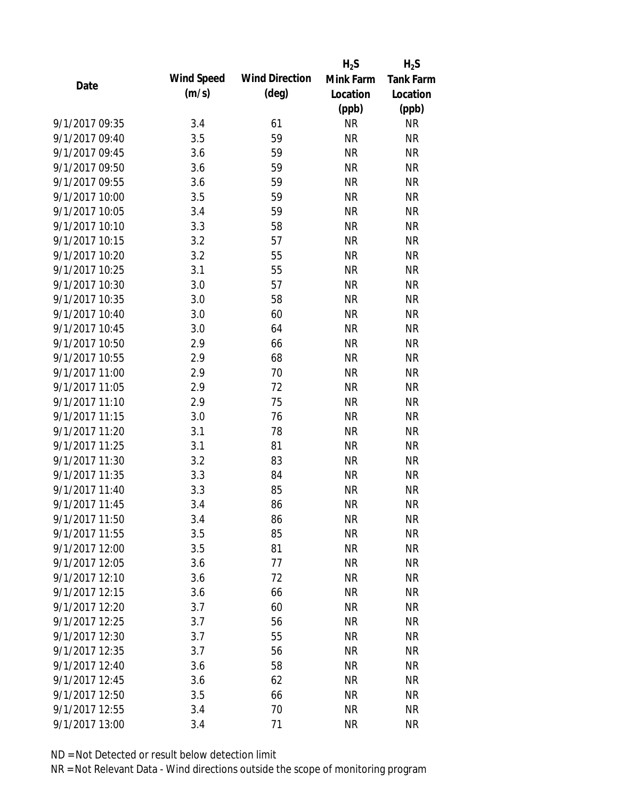|                |            |                       | $H_2S$    | $H_2S$           |
|----------------|------------|-----------------------|-----------|------------------|
| Date           | Wind Speed | <b>Wind Direction</b> | Mink Farm | <b>Tank Farm</b> |
|                | (m/s)      | $(\text{deg})$        | Location  | Location         |
|                |            |                       | (ppb)     | (ppb)            |
| 9/1/2017 09:35 | 3.4        | 61                    | <b>NR</b> | <b>NR</b>        |
| 9/1/2017 09:40 | 3.5        | 59                    | <b>NR</b> | <b>NR</b>        |
| 9/1/2017 09:45 | 3.6        | 59                    | <b>NR</b> | <b>NR</b>        |
| 9/1/2017 09:50 | 3.6        | 59                    | <b>NR</b> | <b>NR</b>        |
| 9/1/2017 09:55 | 3.6        | 59                    | <b>NR</b> | <b>NR</b>        |
| 9/1/2017 10:00 | 3.5        | 59                    | <b>NR</b> | <b>NR</b>        |
| 9/1/2017 10:05 | 3.4        | 59                    | <b>NR</b> | <b>NR</b>        |
| 9/1/2017 10:10 | 3.3        | 58                    | <b>NR</b> | <b>NR</b>        |
| 9/1/2017 10:15 | 3.2        | 57                    | <b>NR</b> | <b>NR</b>        |
| 9/1/2017 10:20 | 3.2        | 55                    | <b>NR</b> | <b>NR</b>        |
| 9/1/2017 10:25 | 3.1        | 55                    | <b>NR</b> | <b>NR</b>        |
| 9/1/2017 10:30 | 3.0        | 57                    | <b>NR</b> | <b>NR</b>        |
| 9/1/2017 10:35 | 3.0        | 58                    | <b>NR</b> | <b>NR</b>        |
| 9/1/2017 10:40 | 3.0        | 60                    | <b>NR</b> | <b>NR</b>        |
| 9/1/2017 10:45 | 3.0        | 64                    | <b>NR</b> | <b>NR</b>        |
| 9/1/2017 10:50 | 2.9        | 66                    | <b>NR</b> | <b>NR</b>        |
| 9/1/2017 10:55 | 2.9        | 68                    | <b>NR</b> | <b>NR</b>        |
| 9/1/2017 11:00 | 2.9        | 70                    | <b>NR</b> | <b>NR</b>        |
| 9/1/2017 11:05 | 2.9        | 72                    | <b>NR</b> | <b>NR</b>        |
| 9/1/2017 11:10 | 2.9        | 75                    | <b>NR</b> | <b>NR</b>        |
| 9/1/2017 11:15 | 3.0        | 76                    | <b>NR</b> | <b>NR</b>        |
| 9/1/2017 11:20 | 3.1        | 78                    | <b>NR</b> | <b>NR</b>        |
| 9/1/2017 11:25 | 3.1        | 81                    | <b>NR</b> | <b>NR</b>        |
| 9/1/2017 11:30 | 3.2        | 83                    | <b>NR</b> | <b>NR</b>        |
| 9/1/2017 11:35 | 3.3        | 84                    | <b>NR</b> | <b>NR</b>        |
| 9/1/2017 11:40 | 3.3        | 85                    | <b>NR</b> | <b>NR</b>        |
| 9/1/2017 11:45 | 3.4        | 86                    | <b>NR</b> | <b>NR</b>        |
| 9/1/2017 11:50 | 3.4        | 86                    | <b>NR</b> | <b>NR</b>        |
| 9/1/2017 11:55 | 3.5        | 85                    | <b>NR</b> | <b>NR</b>        |
| 9/1/2017 12:00 | 3.5        | 81                    | <b>NR</b> | <b>NR</b>        |
| 9/1/2017 12:05 | 3.6        | 77                    | <b>NR</b> | <b>NR</b>        |
| 9/1/2017 12:10 | 3.6        | 72                    | <b>NR</b> | <b>NR</b>        |
| 9/1/2017 12:15 | 3.6        | 66                    | <b>NR</b> | <b>NR</b>        |
| 9/1/2017 12:20 | 3.7        | 60                    | <b>NR</b> | <b>NR</b>        |
| 9/1/2017 12:25 | 3.7        | 56                    | <b>NR</b> | <b>NR</b>        |
| 9/1/2017 12:30 | 3.7        | 55                    | <b>NR</b> | <b>NR</b>        |
| 9/1/2017 12:35 | 3.7        | 56                    | <b>NR</b> | <b>NR</b>        |
| 9/1/2017 12:40 | 3.6        | 58                    | <b>NR</b> | <b>NR</b>        |
| 9/1/2017 12:45 | 3.6        | 62                    | <b>NR</b> | <b>NR</b>        |
| 9/1/2017 12:50 | 3.5        | 66                    | NR        | <b>NR</b>        |
| 9/1/2017 12:55 | 3.4        | 70                    | <b>NR</b> | <b>NR</b>        |
| 9/1/2017 13:00 | 3.4        | 71                    | <b>NR</b> | <b>NR</b>        |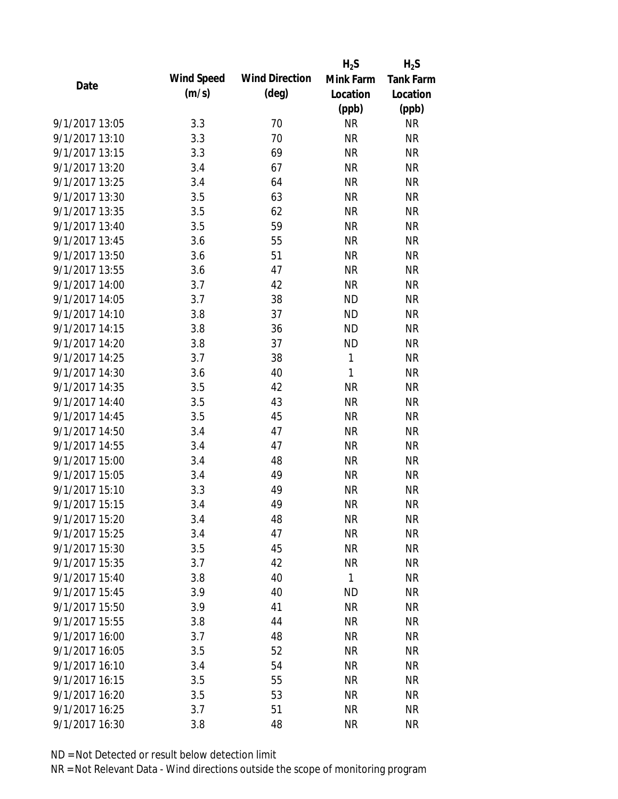|                |                   |                       | $H_2S$       | $H_2S$           |
|----------------|-------------------|-----------------------|--------------|------------------|
| Date           | <b>Wind Speed</b> | <b>Wind Direction</b> | Mink Farm    | <b>Tank Farm</b> |
|                | (m/s)             | $(\text{deg})$        | Location     | Location         |
|                |                   |                       | (ppb)        | (ppb)            |
| 9/1/2017 13:05 | 3.3               | 70                    | <b>NR</b>    | <b>NR</b>        |
| 9/1/2017 13:10 | 3.3               | 70                    | <b>NR</b>    | <b>NR</b>        |
| 9/1/2017 13:15 | 3.3               | 69                    | <b>NR</b>    | <b>NR</b>        |
| 9/1/2017 13:20 | 3.4               | 67                    | <b>NR</b>    | <b>NR</b>        |
| 9/1/2017 13:25 | 3.4               | 64                    | <b>NR</b>    | <b>NR</b>        |
| 9/1/2017 13:30 | 3.5               | 63                    | <b>NR</b>    | <b>NR</b>        |
| 9/1/2017 13:35 | 3.5               | 62                    | <b>NR</b>    | <b>NR</b>        |
| 9/1/2017 13:40 | 3.5               | 59                    | <b>NR</b>    | <b>NR</b>        |
| 9/1/2017 13:45 | 3.6               | 55                    | <b>NR</b>    | <b>NR</b>        |
| 9/1/2017 13:50 | 3.6               | 51                    | <b>NR</b>    | <b>NR</b>        |
| 9/1/2017 13:55 | 3.6               | 47                    | <b>NR</b>    | <b>NR</b>        |
| 9/1/2017 14:00 | 3.7               | 42                    | <b>NR</b>    | <b>NR</b>        |
| 9/1/2017 14:05 | 3.7               | 38                    | <b>ND</b>    | <b>NR</b>        |
| 9/1/2017 14:10 | 3.8               | 37                    | <b>ND</b>    | <b>NR</b>        |
| 9/1/2017 14:15 | 3.8               | 36                    | <b>ND</b>    | <b>NR</b>        |
| 9/1/2017 14:20 | 3.8               | 37                    | <b>ND</b>    | <b>NR</b>        |
| 9/1/2017 14:25 | 3.7               | 38                    | 1            | <b>NR</b>        |
| 9/1/2017 14:30 | 3.6               | 40                    | $\mathbf{1}$ | <b>NR</b>        |
| 9/1/2017 14:35 | 3.5               | 42                    | <b>NR</b>    | <b>NR</b>        |
| 9/1/2017 14:40 | 3.5               | 43                    | <b>NR</b>    | <b>NR</b>        |
| 9/1/2017 14:45 | 3.5               | 45                    | <b>NR</b>    | <b>NR</b>        |
| 9/1/2017 14:50 | 3.4               | 47                    | <b>NR</b>    | <b>NR</b>        |
| 9/1/2017 14:55 | 3.4               | 47                    | <b>NR</b>    | <b>NR</b>        |
| 9/1/2017 15:00 | 3.4               | 48                    | <b>NR</b>    | <b>NR</b>        |
| 9/1/2017 15:05 | 3.4               | 49                    | <b>NR</b>    | <b>NR</b>        |
| 9/1/2017 15:10 | 3.3               | 49                    | <b>NR</b>    | <b>NR</b>        |
| 9/1/2017 15:15 | 3.4               | 49                    | <b>NR</b>    | <b>NR</b>        |
| 9/1/2017 15:20 | 3.4               | 48                    | <b>NR</b>    | <b>NR</b>        |
| 9/1/2017 15:25 | 3.4               | 47                    | <b>NR</b>    | <b>NR</b>        |
| 9/1/2017 15:30 | 3.5               | 45                    | <b>NR</b>    | <b>NR</b>        |
| 9/1/2017 15:35 | 3.7               | 42                    | <b>NR</b>    | <b>NR</b>        |
| 9/1/2017 15:40 | 3.8               | 40                    | $\mathbf{1}$ | <b>NR</b>        |
| 9/1/2017 15:45 | 3.9               | 40                    | <b>ND</b>    | <b>NR</b>        |
| 9/1/2017 15:50 | 3.9               | 41                    | <b>NR</b>    | <b>NR</b>        |
| 9/1/2017 15:55 | 3.8               | 44                    | <b>NR</b>    | <b>NR</b>        |
| 9/1/2017 16:00 | 3.7               | 48                    | <b>NR</b>    | <b>NR</b>        |
| 9/1/2017 16:05 | 3.5               | 52                    | <b>NR</b>    | <b>NR</b>        |
| 9/1/2017 16:10 | 3.4               | 54                    | <b>NR</b>    | <b>NR</b>        |
| 9/1/2017 16:15 | 3.5               | 55                    | <b>NR</b>    | <b>NR</b>        |
| 9/1/2017 16:20 | 3.5               | 53                    | <b>NR</b>    | <b>NR</b>        |
| 9/1/2017 16:25 | 3.7               | 51                    | <b>NR</b>    | <b>NR</b>        |
| 9/1/2017 16:30 | 3.8               | 48                    | <b>NR</b>    | <b>NR</b>        |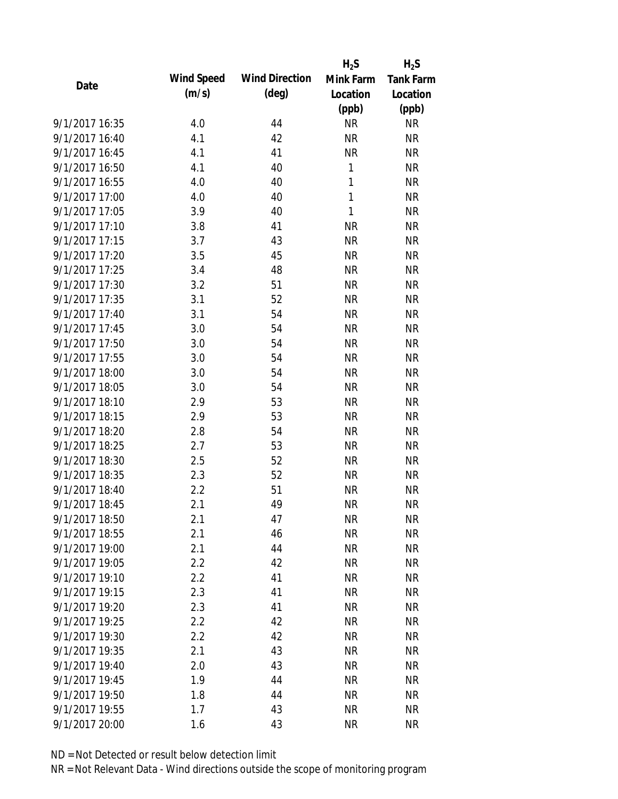|                |            |                       | $H_2S$    | $H_2S$           |
|----------------|------------|-----------------------|-----------|------------------|
| Date           | Wind Speed | <b>Wind Direction</b> | Mink Farm | <b>Tank Farm</b> |
|                | (m/s)      | $(\text{deg})$        | Location  | Location         |
|                |            |                       | (ppb)     | (ppb)            |
| 9/1/2017 16:35 | 4.0        | 44                    | <b>NR</b> | <b>NR</b>        |
| 9/1/2017 16:40 | 4.1        | 42                    | <b>NR</b> | <b>NR</b>        |
| 9/1/2017 16:45 | 4.1        | 41                    | <b>NR</b> | <b>NR</b>        |
| 9/1/2017 16:50 | 4.1        | 40                    | 1         | <b>NR</b>        |
| 9/1/2017 16:55 | 4.0        | 40                    | 1         | <b>NR</b>        |
| 9/1/2017 17:00 | 4.0        | 40                    | 1         | <b>NR</b>        |
| 9/1/2017 17:05 | 3.9        | 40                    | 1         | <b>NR</b>        |
| 9/1/2017 17:10 | 3.8        | 41                    | <b>NR</b> | <b>NR</b>        |
| 9/1/2017 17:15 | 3.7        | 43                    | <b>NR</b> | <b>NR</b>        |
| 9/1/2017 17:20 | 3.5        | 45                    | <b>NR</b> | <b>NR</b>        |
| 9/1/2017 17:25 | 3.4        | 48                    | <b>NR</b> | <b>NR</b>        |
| 9/1/2017 17:30 | 3.2        | 51                    | <b>NR</b> | <b>NR</b>        |
| 9/1/2017 17:35 | 3.1        | 52                    | <b>NR</b> | <b>NR</b>        |
| 9/1/2017 17:40 | 3.1        | 54                    | <b>NR</b> | <b>NR</b>        |
| 9/1/2017 17:45 | 3.0        | 54                    | <b>NR</b> | <b>NR</b>        |
| 9/1/2017 17:50 | 3.0        | 54                    | <b>NR</b> | <b>NR</b>        |
| 9/1/2017 17:55 | 3.0        | 54                    | <b>NR</b> | <b>NR</b>        |
| 9/1/2017 18:00 | 3.0        | 54                    | <b>NR</b> | <b>NR</b>        |
| 9/1/2017 18:05 | 3.0        | 54                    | <b>NR</b> | <b>NR</b>        |
| 9/1/2017 18:10 | 2.9        | 53                    | <b>NR</b> | <b>NR</b>        |
| 9/1/2017 18:15 | 2.9        | 53                    | <b>NR</b> | <b>NR</b>        |
| 9/1/2017 18:20 | 2.8        | 54                    | <b>NR</b> | <b>NR</b>        |
| 9/1/2017 18:25 | 2.7        | 53                    | <b>NR</b> | <b>NR</b>        |
| 9/1/2017 18:30 | 2.5        | 52                    | <b>NR</b> | <b>NR</b>        |
| 9/1/2017 18:35 | 2.3        | 52                    | <b>NR</b> | <b>NR</b>        |
| 9/1/2017 18:40 | 2.2        | 51                    | <b>NR</b> | <b>NR</b>        |
| 9/1/2017 18:45 | 2.1        | 49                    | <b>NR</b> | <b>NR</b>        |
| 9/1/2017 18:50 | 2.1        | 47                    | <b>NR</b> | <b>NR</b>        |
| 9/1/2017 18:55 | 2.1        | 46                    | <b>NR</b> | <b>NR</b>        |
| 9/1/2017 19:00 | 2.1        | 44                    | <b>NR</b> | <b>NR</b>        |
| 9/1/2017 19:05 | 2.2        | 42                    | <b>NR</b> | <b>NR</b>        |
| 9/1/2017 19:10 | 2.2        | 41                    | <b>NR</b> | <b>NR</b>        |
| 9/1/2017 19:15 | 2.3        | 41                    | <b>NR</b> | <b>NR</b>        |
| 9/1/2017 19:20 | 2.3        | 41                    | <b>NR</b> | <b>NR</b>        |
| 9/1/2017 19:25 | 2.2        | 42                    | <b>NR</b> | <b>NR</b>        |
| 9/1/2017 19:30 | 2.2        | 42                    | <b>NR</b> | <b>NR</b>        |
| 9/1/2017 19:35 | 2.1        | 43                    | <b>NR</b> | <b>NR</b>        |
| 9/1/2017 19:40 | 2.0        | 43                    | <b>NR</b> | <b>NR</b>        |
| 9/1/2017 19:45 | 1.9        | 44                    | <b>NR</b> | <b>NR</b>        |
| 9/1/2017 19:50 | 1.8        | 44                    | <b>NR</b> | <b>NR</b>        |
| 9/1/2017 19:55 | 1.7        | 43                    | <b>NR</b> |                  |
|                |            |                       |           | <b>NR</b>        |
| 9/1/2017 20:00 | 1.6        | 43                    | <b>NR</b> | <b>NR</b>        |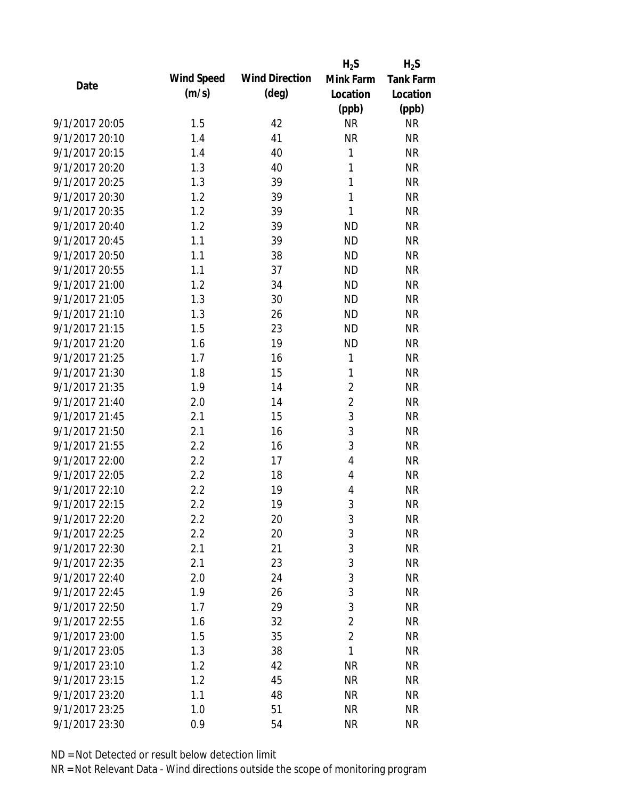|                |            |                       | $H_2S$         | $H_2S$    |
|----------------|------------|-----------------------|----------------|-----------|
| Date           | Wind Speed | <b>Wind Direction</b> | Mink Farm      | Tank Farm |
|                | (m/s)      | $(\text{deg})$        | Location       | Location  |
|                |            |                       | (ppb)          | (ppb)     |
| 9/1/2017 20:05 | 1.5        | 42                    | <b>NR</b>      | <b>NR</b> |
| 9/1/2017 20:10 | 1.4        | 41                    | <b>NR</b>      | <b>NR</b> |
| 9/1/2017 20:15 | 1.4        | 40                    | 1              | <b>NR</b> |
| 9/1/2017 20:20 | 1.3        | 40                    | 1              | <b>NR</b> |
| 9/1/2017 20:25 | 1.3        | 39                    | 1              | <b>NR</b> |
| 9/1/2017 20:30 | 1.2        | 39                    | 1              | <b>NR</b> |
| 9/1/2017 20:35 | 1.2        | 39                    | 1              | <b>NR</b> |
| 9/1/2017 20:40 | 1.2        | 39                    | <b>ND</b>      | <b>NR</b> |
| 9/1/2017 20:45 | 1.1        | 39                    | <b>ND</b>      | <b>NR</b> |
| 9/1/2017 20:50 | 1.1        | 38                    | <b>ND</b>      | <b>NR</b> |
| 9/1/2017 20:55 | 1.1        | 37                    | <b>ND</b>      | <b>NR</b> |
| 9/1/2017 21:00 | 1.2        | 34                    | <b>ND</b>      | <b>NR</b> |
| 9/1/2017 21:05 | 1.3        | 30                    | <b>ND</b>      | <b>NR</b> |
| 9/1/2017 21:10 | 1.3        | 26                    | <b>ND</b>      | <b>NR</b> |
| 9/1/2017 21:15 | 1.5        | 23                    | <b>ND</b>      | <b>NR</b> |
| 9/1/2017 21:20 | 1.6        | 19                    | <b>ND</b>      | <b>NR</b> |
| 9/1/2017 21:25 | 1.7        | 16                    | 1              | <b>NR</b> |
| 9/1/2017 21:30 | 1.8        | 15                    | 1              | <b>NR</b> |
| 9/1/2017 21:35 | 1.9        | 14                    | $\overline{2}$ | <b>NR</b> |
| 9/1/2017 21:40 | 2.0        | 14                    | $\overline{2}$ | <b>NR</b> |
| 9/1/2017 21:45 | 2.1        | 15                    | 3              | <b>NR</b> |
| 9/1/2017 21:50 | 2.1        | 16                    | 3              | <b>NR</b> |
| 9/1/2017 21:55 | 2.2        | 16                    | 3              | <b>NR</b> |
| 9/1/2017 22:00 | 2.2        | 17                    | 4              | <b>NR</b> |
| 9/1/2017 22:05 | 2.2        | 18                    | 4              | <b>NR</b> |
| 9/1/2017 22:10 | 2.2        | 19                    | 4              | <b>NR</b> |
| 9/1/2017 22:15 | 2.2        | 19                    | 3              | <b>NR</b> |
| 9/1/2017 22:20 | 2.2        | 20                    | 3              | <b>NR</b> |
| 9/1/2017 22:25 | 2.2        | 20                    | 3              | <b>NR</b> |
| 9/1/2017 22:30 | 2.1        | 21                    | 3              | <b>NR</b> |
| 9/1/2017 22:35 | 2.1        | 23                    | 3              | <b>NR</b> |
| 9/1/2017 22:40 | 2.0        | 24                    | 3              | <b>NR</b> |
| 9/1/2017 22:45 | 1.9        | 26                    | 3              | <b>NR</b> |
| 9/1/2017 22:50 | 1.7        | 29                    | 3              | <b>NR</b> |
| 9/1/2017 22:55 | 1.6        | 32                    | $\overline{2}$ | <b>NR</b> |
| 9/1/2017 23:00 | 1.5        | 35                    | $\overline{2}$ | <b>NR</b> |
| 9/1/2017 23:05 | 1.3        | 38                    | 1              | <b>NR</b> |
| 9/1/2017 23:10 | 1.2        | 42                    | <b>NR</b>      | <b>NR</b> |
| 9/1/2017 23:15 | 1.2        | 45                    | <b>NR</b>      | <b>NR</b> |
| 9/1/2017 23:20 | 1.1        | 48                    | <b>NR</b>      | <b>NR</b> |
| 9/1/2017 23:25 | 1.0        | 51                    | <b>NR</b>      | <b>NR</b> |
| 9/1/2017 23:30 | 0.9        | 54                    | <b>NR</b>      | <b>NR</b> |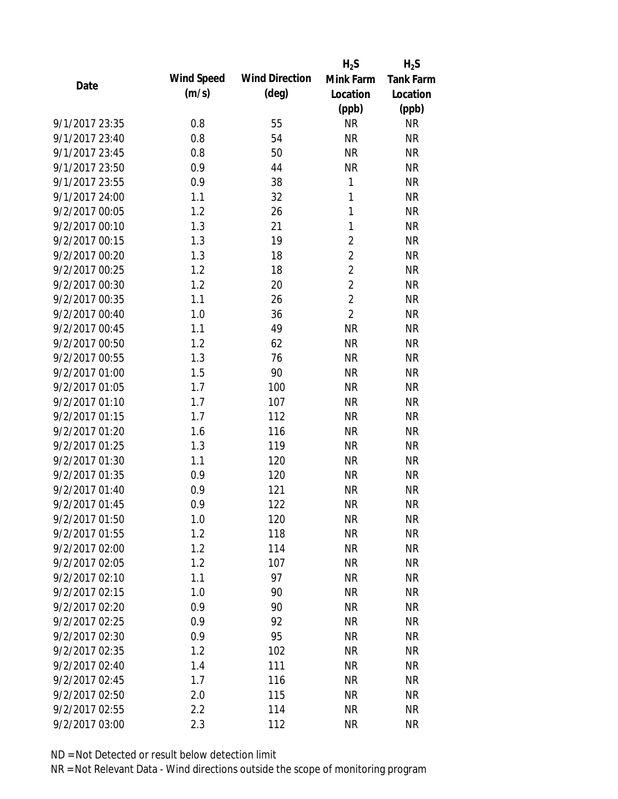|                |            |                       | $H_2S$         | $H_2S$           |
|----------------|------------|-----------------------|----------------|------------------|
| Date           | Wind Speed | <b>Wind Direction</b> | Mink Farm      | <b>Tank Farm</b> |
|                | (m/s)      | $(\text{deg})$        | Location       | Location         |
|                |            |                       | (ppb)          | (ppb)            |
| 9/1/2017 23:35 | 0.8        | 55                    | <b>NR</b>      | <b>NR</b>        |
| 9/1/2017 23:40 | 0.8        | 54                    | <b>NR</b>      | <b>NR</b>        |
| 9/1/2017 23:45 | 0.8        | 50                    | <b>NR</b>      | <b>NR</b>        |
| 9/1/2017 23:50 | 0.9        | 44                    | <b>NR</b>      | <b>NR</b>        |
| 9/1/2017 23:55 | 0.9        | 38                    | 1              | <b>NR</b>        |
| 9/1/2017 24:00 | 1.1        | 32                    | 1              | <b>NR</b>        |
| 9/2/2017 00:05 | 1.2        | 26                    | 1              | <b>NR</b>        |
| 9/2/2017 00:10 | 1.3        | 21                    | 1              | <b>NR</b>        |
| 9/2/2017 00:15 | 1.3        | 19                    | $\overline{2}$ | <b>NR</b>        |
| 9/2/2017 00:20 | 1.3        | 18                    | $\overline{2}$ | <b>NR</b>        |
| 9/2/2017 00:25 | 1.2        | 18                    | $\overline{2}$ | <b>NR</b>        |
| 9/2/2017 00:30 | 1.2        | 20                    | $\overline{2}$ | <b>NR</b>        |
| 9/2/2017 00:35 | 1.1        | 26                    | $\overline{2}$ | <b>NR</b>        |
| 9/2/2017 00:40 | 1.0        | 36                    | $\overline{2}$ | <b>NR</b>        |
| 9/2/2017 00:45 | 1.1        | 49                    | <b>NR</b>      | <b>NR</b>        |
| 9/2/2017 00:50 | 1.2        | 62                    | <b>NR</b>      | <b>NR</b>        |
| 9/2/2017 00:55 | 1.3        | 76                    | <b>NR</b>      | <b>NR</b>        |
| 9/2/2017 01:00 | 1.5        | 90                    | <b>NR</b>      | <b>NR</b>        |
| 9/2/2017 01:05 | 1.7        | 100                   | <b>NR</b>      | <b>NR</b>        |
| 9/2/2017 01:10 | 1.7        | 107                   | <b>NR</b>      | <b>NR</b>        |
| 9/2/2017 01:15 | 1.7        | 112                   | <b>NR</b>      | <b>NR</b>        |
| 9/2/2017 01:20 | 1.6        | 116                   | <b>NR</b>      | <b>NR</b>        |
| 9/2/2017 01:25 | 1.3        | 119                   | <b>NR</b>      | <b>NR</b>        |
| 9/2/2017 01:30 | 1.1        | 120                   | <b>NR</b>      | <b>NR</b>        |
| 9/2/2017 01:35 | 0.9        | 120                   | <b>NR</b>      | <b>NR</b>        |
| 9/2/2017 01:40 | 0.9        | 121                   | <b>NR</b>      | <b>NR</b>        |
| 9/2/2017 01:45 | 0.9        | 122                   | <b>NR</b>      | <b>NR</b>        |
| 9/2/2017 01:50 | 1.0        | 120                   | <b>NR</b>      | <b>NR</b>        |
| 9/2/2017 01:55 | 1.2        | 118                   | <b>NR</b>      | <b>NR</b>        |
| 9/2/2017 02:00 | 1.2        | 114                   | <b>NR</b>      | <b>NR</b>        |
| 9/2/2017 02:05 | 1.2        | 107                   | <b>NR</b>      | <b>NR</b>        |
| 9/2/2017 02:10 | 1.1        | 97                    | <b>NR</b>      | <b>NR</b>        |
| 9/2/2017 02:15 | 1.0        | 90                    | <b>NR</b>      | <b>NR</b>        |
| 9/2/2017 02:20 | 0.9        | 90                    | <b>NR</b>      | <b>NR</b>        |
| 9/2/2017 02:25 | 0.9        | 92                    | <b>NR</b>      | <b>NR</b>        |
| 9/2/2017 02:30 | 0.9        | 95                    | <b>NR</b>      | <b>NR</b>        |
| 9/2/2017 02:35 | 1.2        | 102                   | <b>NR</b>      | <b>NR</b>        |
| 9/2/2017 02:40 | 1.4        | 111                   | <b>NR</b>      | <b>NR</b>        |
| 9/2/2017 02:45 | 1.7        | 116                   | <b>NR</b>      | <b>NR</b>        |
| 9/2/2017 02:50 | 2.0        | 115                   | <b>NR</b>      | <b>NR</b>        |
| 9/2/2017 02:55 | 2.2        | 114                   | <b>NR</b>      | <b>NR</b>        |
| 9/2/2017 03:00 | 2.3        | 112                   | <b>NR</b>      | <b>NR</b>        |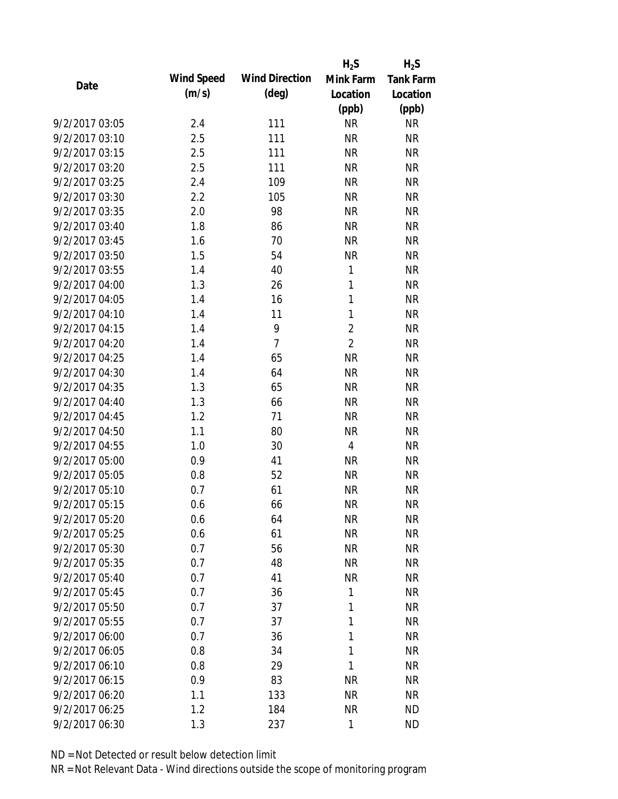|                |            |                       | $H_2S$         | $H_2S$           |
|----------------|------------|-----------------------|----------------|------------------|
| Date           | Wind Speed | <b>Wind Direction</b> | Mink Farm      | <b>Tank Farm</b> |
|                | (m/s)      | $(\text{deg})$        | Location       | Location         |
|                |            |                       | (ppb)          | (ppb)            |
| 9/2/2017 03:05 | 2.4        | 111                   | <b>NR</b>      | <b>NR</b>        |
| 9/2/2017 03:10 | 2.5        | 111                   | <b>NR</b>      | <b>NR</b>        |
| 9/2/2017 03:15 | 2.5        | 111                   | <b>NR</b>      | <b>NR</b>        |
| 9/2/2017 03:20 | 2.5        | 111                   | <b>NR</b>      | <b>NR</b>        |
| 9/2/2017 03:25 | 2.4        | 109                   | <b>NR</b>      | <b>NR</b>        |
| 9/2/2017 03:30 | 2.2        | 105                   | <b>NR</b>      | <b>NR</b>        |
| 9/2/2017 03:35 | 2.0        | 98                    | <b>NR</b>      | <b>NR</b>        |
| 9/2/2017 03:40 | 1.8        | 86                    | <b>NR</b>      | <b>NR</b>        |
| 9/2/2017 03:45 | 1.6        | 70                    | <b>NR</b>      | <b>NR</b>        |
| 9/2/2017 03:50 | 1.5        | 54                    | <b>NR</b>      | <b>NR</b>        |
| 9/2/2017 03:55 | 1.4        | 40                    | 1              | <b>NR</b>        |
| 9/2/2017 04:00 | 1.3        | 26                    | 1              | <b>NR</b>        |
| 9/2/2017 04:05 | 1.4        | 16                    | 1              | <b>NR</b>        |
| 9/2/2017 04:10 | 1.4        | 11                    | 1              | <b>NR</b>        |
| 9/2/2017 04:15 | 1.4        | 9                     | $\overline{2}$ | <b>NR</b>        |
| 9/2/2017 04:20 | 1.4        | $\overline{7}$        | $\overline{2}$ | <b>NR</b>        |
| 9/2/2017 04:25 | 1.4        | 65                    | <b>NR</b>      | <b>NR</b>        |
| 9/2/2017 04:30 | 1.4        | 64                    | <b>NR</b>      | <b>NR</b>        |
| 9/2/2017 04:35 | 1.3        | 65                    | <b>NR</b>      | <b>NR</b>        |
| 9/2/2017 04:40 | 1.3        | 66                    | <b>NR</b>      | <b>NR</b>        |
| 9/2/2017 04:45 | 1.2        | 71                    | <b>NR</b>      | <b>NR</b>        |
| 9/2/2017 04:50 | 1.1        | 80                    | <b>NR</b>      | <b>NR</b>        |
| 9/2/2017 04:55 | 1.0        | 30                    | $\overline{4}$ | <b>NR</b>        |
| 9/2/2017 05:00 | 0.9        | 41                    | <b>NR</b>      | <b>NR</b>        |
| 9/2/2017 05:05 | 0.8        | 52                    | <b>NR</b>      | <b>NR</b>        |
| 9/2/2017 05:10 | 0.7        | 61                    | <b>NR</b>      | <b>NR</b>        |
| 9/2/2017 05:15 | 0.6        | 66                    | <b>NR</b>      | <b>NR</b>        |
| 9/2/2017 05:20 | 0.6        | 64                    | <b>NR</b>      | <b>NR</b>        |
| 9/2/2017 05:25 | 0.6        | 61                    | <b>NR</b>      | <b>NR</b>        |
| 9/2/2017 05:30 | 0.7        | 56                    | <b>NR</b>      | <b>NR</b>        |
| 9/2/2017 05:35 | 0.7        | 48                    | <b>NR</b>      | <b>NR</b>        |
| 9/2/2017 05:40 | 0.7        | 41                    | <b>NR</b>      | <b>NR</b>        |
| 9/2/2017 05:45 | 0.7        | 36                    | 1              | <b>NR</b>        |
| 9/2/2017 05:50 | 0.7        | 37                    | 1              | <b>NR</b>        |
| 9/2/2017 05:55 | 0.7        | 37                    | 1              | <b>NR</b>        |
| 9/2/2017 06:00 | 0.7        | 36                    | 1              | <b>NR</b>        |
| 9/2/2017 06:05 | 0.8        | 34                    | 1              | <b>NR</b>        |
| 9/2/2017 06:10 | 0.8        | 29                    | 1              | <b>NR</b>        |
| 9/2/2017 06:15 | 0.9        | 83                    | <b>NR</b>      | <b>NR</b>        |
| 9/2/2017 06:20 | 1.1        | 133                   | <b>NR</b>      | <b>NR</b>        |
| 9/2/2017 06:25 | 1.2        | 184                   | <b>NR</b>      | <b>ND</b>        |
| 9/2/2017 06:30 | 1.3        | 237                   | 1              | <b>ND</b>        |
|                |            |                       |                |                  |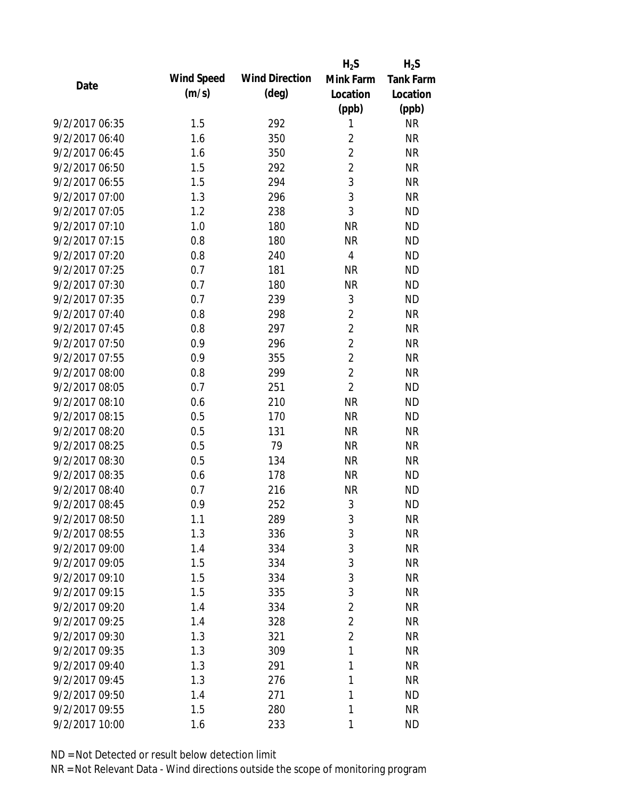|                |            |                       | $H_2S$         | $H_2S$           |
|----------------|------------|-----------------------|----------------|------------------|
| Date           | Wind Speed | <b>Wind Direction</b> | Mink Farm      | <b>Tank Farm</b> |
|                | (m/s)      | $(\text{deg})$        | Location       | Location         |
|                |            |                       | (ppb)          | (ppb)            |
| 9/2/2017 06:35 | 1.5        | 292                   | 1              | <b>NR</b>        |
| 9/2/2017 06:40 | 1.6        | 350                   | $\overline{2}$ | <b>NR</b>        |
| 9/2/2017 06:45 | 1.6        | 350                   | $\overline{2}$ | <b>NR</b>        |
| 9/2/2017 06:50 | 1.5        | 292                   | $\overline{2}$ | <b>NR</b>        |
| 9/2/2017 06:55 | 1.5        | 294                   | 3              | <b>NR</b>        |
| 9/2/2017 07:00 | 1.3        | 296                   | 3              | <b>NR</b>        |
| 9/2/2017 07:05 | 1.2        | 238                   | 3              | <b>ND</b>        |
| 9/2/2017 07:10 | 1.0        | 180                   | <b>NR</b>      | <b>ND</b>        |
| 9/2/2017 07:15 | 0.8        | 180                   | <b>NR</b>      | <b>ND</b>        |
| 9/2/2017 07:20 | 0.8        | 240                   | 4              | <b>ND</b>        |
| 9/2/2017 07:25 | 0.7        | 181                   | <b>NR</b>      | <b>ND</b>        |
| 9/2/2017 07:30 | 0.7        | 180                   | <b>NR</b>      | <b>ND</b>        |
| 9/2/2017 07:35 | 0.7        | 239                   | $\mathfrak{Z}$ | <b>ND</b>        |
| 9/2/2017 07:40 | 0.8        | 298                   | $\overline{2}$ | <b>NR</b>        |
| 9/2/2017 07:45 | 0.8        | 297                   | $\overline{2}$ | <b>NR</b>        |
| 9/2/2017 07:50 | 0.9        | 296                   | $\overline{2}$ | <b>NR</b>        |
| 9/2/2017 07:55 | 0.9        | 355                   | $\overline{2}$ | <b>NR</b>        |
| 9/2/2017 08:00 | 0.8        | 299                   | $\overline{2}$ | <b>NR</b>        |
| 9/2/2017 08:05 | 0.7        | 251                   | $\overline{2}$ | <b>ND</b>        |
| 9/2/2017 08:10 | 0.6        | 210                   | <b>NR</b>      | <b>ND</b>        |
| 9/2/2017 08:15 | 0.5        | 170                   | <b>NR</b>      | <b>ND</b>        |
| 9/2/2017 08:20 | 0.5        | 131                   | <b>NR</b>      | <b>NR</b>        |
| 9/2/2017 08:25 | 0.5        | 79                    | <b>NR</b>      | <b>NR</b>        |
| 9/2/2017 08:30 | 0.5        | 134                   | <b>NR</b>      | <b>NR</b>        |
| 9/2/2017 08:35 | 0.6        | 178                   | <b>NR</b>      | <b>ND</b>        |
| 9/2/2017 08:40 | 0.7        | 216                   | <b>NR</b>      | <b>ND</b>        |
| 9/2/2017 08:45 | 0.9        | 252                   | 3              | <b>ND</b>        |
| 9/2/2017 08:50 | 1.1        | 289                   | 3              | <b>NR</b>        |
| 9/2/2017 08:55 | 1.3        | 336                   | 3              | <b>NR</b>        |
| 9/2/2017 09:00 | 1.4        | 334                   | 3              | <b>NR</b>        |
| 9/2/2017 09:05 | 1.5        | 334                   | 3              | <b>NR</b>        |
| 9/2/2017 09:10 | 1.5        | 334                   | 3              | <b>NR</b>        |
| 9/2/2017 09:15 | 1.5        | 335                   | 3              | <b>NR</b>        |
| 9/2/2017 09:20 | 1.4        | 334                   | $\overline{2}$ | <b>NR</b>        |
| 9/2/2017 09:25 | 1.4        | 328                   | $\overline{2}$ | <b>NR</b>        |
| 9/2/2017 09:30 | 1.3        | 321                   | $\overline{2}$ | <b>NR</b>        |
| 9/2/2017 09:35 | 1.3        | 309                   | 1              | <b>NR</b>        |
| 9/2/2017 09:40 | 1.3        | 291                   | 1              | <b>NR</b>        |
| 9/2/2017 09:45 | 1.3        | 276                   | 1              | <b>NR</b>        |
| 9/2/2017 09:50 | 1.4        | 271                   | 1              | <b>ND</b>        |
| 9/2/2017 09:55 | 1.5        | 280                   | 1              | <b>NR</b>        |
| 9/2/2017 10:00 | 1.6        | 233                   | 1              | <b>ND</b>        |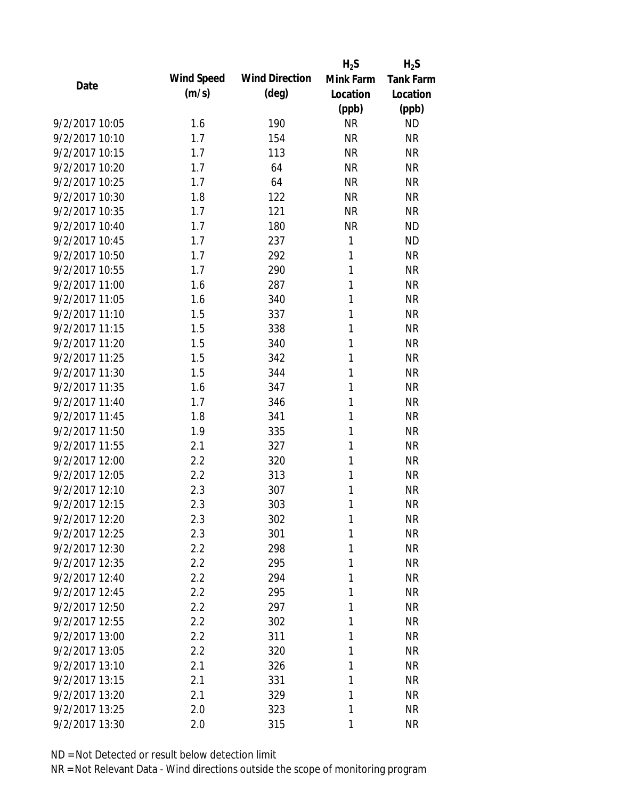|                |            |                       | $H_2S$    | $H_2S$    |
|----------------|------------|-----------------------|-----------|-----------|
| Date           | Wind Speed | <b>Wind Direction</b> | Mink Farm | Tank Farm |
|                | (m/s)      | $(\text{deg})$        | Location  | Location  |
|                |            |                       | (ppb)     | (ppb)     |
| 9/2/2017 10:05 | 1.6        | 190                   | <b>NR</b> | <b>ND</b> |
| 9/2/2017 10:10 | 1.7        | 154                   | <b>NR</b> | <b>NR</b> |
| 9/2/2017 10:15 | 1.7        | 113                   | <b>NR</b> | <b>NR</b> |
| 9/2/2017 10:20 | 1.7        | 64                    | <b>NR</b> | <b>NR</b> |
| 9/2/2017 10:25 | 1.7        | 64                    | <b>NR</b> | <b>NR</b> |
| 9/2/2017 10:30 | 1.8        | 122                   | <b>NR</b> | <b>NR</b> |
| 9/2/2017 10:35 | 1.7        | 121                   | <b>NR</b> | <b>NR</b> |
| 9/2/2017 10:40 | 1.7        | 180                   | <b>NR</b> | <b>ND</b> |
| 9/2/2017 10:45 | 1.7        | 237                   | 1         | <b>ND</b> |
| 9/2/2017 10:50 | 1.7        | 292                   | 1         | <b>NR</b> |
| 9/2/2017 10:55 | 1.7        | 290                   | 1         | <b>NR</b> |
| 9/2/2017 11:00 | 1.6        | 287                   | 1         | <b>NR</b> |
| 9/2/2017 11:05 | 1.6        | 340                   | 1         | <b>NR</b> |
| 9/2/2017 11:10 | 1.5        | 337                   | 1         | <b>NR</b> |
| 9/2/2017 11:15 | 1.5        | 338                   | 1         | <b>NR</b> |
| 9/2/2017 11:20 | 1.5        | 340                   | 1         | <b>NR</b> |
| 9/2/2017 11:25 | 1.5        | 342                   | 1         | <b>NR</b> |
| 9/2/2017 11:30 | 1.5        | 344                   | 1         | <b>NR</b> |
| 9/2/2017 11:35 | 1.6        | 347                   | 1         | <b>NR</b> |
| 9/2/2017 11:40 | 1.7        | 346                   | 1         | <b>NR</b> |
| 9/2/2017 11:45 | 1.8        | 341                   | 1         | <b>NR</b> |
| 9/2/2017 11:50 | 1.9        | 335                   | 1         | <b>NR</b> |
| 9/2/2017 11:55 | 2.1        | 327                   | 1         | <b>NR</b> |
| 9/2/2017 12:00 | 2.2        | 320                   | 1         | <b>NR</b> |
| 9/2/2017 12:05 | 2.2        | 313                   | 1         | <b>NR</b> |
| 9/2/2017 12:10 | 2.3        | 307                   | 1         | <b>NR</b> |
| 9/2/2017 12:15 | 2.3        | 303                   | 1         | <b>NR</b> |
| 9/2/2017 12:20 | 2.3        | 302                   | 1         | <b>NR</b> |
| 9/2/2017 12:25 | 2.3        | 301                   | 1         | <b>NR</b> |
| 9/2/2017 12:30 | 2.2        | 298                   | 1         | <b>NR</b> |
| 9/2/2017 12:35 | 2.2        | 295                   | 1         | <b>NR</b> |
| 9/2/2017 12:40 | 2.2        | 294                   | 1         | <b>NR</b> |
| 9/2/2017 12:45 | 2.2        | 295                   | 1         | <b>NR</b> |
| 9/2/2017 12:50 | 2.2        | 297                   | 1         | <b>NR</b> |
| 9/2/2017 12:55 | 2.2        | 302                   | 1         | <b>NR</b> |
| 9/2/2017 13:00 | 2.2        | 311                   | 1         | <b>NR</b> |
| 9/2/2017 13:05 | 2.2        | 320                   | 1         | <b>NR</b> |
| 9/2/2017 13:10 | 2.1        | 326                   | 1         | <b>NR</b> |
| 9/2/2017 13:15 | 2.1        | 331                   | 1         | <b>NR</b> |
| 9/2/2017 13:20 | 2.1        | 329                   | 1         | <b>NR</b> |
| 9/2/2017 13:25 | 2.0        | 323                   | 1         | <b>NR</b> |
| 9/2/2017 13:30 | 2.0        | 315                   | 1         | <b>NR</b> |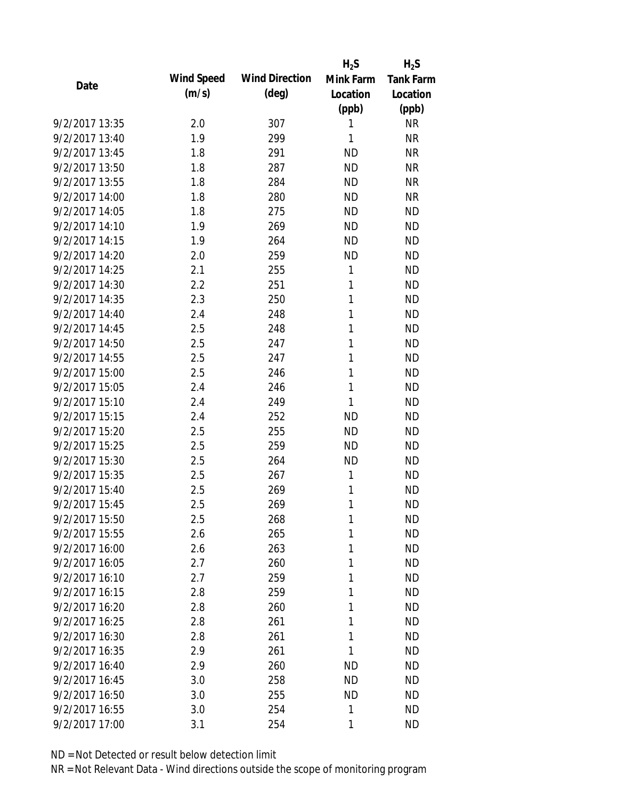|                |            |                       | $H_2S$       | $H_2S$           |
|----------------|------------|-----------------------|--------------|------------------|
| Date           | Wind Speed | <b>Wind Direction</b> | Mink Farm    | <b>Tank Farm</b> |
|                | (m/s)      | $(\text{deg})$        | Location     | Location         |
|                |            |                       | (ppb)        | (ppb)            |
| 9/2/2017 13:35 | 2.0        | 307                   | 1            | <b>NR</b>        |
| 9/2/2017 13:40 | 1.9        | 299                   | 1            | <b>NR</b>        |
| 9/2/2017 13:45 | 1.8        | 291                   | <b>ND</b>    | <b>NR</b>        |
| 9/2/2017 13:50 | 1.8        | 287                   | <b>ND</b>    | <b>NR</b>        |
| 9/2/2017 13:55 | 1.8        | 284                   | <b>ND</b>    | <b>NR</b>        |
| 9/2/2017 14:00 | 1.8        | 280                   | <b>ND</b>    | <b>NR</b>        |
| 9/2/2017 14:05 | 1.8        | 275                   | <b>ND</b>    | <b>ND</b>        |
| 9/2/2017 14:10 | 1.9        | 269                   | <b>ND</b>    | <b>ND</b>        |
| 9/2/2017 14:15 | 1.9        | 264                   | <b>ND</b>    | <b>ND</b>        |
| 9/2/2017 14:20 | 2.0        | 259                   | <b>ND</b>    | <b>ND</b>        |
| 9/2/2017 14:25 | 2.1        | 255                   | 1            | <b>ND</b>        |
| 9/2/2017 14:30 | 2.2        | 251                   | 1            | <b>ND</b>        |
| 9/2/2017 14:35 | 2.3        | 250                   | 1            | <b>ND</b>        |
| 9/2/2017 14:40 | 2.4        | 248                   | 1            | <b>ND</b>        |
| 9/2/2017 14:45 | 2.5        | 248                   | 1            | <b>ND</b>        |
| 9/2/2017 14:50 | 2.5        | 247                   | 1            | <b>ND</b>        |
| 9/2/2017 14:55 | 2.5        | 247                   | 1            | <b>ND</b>        |
| 9/2/2017 15:00 | 2.5        | 246                   | 1            | <b>ND</b>        |
| 9/2/2017 15:05 | 2.4        | 246                   | $\mathbf{1}$ | <b>ND</b>        |
| 9/2/2017 15:10 | 2.4        | 249                   | 1            | <b>ND</b>        |
| 9/2/2017 15:15 | 2.4        | 252                   | <b>ND</b>    | <b>ND</b>        |
| 9/2/2017 15:20 | 2.5        | 255                   | <b>ND</b>    | <b>ND</b>        |
| 9/2/2017 15:25 | 2.5        | 259                   | <b>ND</b>    | <b>ND</b>        |
| 9/2/2017 15:30 | 2.5        | 264                   | <b>ND</b>    | <b>ND</b>        |
| 9/2/2017 15:35 | 2.5        | 267                   | 1            | <b>ND</b>        |
| 9/2/2017 15:40 | 2.5        | 269                   | 1            | <b>ND</b>        |
| 9/2/2017 15:45 | 2.5        | 269                   | 1            | <b>ND</b>        |
| 9/2/2017 15:50 | 2.5        | 268                   | 1            | <b>ND</b>        |
| 9/2/2017 15:55 | 2.6        | 265                   | 1            | <b>ND</b>        |
| 9/2/2017 16:00 | 2.6        | 263                   | 1            | <b>ND</b>        |
| 9/2/2017 16:05 | 2.7        | 260                   | 1            | <b>ND</b>        |
| 9/2/2017 16:10 | 2.7        | 259                   | 1            | <b>ND</b>        |
| 9/2/2017 16:15 | 2.8        | 259                   | 1            | <b>ND</b>        |
| 9/2/2017 16:20 | 2.8        | 260                   | 1            | <b>ND</b>        |
| 9/2/2017 16:25 | 2.8        | 261                   | 1            | <b>ND</b>        |
| 9/2/2017 16:30 | 2.8        | 261                   | 1            | <b>ND</b>        |
| 9/2/2017 16:35 | 2.9        | 261                   | 1            | <b>ND</b>        |
| 9/2/2017 16:40 | 2.9        | 260                   | ND           | <b>ND</b>        |
| 9/2/2017 16:45 | 3.0        | 258                   | <b>ND</b>    | <b>ND</b>        |
| 9/2/2017 16:50 | 3.0        | 255                   | <b>ND</b>    | <b>ND</b>        |
| 9/2/2017 16:55 | 3.0        | 254                   | 1            | <b>ND</b>        |
| 9/2/2017 17:00 | 3.1        | 254                   | 1            | <b>ND</b>        |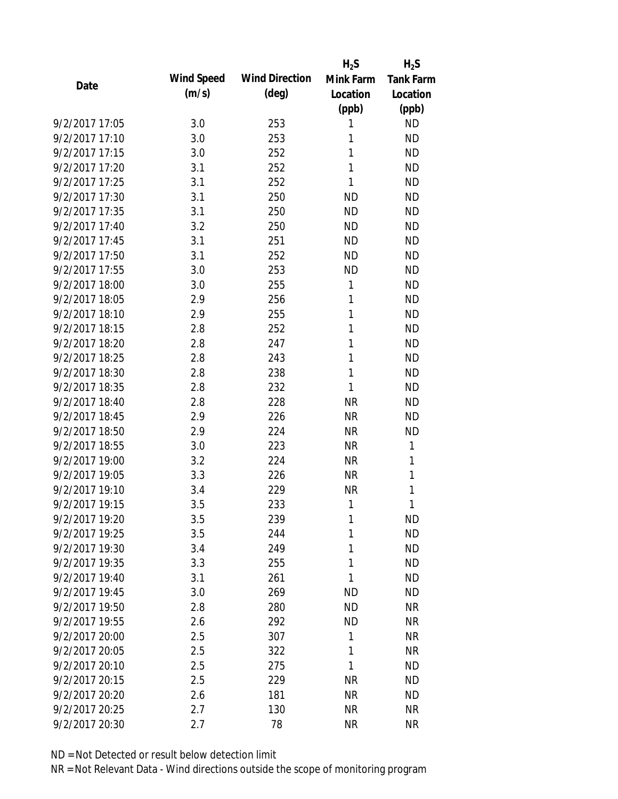|                |            |                       | $H_2S$    | $H_2S$           |
|----------------|------------|-----------------------|-----------|------------------|
| Date           | Wind Speed | <b>Wind Direction</b> | Mink Farm | <b>Tank Farm</b> |
|                | (m/s)      | $(\text{deg})$        | Location  | Location         |
|                |            |                       | (ppb)     | (ppb)            |
| 9/2/2017 17:05 | 3.0        | 253                   | 1         | <b>ND</b>        |
| 9/2/2017 17:10 | 3.0        | 253                   | 1         | <b>ND</b>        |
| 9/2/2017 17:15 | 3.0        | 252                   | 1         | <b>ND</b>        |
| 9/2/2017 17:20 | 3.1        | 252                   | 1         | <b>ND</b>        |
| 9/2/2017 17:25 | 3.1        | 252                   | 1         | <b>ND</b>        |
| 9/2/2017 17:30 | 3.1        | 250                   | <b>ND</b> | <b>ND</b>        |
| 9/2/2017 17:35 | 3.1        | 250                   | <b>ND</b> | <b>ND</b>        |
| 9/2/2017 17:40 | 3.2        | 250                   | <b>ND</b> | <b>ND</b>        |
| 9/2/2017 17:45 | 3.1        | 251                   | <b>ND</b> | <b>ND</b>        |
| 9/2/2017 17:50 | 3.1        | 252                   | <b>ND</b> | <b>ND</b>        |
| 9/2/2017 17:55 | 3.0        | 253                   | <b>ND</b> | <b>ND</b>        |
| 9/2/2017 18:00 | 3.0        | 255                   | 1         | <b>ND</b>        |
| 9/2/2017 18:05 | 2.9        | 256                   | 1         | <b>ND</b>        |
| 9/2/2017 18:10 | 2.9        | 255                   | 1         | <b>ND</b>        |
| 9/2/2017 18:15 | 2.8        | 252                   | 1         | <b>ND</b>        |
| 9/2/2017 18:20 | 2.8        | 247                   | 1         | <b>ND</b>        |
| 9/2/2017 18:25 | 2.8        | 243                   | 1         | <b>ND</b>        |
| 9/2/2017 18:30 | 2.8        | 238                   | 1         | <b>ND</b>        |
| 9/2/2017 18:35 | 2.8        | 232                   | 1         | <b>ND</b>        |
| 9/2/2017 18:40 | 2.8        | 228                   | <b>NR</b> | <b>ND</b>        |
| 9/2/2017 18:45 | 2.9        | 226                   | <b>NR</b> | <b>ND</b>        |
| 9/2/2017 18:50 | 2.9        | 224                   | <b>NR</b> | <b>ND</b>        |
| 9/2/2017 18:55 | 3.0        | 223                   | <b>NR</b> | 1                |
| 9/2/2017 19:00 | 3.2        | 224                   | <b>NR</b> | 1                |
| 9/2/2017 19:05 | 3.3        | 226                   | <b>NR</b> | 1                |
| 9/2/2017 19:10 | 3.4        | 229                   | <b>NR</b> | 1                |
| 9/2/2017 19:15 | 3.5        | 233                   | 1         | 1                |
| 9/2/2017 19:20 | 3.5        | 239                   | 1         | <b>ND</b>        |
| 9/2/2017 19:25 | 3.5        | 244                   | 1         | <b>ND</b>        |
| 9/2/2017 19:30 | 3.4        | 249                   | 1         | <b>ND</b>        |
| 9/2/2017 19:35 | 3.3        | 255                   | 1         | <b>ND</b>        |
| 9/2/2017 19:40 | 3.1        | 261                   | 1         | <b>ND</b>        |
| 9/2/2017 19:45 | 3.0        | 269                   | <b>ND</b> | ND               |
| 9/2/2017 19:50 | 2.8        | 280                   | <b>ND</b> | <b>NR</b>        |
| 9/2/2017 19:55 | 2.6        | 292                   | <b>ND</b> | <b>NR</b>        |
| 9/2/2017 20:00 | 2.5        | 307                   | 1         | <b>NR</b>        |
| 9/2/2017 20:05 | 2.5        | 322                   | 1         | <b>NR</b>        |
| 9/2/2017 20:10 | 2.5        | 275                   | 1         | <b>ND</b>        |
| 9/2/2017 20:15 | 2.5        | 229                   | <b>NR</b> | <b>ND</b>        |
| 9/2/2017 20:20 | 2.6        | 181                   | <b>NR</b> | ND               |
| 9/2/2017 20:25 | 2.7        | 130                   | <b>NR</b> | <b>NR</b>        |
| 9/2/2017 20:30 | 2.7        | 78                    | <b>NR</b> | <b>NR</b>        |